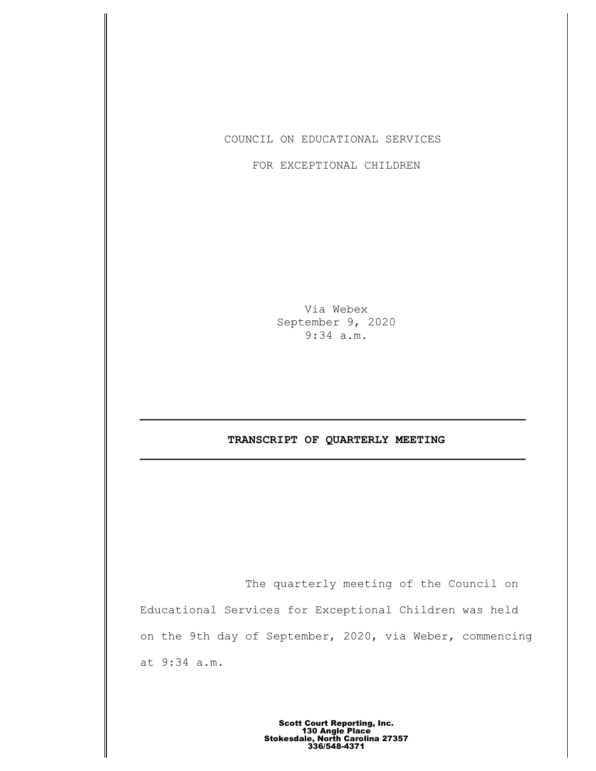COUNCIL ON EDUCATIONAL SERVICES

FOR EXCEPTIONAL CHILDREN

Via Webex September 9, 2020 9:34 a.m.

# **TRANSCRIPT OF QUARTERLY MEETING \_\_\_\_\_\_\_\_\_\_\_\_\_\_\_\_\_\_\_\_\_\_\_\_\_\_\_\_\_\_\_\_\_\_\_\_\_\_\_\_\_\_\_\_\_\_\_\_\_\_\_\_\_\_\_**

The quarterly meeting of the Council on Educational Services for Exceptional Children was held on the 9th day of September, 2020, via Weber, commencing at 9:34 a.m.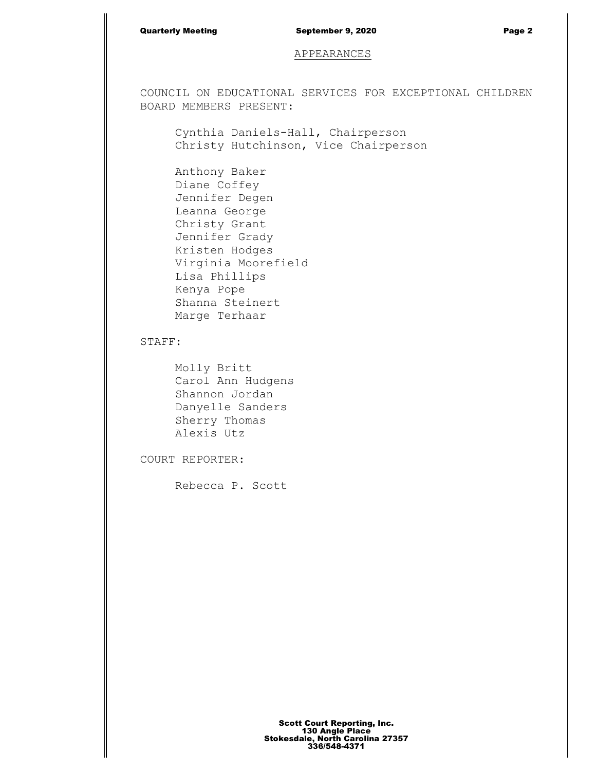## Quarterly Meeting September 9, 2020 Page 2

## APPEARANCES

COUNCIL ON EDUCATIONAL SERVICES FOR EXCEPTIONAL CHILDREN BOARD MEMBERS PRESENT:

Cynthia Daniels-Hall, Chairperson Christy Hutchinson, Vice Chairperson

Anthony Baker Diane Coffey Jennifer Degen Leanna George Christy Grant Jennifer Grady Kristen Hodges Virginia Moorefield Lisa Phillips Kenya Pope Shanna Steinert Marge Terhaar

## STAFF:

Molly Britt Carol Ann Hudgens Shannon Jordan Danyelle Sanders Sherry Thomas Alexis Utz

COURT REPORTER:

Rebecca P. Scott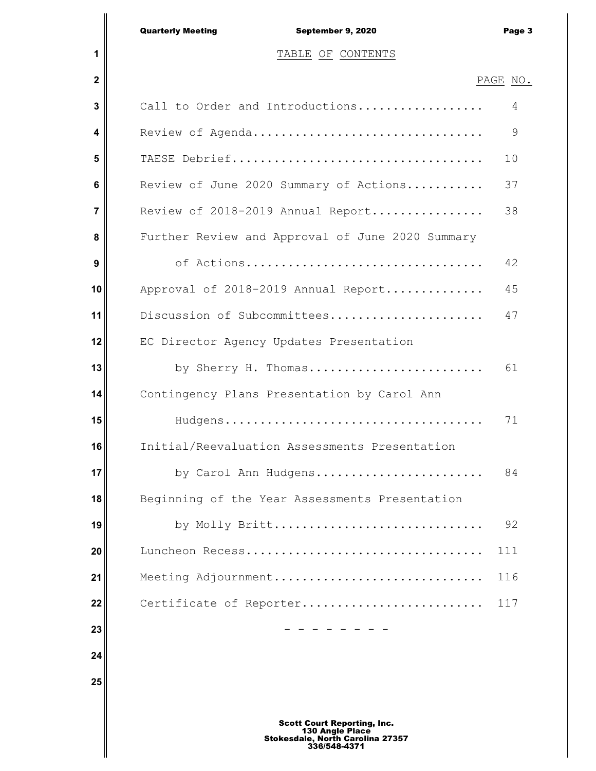|                | <b>Quarterly Meeting</b><br>September 9, 2020    | Page 3   |
|----------------|--------------------------------------------------|----------|
| 1              | TABLE OF CONTENTS                                |          |
| $\mathbf 2$    |                                                  | PAGE NO. |
| 3              | Call to Order and Introductions                  | 4        |
| 4              | Review of Agenda                                 | 9        |
| 5              |                                                  | 10       |
| 6              | Review of June 2020 Summary of Actions           | 37       |
| $\overline{7}$ | Review of 2018-2019 Annual Report                | 38       |
| 8              | Further Review and Approval of June 2020 Summary |          |
| 9              | of Actions                                       | 42       |
| 10             | Approval of 2018-2019 Annual Report              | 45       |
| 11             | Discussion of Subcommittees                      | 47       |
| 12             | EC Director Agency Updates Presentation          |          |
| 13             | by Sherry H. Thomas                              | 61       |
| 14             | Contingency Plans Presentation by Carol Ann      |          |
| 15             |                                                  | 71       |
| 16             | Initial/Reevaluation Assessments Presentation    |          |
| 17             | by Carol Ann Hudgens                             | 84       |
| 18             | Beginning of the Year Assessments Presentation   |          |
| 19             | by Molly Britt                                   | 92       |
| 20             |                                                  | 111      |
| 21             | Meeting Adjournment                              | 116      |
| 22             | Certificate of Reporter                          | 117      |
| 23             |                                                  |          |
| 24             |                                                  |          |
| 25             |                                                  |          |
|                |                                                  |          |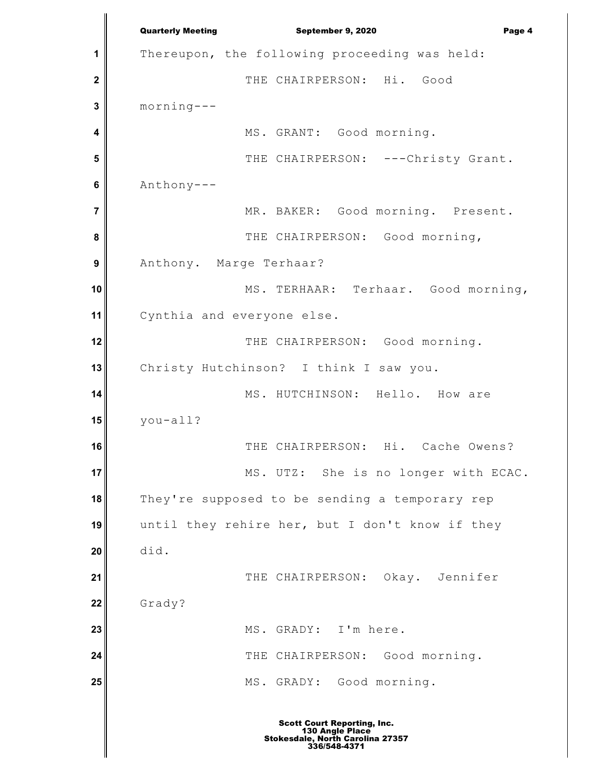**1 2 3 4 5 6 7 8 9 10 11 12 13 14 15 16 17 18 19 20 21 22 23 24 25** Quarterly Meeting **September 9, 2020 Page 4** Thereupon, the following proceeding was held: THE CHAIRPERSON: Hi. Good morning--- MS. GRANT: Good morning. THE CHAIRPERSON: ---Christy Grant. Anthony--- MR. BAKER: Good morning. Present. THE CHAIRPERSON: Good morning, Anthony. Marge Terhaar? MS. TERHAAR: Terhaar. Good morning, Cynthia and everyone else. THE CHAIRPERSON: Good morning. Christy Hutchinson? I think I saw you. MS. HUTCHINSON: Hello. How are you-all? THE CHAIRPERSON: Hi. Cache Owens? MS. UTZ: She is no longer with ECAC. They're supposed to be sending a temporary rep until they rehire her, but I don't know if they did. THE CHAIRPERSON: Okay. Jennifer Grady? MS. GRADY: I'm here. THE CHAIRPERSON: Good morning. MS. GRADY: Good morning.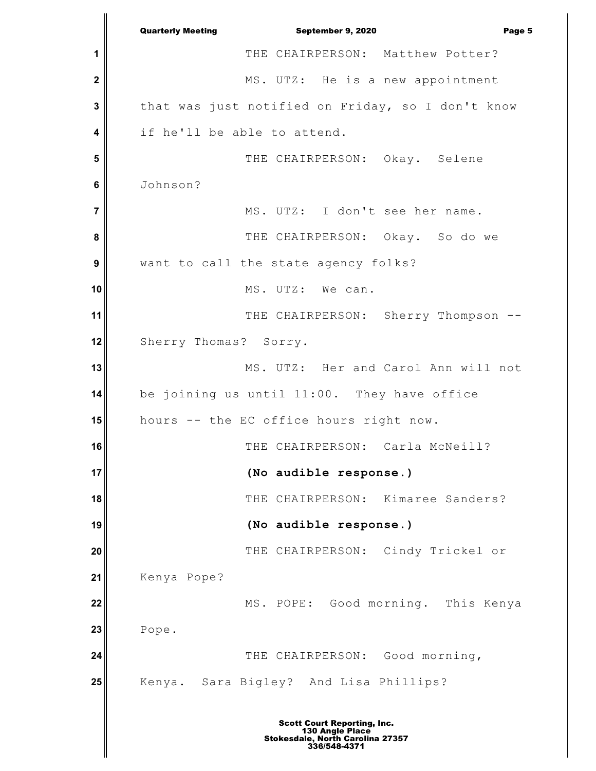**1 2 3 4 5 6 7 8 9 10 11 12 13 14 15 16 17 18 19 20 21 22 23 24 25** Quarterly Meeting **September 9, 2020 Page 5** THE CHAIRPERSON: Matthew Potter? MS. UTZ: He is a new appointment that was just notified on Friday, so I don't know if he'll be able to attend. THE CHAIRPERSON: Okay. Selene Johnson? MS. UTZ: I don't see her name. THE CHAIRPERSON: Okay. So do we want to call the state agency folks? MS. UTZ: We can. THE CHAIRPERSON: Sherry Thompson --Sherry Thomas? Sorry. MS. UTZ: Her and Carol Ann will not be joining us until 11:00. They have office hours -- the EC office hours right now. THE CHAIRPERSON: Carla McNeill? **(No audible response.)** THE CHAIRPERSON: Kimaree Sanders? **(No audible response.)** THE CHAIRPERSON: Cindy Trickel or Kenya Pope? MS. POPE: Good morning. This Kenya Pope. THE CHAIRPERSON: Good morning, Kenya. Sara Bigley? And Lisa Phillips?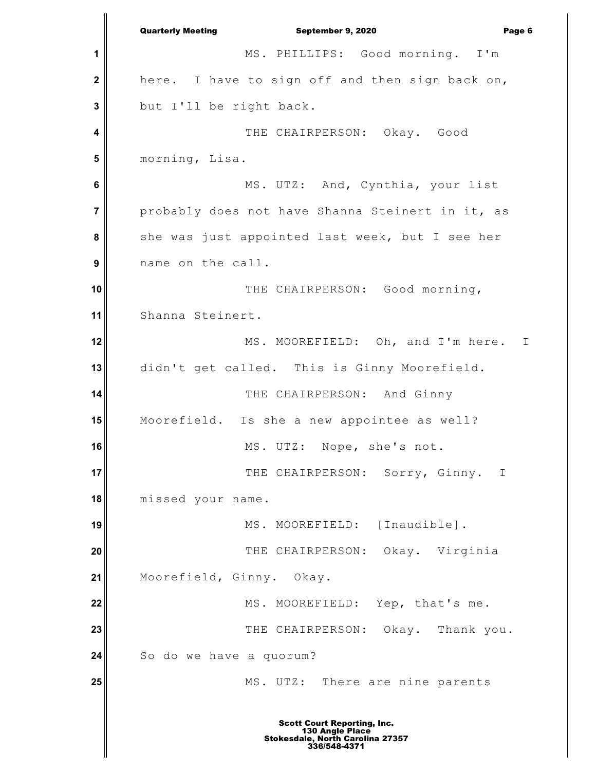**1 2 3 4 5 6 7 8 9 10 11 12 13 14 15 16 17 18 19 20 21 22 23 24 25** Quarterly Meeting September 9, 2020 Page 6 MS. PHILLIPS: Good morning. I'm here. I have to sign off and then sign back on, but I'll be right back. THE CHAIRPERSON: Okay. Good morning, Lisa. MS. UTZ: And, Cynthia, your list probably does not have Shanna Steinert in it, as she was just appointed last week, but I see her name on the call. THE CHAIRPERSON: Good morning, Shanna Steinert. MS. MOOREFIELD: Oh, and I'm here. I didn't get called. This is Ginny Moorefield. THE CHAIRPERSON: And Ginny Moorefield. Is she a new appointee as well? MS. UTZ: Nope, she's not. THE CHAIRPERSON: Sorry, Ginny. I missed your name. MS. MOOREFIELD: [Inaudible]. THE CHAIRPERSON: Okay. Virginia Moorefield, Ginny. Okay. MS. MOOREFIELD: Yep, that's me. THE CHAIRPERSON: Okay. Thank you. So do we have a quorum? MS. UTZ: There are nine parents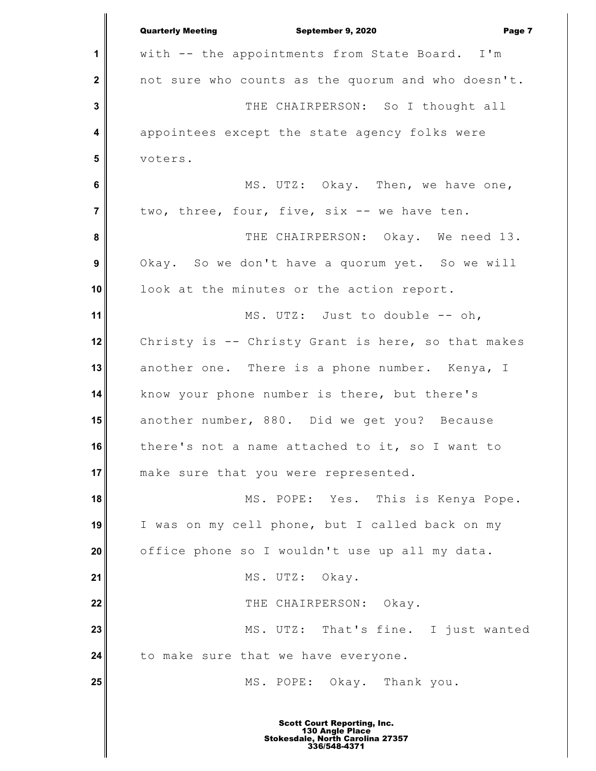|                         | <b>Quarterly Meeting</b><br>September 9, 2020<br>Page 7 |
|-------------------------|---------------------------------------------------------|
| 1                       | with -- the appointments from State Board. I'm          |
| $\mathbf 2$             | not sure who counts as the quorum and who doesn't.      |
| 3                       | THE CHAIRPERSON: So I thought all                       |
| $\overline{\mathbf{4}}$ | appointees except the state agency folks were           |
| 5                       | voters.                                                 |
| 6                       | MS. UTZ: Okay. Then, we have one,                       |
| $\overline{7}$          | two, three, four, five, six -- we have ten.             |
| 8                       | THE CHAIRPERSON: Okay. We need 13.                      |
| $\boldsymbol{9}$        | Okay. So we don't have a quorum yet. So we will         |
| 10                      | look at the minutes or the action report.               |
| 11                      | MS. UTZ: Just to double -- oh,                          |
| 12                      | Christy is -- Christy Grant is here, so that makes      |
| 13                      | another one. There is a phone number. Kenya, I          |
| 14                      | know your phone number is there, but there's            |
| 15                      | another number, 880. Did we get you? Because            |
| 16                      | there's not a name attached to it, so I want to         |
| 17                      | make sure that you were represented.                    |
| 18                      | MS. POPE: Yes. This is Kenya Pope.                      |
| 19                      | I was on my cell phone, but I called back on my         |
| 20                      | office phone so I wouldn't use up all my data.          |
| 21                      | MS. UTZ: Okay.                                          |
| 22                      | THE CHAIRPERSON: Okay.                                  |
| 23                      | MS. UTZ: That's fine. I just wanted                     |
| 24                      | to make sure that we have everyone.                     |
| 25                      | MS. POPE: Okay. Thank you.                              |
|                         |                                                         |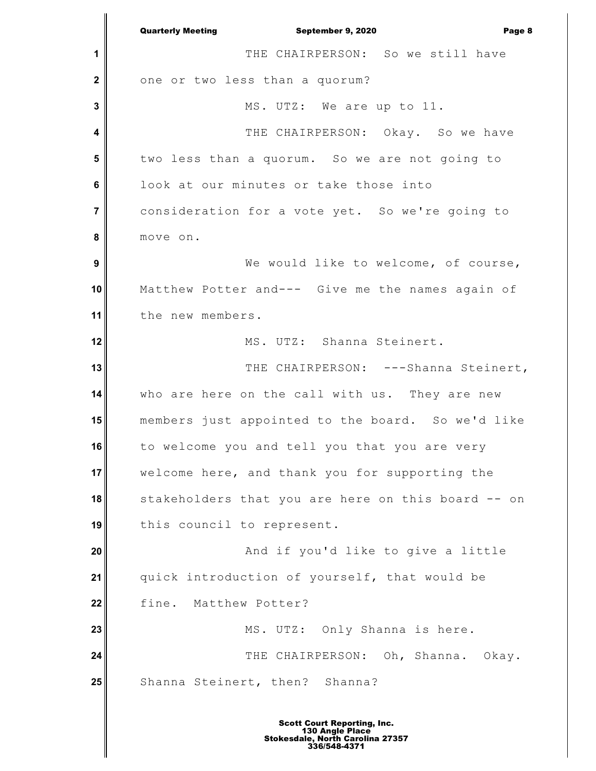**1 2 3 4 5 6 7 8 9 10 11 12 13 14 15 16 17 18 19 20 21 22 23 24 25** Quarterly Meeting September 9, 2020 Page 8 THE CHAIRPERSON: So we still have one or two less than a quorum? MS. UTZ: We are up to 11. THE CHAIRPERSON: Okay. So we have two less than a quorum. So we are not going to look at our minutes or take those into consideration for a vote yet. So we're going to move on. We would like to welcome, of course, Matthew Potter and--- Give me the names again of the new members. MS. UTZ: Shanna Steinert. THE CHAIRPERSON: ---Shanna Steinert, who are here on the call with us. They are new members just appointed to the board. So we'd like to welcome you and tell you that you are very welcome here, and thank you for supporting the stakeholders that you are here on this board -- on this council to represent. And if you'd like to give a little quick introduction of yourself, that would be fine. Matthew Potter? MS. UTZ: Only Shanna is here. THE CHAIRPERSON: Oh, Shanna. Okay. Shanna Steinert, then? Shanna?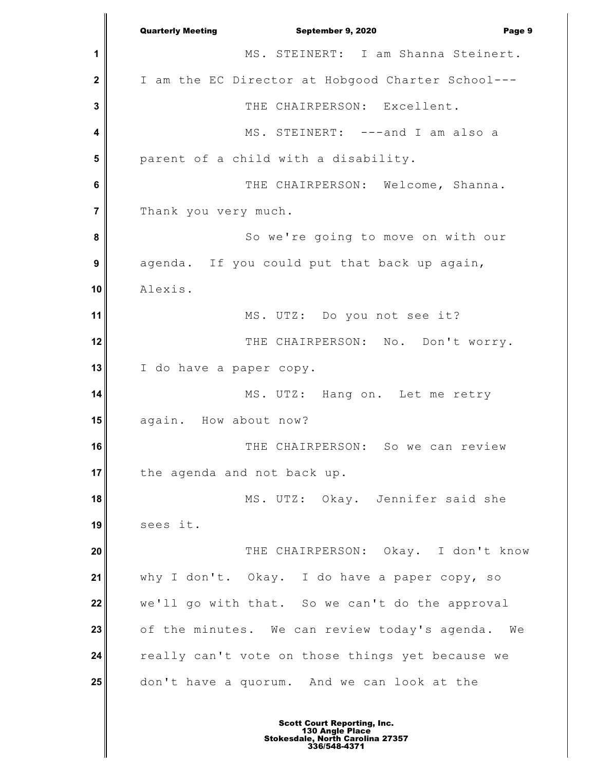**1 2 3 4 5 6 7 8 9 10 11 12 13 14 15 16 17 18 19 20 21 22 23 24 25** Quarterly Meeting September 9, 2020 Page 9 MS. STEINERT: I am Shanna Steinert. I am the EC Director at Hobgood Charter School--- THE CHAIRPERSON: Excellent. MS. STEINERT: ---and I am also a parent of a child with a disability. THE CHAIRPERSON: Welcome, Shanna. Thank you very much. So we're going to move on with our agenda. If you could put that back up again, Alexis. MS. UTZ: Do you not see it? THE CHAIRPERSON: No. Don't worry. I do have a paper copy. MS. UTZ: Hang on. Let me retry again. How about now? THE CHAIRPERSON: So we can review the agenda and not back up. MS. UTZ: Okay. Jennifer said she sees it. THE CHAIRPERSON: Okay. I don't know why I don't. Okay. I do have a paper copy, so we'll go with that. So we can't do the approval of the minutes. We can review today's agenda. We really can't vote on those things yet because we don't have a quorum. And we can look at the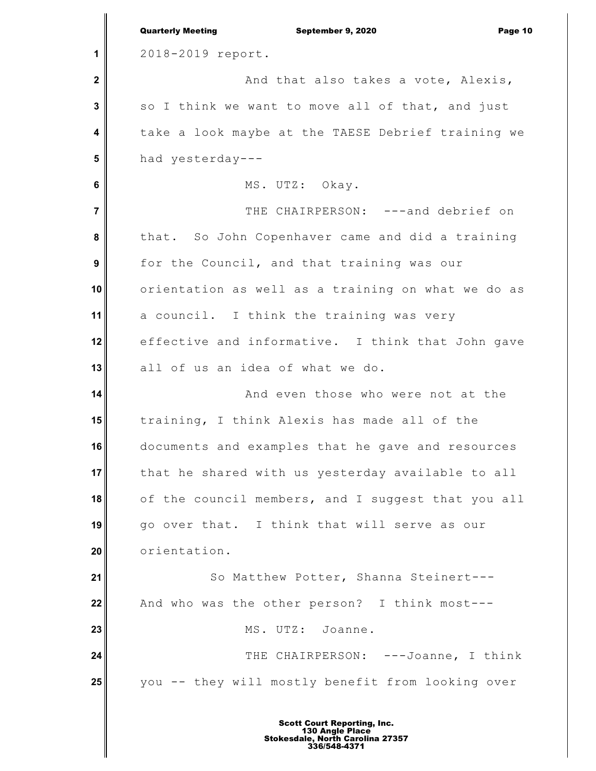|                | <b>Quarterly Meeting</b><br>September 9, 2020<br>Page 10 |
|----------------|----------------------------------------------------------|
| 1              | 2018-2019 report.                                        |
| $\mathbf{2}$   | And that also takes a vote, Alexis,                      |
| 3              | so I think we want to move all of that, and just         |
| 4              | take a look maybe at the TAESE Debrief training we       |
| 5              | had yesterday ---                                        |
| 6              | MS. UTZ: Okay.                                           |
| $\overline{7}$ | THE CHAIRPERSON: ---and debrief on                       |
| 8              | that. So John Copenhaver came and did a training         |
| 9              | for the Council, and that training was our               |
| 10             | orientation as well as a training on what we do as       |
| 11             | a council. I think the training was very                 |
| 12             | effective and informative. I think that John gave        |
| 13             | all of us an idea of what we do.                         |
| 14             | And even those who were not at the                       |
| 15             | training, I think Alexis has made all of the             |
| 16             | documents and examples that he gave and resources        |
| 17             | that he shared with us yesterday available to all        |
| 18             | of the council members, and I suggest that you all       |
| 19             | go over that. I think that will serve as our             |
| 20             | orientation.                                             |
| 21             | So Matthew Potter, Shanna Steinert---                    |
| 22             | And who was the other person? I think most---            |
| 23             | MS. UTZ: Joanne.                                         |
| 24             | THE CHAIRPERSON: ---Joanne, I think                      |
| 25             | you -- they will mostly benefit from looking over        |
|                |                                                          |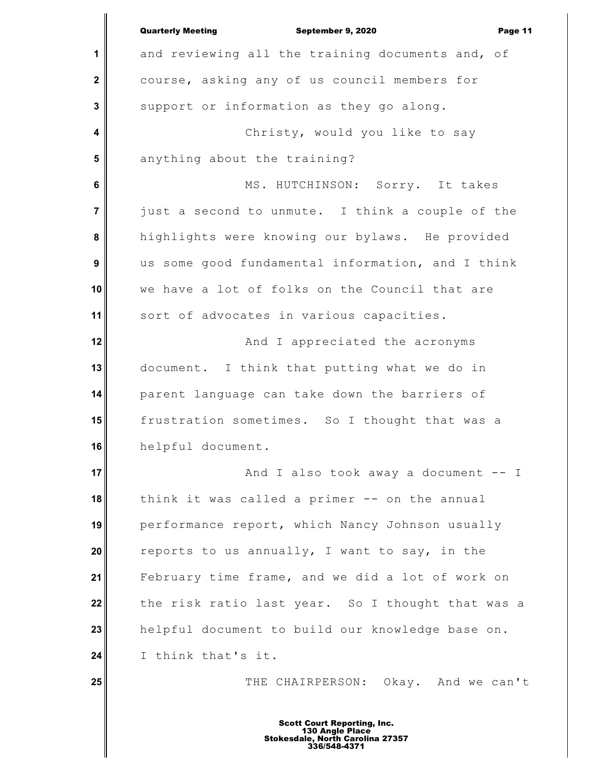|                | <b>Quarterly Meeting</b><br>September 9, 2020<br>Page 11 |
|----------------|----------------------------------------------------------|
| 1              | and reviewing all the training documents and, of         |
| $\mathbf 2$    | course, asking any of us council members for             |
| 3              | support or information as they go along.                 |
| 4              | Christy, would you like to say                           |
| 5              | anything about the training?                             |
| 6              | MS. HUTCHINSON: Sorry. It takes                          |
| $\overline{7}$ | just a second to unmute. I think a couple of the         |
| 8              | highlights were knowing our bylaws. He provided          |
| 9              | us some good fundamental information, and I think        |
| 10             | we have a lot of folks on the Council that are           |
| 11             | sort of advocates in various capacities.                 |
| 12             | And I appreciated the acronyms                           |
| 13             | document. I think that putting what we do in             |
| 14             | parent language can take down the barriers of            |
| 15             | frustration sometimes. So I thought that was a           |
| 16             | helpful document.                                        |
| 17             | And I also took away a document -- I                     |
| 18             | think it was called a primer -- on the annual            |
| 19             | performance report, which Nancy Johnson usually          |
| 20             | reports to us annually, I want to say, in the            |
| 21             | February time frame, and we did a lot of work on         |
| 22             | the risk ratio last year. So I thought that was a        |
| 23             | helpful document to build our knowledge base on.         |
| 24             | I think that's it.                                       |
| 25             | THE CHAIRPERSON: Okay. And we can't                      |
|                |                                                          |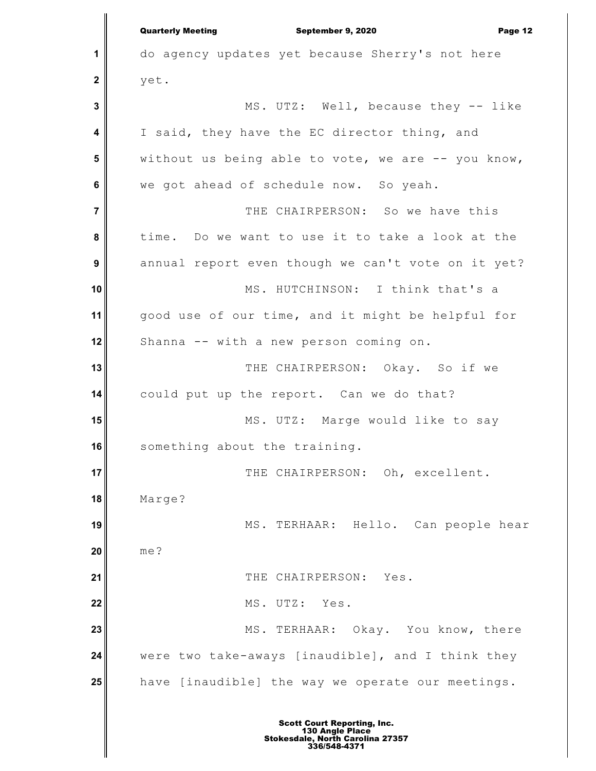**1 2 3 4 5 6 7 8 9 10 11 12 13 14 15 16 17 18 19 20 21 22 23 24 25** Quarterly Meeting September 9, 2020 Page 12 do agency updates yet because Sherry's not here yet. MS. UTZ: Well, because they -- like I said, they have the EC director thing, and without us being able to vote, we are  $-$ - you know, we got ahead of schedule now. So yeah. THE CHAIRPERSON: So we have this time. Do we want to use it to take a look at the annual report even though we can't vote on it yet? MS. HUTCHINSON: I think that's a good use of our time, and it might be helpful for Shanna -- with a new person coming on. THE CHAIRPERSON: Okay. So if we could put up the report. Can we do that? MS. UTZ: Marge would like to say something about the training. THE CHAIRPERSON: Oh, excellent. Marge? MS. TERHAAR: Hello. Can people hear me? THE CHAIRPERSON: Yes. MS. UTZ: Yes. MS. TERHAAR: Okay. You know, there were two take-aways [inaudible], and I think they have [inaudible] the way we operate our meetings.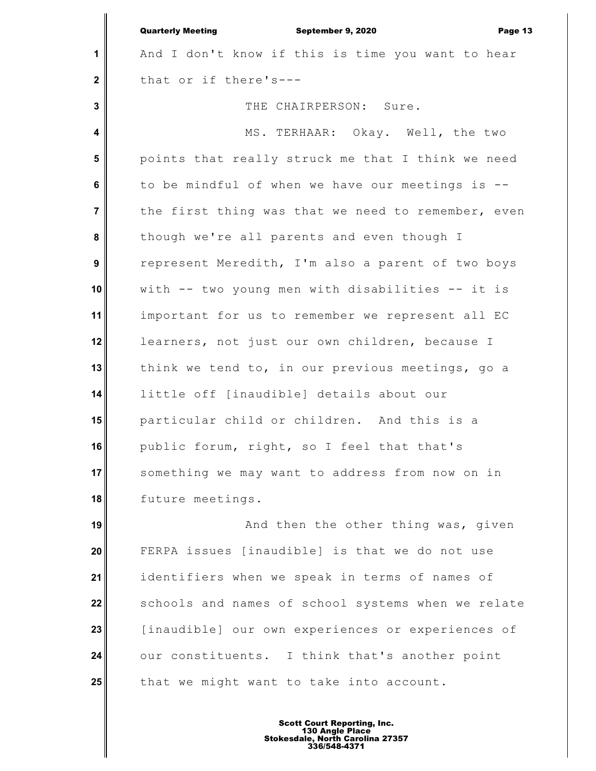**1 2 3 4 5 6 7 8 9 10 11 12 13 14 15 16 17 18 19 20 21 22 23 24** Quarterly Meeting September 9, 2020 Page 13 And I don't know if this is time you want to hear that or if there's--- THE CHAIRPERSON: Sure. MS. TERHAAR: Okay. Well, the two points that really struck me that I think we need to be mindful of when we have our meetings is - the first thing was that we need to remember, even though we're all parents and even though I represent Meredith, I'm also a parent of two boys with -- two young men with disabilities -- it is important for us to remember we represent all EC learners, not just our own children, because I think we tend to, in our previous meetings, go a little off [inaudible] details about our particular child or children. And this is a public forum, right, so I feel that that's something we may want to address from now on in future meetings. And then the other thing was, given FERPA issues [inaudible] is that we do not use identifiers when we speak in terms of names of schools and names of school systems when we relate [inaudible] our own experiences or experiences of our constituents. I think that's another point

that we might want to take into account.

**25**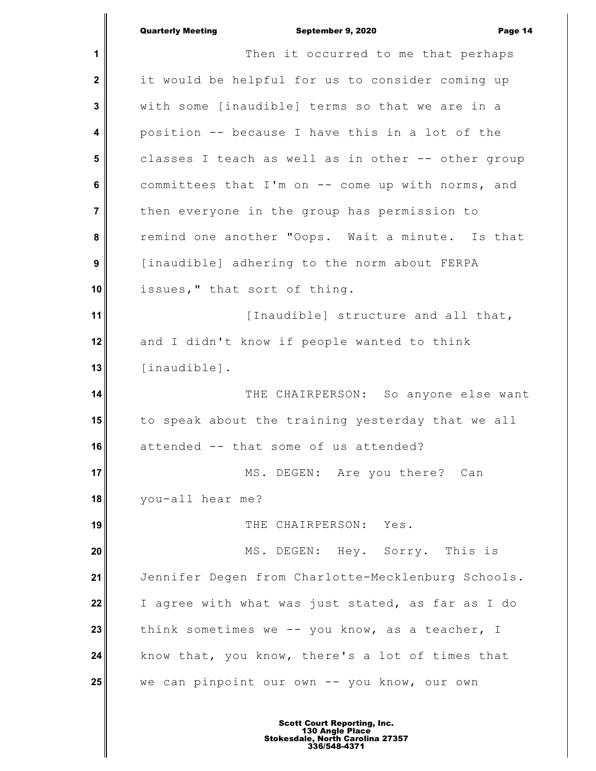|                | <b>Quarterly Meeting</b><br>September 9, 2020<br>Page 14 |
|----------------|----------------------------------------------------------|
| $\mathbf 1$    | Then it occurred to me that perhaps                      |
| $\mathbf{2}$   | it would be helpful for us to consider coming up         |
| $\mathbf{3}$   | with some [inaudible] terms so that we are in a          |
| 4              | position -- because I have this in a lot of the          |
| $5\phantom{1}$ | classes I teach as well as in other -- other group       |
| 6              | committees that I'm on -- come up with norms, and        |
| $\overline{7}$ | then everyone in the group has permission to             |
| 8              | remind one another "Oops. Wait a minute. Is that         |
| 9              | [inaudible] adhering to the norm about FERPA             |
| 10             | issues," that sort of thing.                             |
| 11             | [Inaudible] structure and all that,                      |
| 12             | and I didn't know if people wanted to think              |
| 13             | [inaudible].                                             |
| 14             | THE CHAIRPERSON: So anyone else want                     |
| 15             | to speak about the training yesterday that we all        |
| 16             | attended -- that some of us attended?                    |
| 17             | MS. DEGEN: Are you there? Can                            |
| 18             | you-all hear me?                                         |
| 19             | THE CHAIRPERSON: Yes.                                    |
| 20             | MS. DEGEN: Hey. Sorry. This is                           |
| 21             | Jennifer Degen from Charlotte-Mecklenburg Schools.       |
| 22             | I agree with what was just stated, as far as I do        |
| 23             | think sometimes we -- you know, as a teacher, I          |
| 24             | know that, you know, there's a lot of times that         |
| 25             | we can pinpoint our own -- you know, our own             |
|                |                                                          |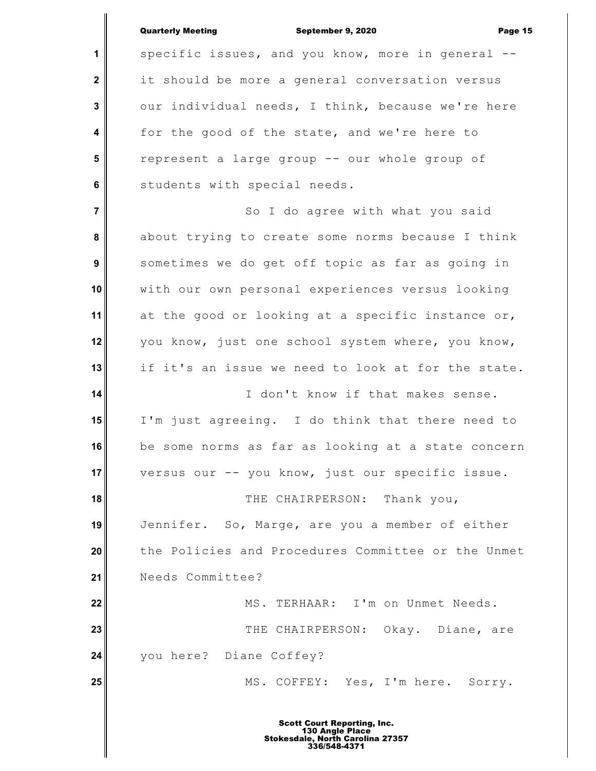|                         | <b>Quarterly Meeting</b><br>September 9, 2020<br>Page 15 |
|-------------------------|----------------------------------------------------------|
| 1                       | specific issues, and you know, more in general --        |
| $\mathbf 2$             | it should be more a general conversation versus          |
| $\mathbf{3}$            | our individual needs, I think, because we're here        |
| $\overline{\mathbf{4}}$ | for the good of the state, and we're here to             |
| $5\phantom{1}$          | represent a large group -- our whole group of            |
| 6                       | students with special needs.                             |
| $\overline{7}$          | So I do agree with what you said                         |
| 8                       | about trying to create some norms because I think        |
| 9                       | sometimes we do get off topic as far as going in         |
| 10                      | with our own personal experiences versus looking         |
| 11                      | at the good or looking at a specific instance or,        |
| 12                      | you know, just one school system where, you know,        |
| 13                      | if it's an issue we need to look at for the state.       |
| 14                      | I don't know if that makes sense.                        |
| 15                      | I'm just agreeing. I do think that there need to         |
| 16                      | be some norms as far as looking at a state concern       |
| 17                      | versus our -- you know, just our specific issue.         |
| 18                      | THE CHAIRPERSON: Thank you,                              |
| 19                      | Jennifer. So, Marge, are you a member of either          |
| 20                      | the Policies and Procedures Committee or the Unmet       |
| 21                      | Needs Committee?                                         |
| 22                      | MS. TERHAAR: I'm on Unmet Needs.                         |
| 23                      | THE CHAIRPERSON: Okay. Diane, are                        |
| 24                      | you here? Diane Coffey?                                  |
| 25                      | MS. COFFEY: Yes, I'm here. Sorry.                        |
|                         |                                                          |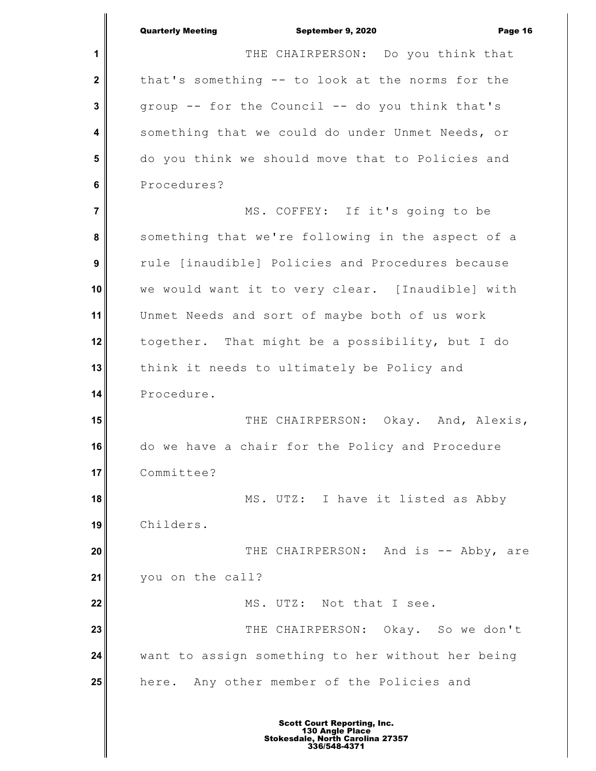|                  | <b>Quarterly Meeting</b><br>September 9, 2020<br>Page 16 |
|------------------|----------------------------------------------------------|
| 1                | THE CHAIRPERSON: Do you think that                       |
| $\mathbf{2}$     | that's something -- to look at the norms for the         |
| $\mathbf{3}$     | group -- for the Council -- do you think that's          |
| 4                | something that we could do under Unmet Needs, or         |
| 5                | do you think we should move that to Policies and         |
| 6                | Procedures?                                              |
| $\overline{7}$   | MS. COFFEY: If it's going to be                          |
| 8                | something that we're following in the aspect of a        |
| $\boldsymbol{9}$ | rule [inaudible] Policies and Procedures because         |
| 10               | we would want it to very clear. [Inaudible] with         |
| 11               | Unmet Needs and sort of maybe both of us work            |
| 12               | together. That might be a possibility, but I do          |
| 13               | think it needs to ultimately be Policy and               |
| 14               | Procedure.                                               |
| 15               | THE CHAIRPERSON: Okay. And, Alexis,                      |
| 16               | do we have a chair for the Policy and Procedure          |
| 17               | Committee?                                               |
| 18               | MS. UTZ: I have it listed as Abby                        |
| 19               | Childers.                                                |
| 20               | THE CHAIRPERSON: And is -- Abby, are                     |
| 21               | you on the call?                                         |
| 22               | MS. UTZ: Not that I see.                                 |
| 23               | THE CHAIRPERSON: Okay. So we don't                       |
| 24               | want to assign something to her without her being        |
| 25               | here. Any other member of the Policies and               |
|                  |                                                          |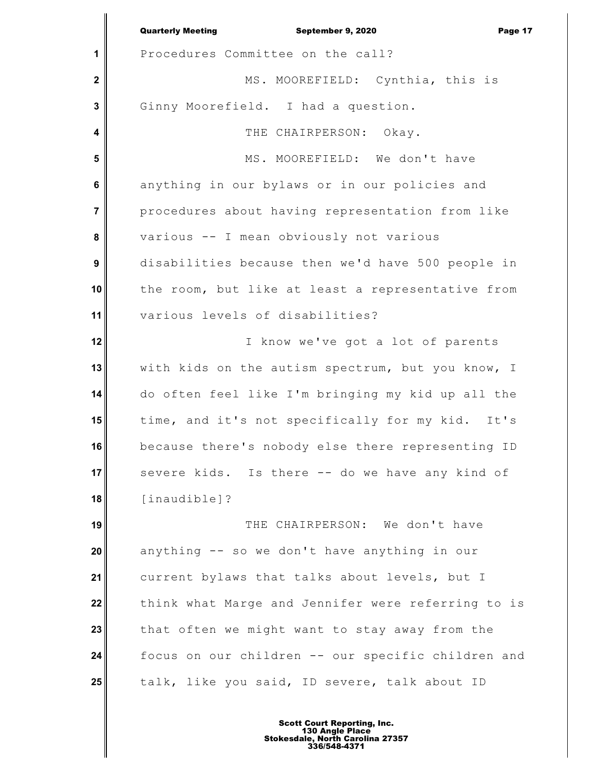|                  | <b>Quarterly Meeting</b><br>September 9, 2020<br>Page 17 |
|------------------|----------------------------------------------------------|
| 1                | Procedures Committee on the call?                        |
| $\mathbf 2$      | MS. MOOREFIELD: Cynthia, this is                         |
| 3                | Ginny Moorefield. I had a question.                      |
| 4                | THE CHAIRPERSON: Okay.                                   |
| 5                | MS. MOOREFIELD: We don't have                            |
| 6                | anything in our bylaws or in our policies and            |
| $\overline{7}$   | procedures about having representation from like         |
| 8                | various -- I mean obviously not various                  |
| $\boldsymbol{9}$ | disabilities because then we'd have 500 people in        |
| 10               | the room, but like at least a representative from        |
| 11               | various levels of disabilities?                          |
| 12               | I know we've got a lot of parents                        |
| 13               | with kids on the autism spectrum, but you know, I        |
| 14               | do often feel like I'm bringing my kid up all the        |
| 15               | time, and it's not specifically for my kid. It's         |
| 16               | because there's nobody else there representing ID        |
| 17               | severe kids. Is there -- do we have any kind of          |
| 18               | [inaudible]?                                             |
| 19               | THE CHAIRPERSON: We don't have                           |
| 20               | anything -- so we don't have anything in our             |
| 21               | current bylaws that talks about levels, but I            |
| 22               | think what Marge and Jennifer were referring to is       |
| 23               | that often we might want to stay away from the           |
| 24               | focus on our children -- our specific children and       |
| 25               | talk, like you said, ID severe, talk about ID            |
|                  |                                                          |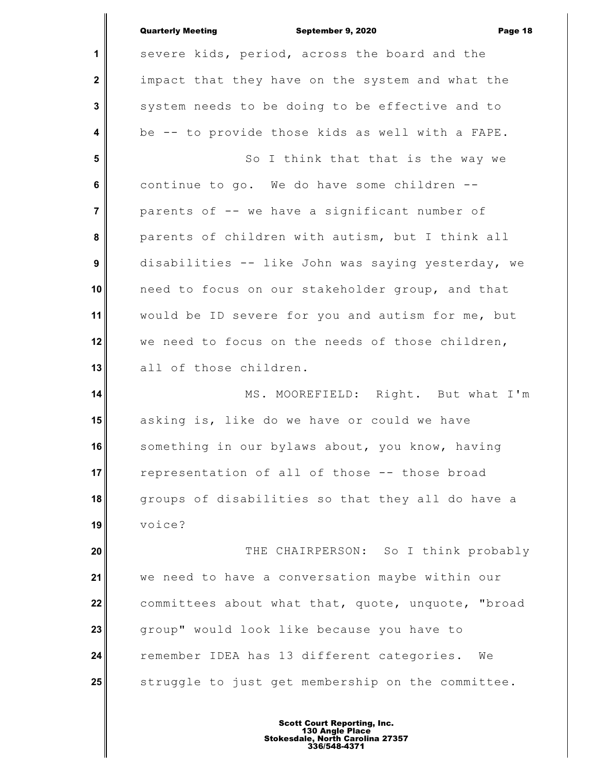|                | <b>Quarterly Meeting</b><br>September 9, 2020<br>Page 18 |
|----------------|----------------------------------------------------------|
| 1              | severe kids, period, across the board and the            |
| $\mathbf 2$    | impact that they have on the system and what the         |
| 3              | system needs to be doing to be effective and to          |
| 4              | be -- to provide those kids as well with a FAPE.         |
| 5              | So I think that that is the way we                       |
| 6              | continue to go. We do have some children --              |
| $\overline{7}$ | parents of -- we have a significant number of            |
| 8              | parents of children with autism, but I think all         |
| 9              | disabilities -- like John was saying yesterday, we       |
| 10             | need to focus on our stakeholder group, and that         |
| 11             | would be ID severe for you and autism for me, but        |
| 12             | we need to focus on the needs of those children,         |
| 13             | all of those children.                                   |
| 14             | MS. MOOREFIELD: Right. But what I'm                      |
| 15             | asking is, like do we have or could we have              |
| 16             | something in our bylaws about, you know, having          |
| 17             | representation of all of those -- those broad            |
| 18             | groups of disabilities so that they all do have a        |
| 19             | voice?                                                   |
| 20             | THE CHAIRPERSON: So I think probably                     |
| 21             | we need to have a conversation maybe within our          |
| 22             | committees about what that, quote, unquote, "broad       |
| 23             | group" would look like because you have to               |
| 24             | remember IDEA has 13 different categories.<br>We         |
| 25             | struggle to just get membership on the committee.        |
|                |                                                          |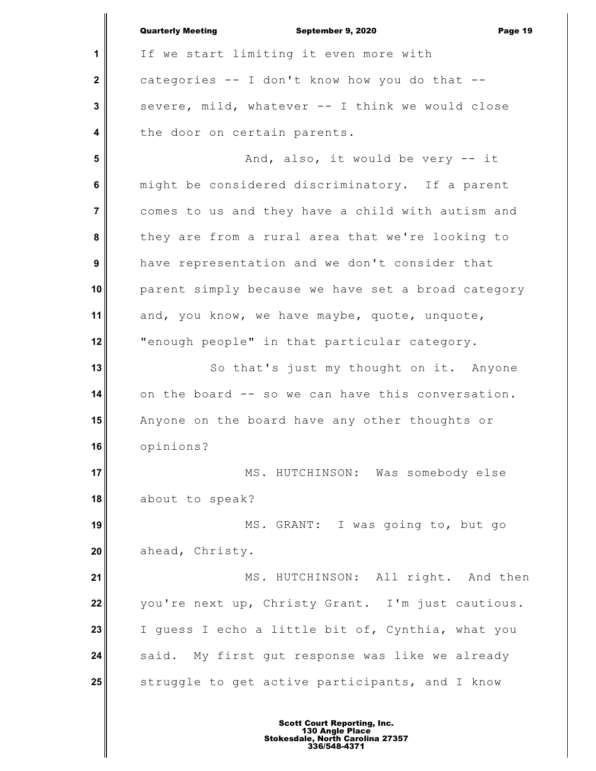**1 2 3 4 5 6 7 8 9 10 11 12 13 14 15 16 17 18 19 20 21 22 23 24 25** Quarterly Meeting September 9, 2020 Page 19 If we start limiting it even more with categories -- I don't know how you do that - severe, mild, whatever -- I think we would close the door on certain parents. And, also, it would be very -- it might be considered discriminatory. If a parent comes to us and they have a child with autism and they are from a rural area that we're looking to have representation and we don't consider that parent simply because we have set a broad category and, you know, we have maybe, quote, unquote, "enough people" in that particular category. So that's just my thought on it. Anyone on the board -- so we can have this conversation. Anyone on the board have any other thoughts or opinions? MS. HUTCHINSON: Was somebody else about to speak? MS. GRANT: I was going to, but go ahead, Christy. MS. HUTCHINSON: All right. And then you're next up, Christy Grant. I'm just cautious. I guess I echo a little bit of, Cynthia, what you said. My first gut response was like we already struggle to get active participants, and I know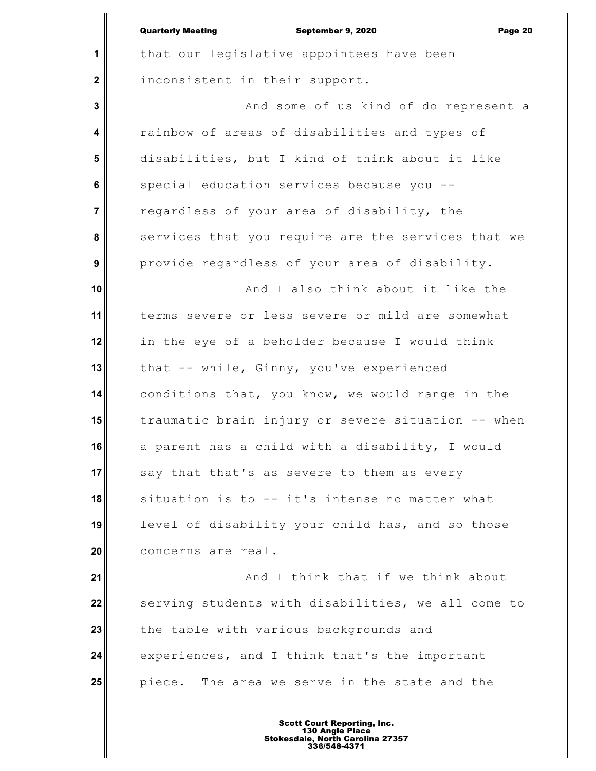|                         | <b>Quarterly Meeting</b><br>September 9, 2020<br>Page 20 |
|-------------------------|----------------------------------------------------------|
| 1                       | that our legislative appointees have been                |
| $\mathbf 2$             | inconsistent in their support.                           |
| 3                       | And some of us kind of do represent a                    |
| $\overline{\mathbf{4}}$ | rainbow of areas of disabilities and types of            |
| 5                       | disabilities, but I kind of think about it like          |
| $6\phantom{a}$          | special education services because you --                |
| $\overline{7}$          | regardless of your area of disability, the               |
| 8                       | services that you require are the services that we       |
| $\boldsymbol{9}$        | provide regardless of your area of disability.           |
| 10                      | And I also think about it like the                       |
| 11                      | terms severe or less severe or mild are somewhat         |
| 12                      | in the eye of a beholder because I would think           |
| 13                      | that -- while, Ginny, you've experienced                 |
| 14                      | conditions that, you know, we would range in the         |
| 15                      | traumatic brain injury or severe situation -- when       |
| 16                      | a parent has a child with a disability, I would          |
| 17                      | say that that's as severe to them as every               |
| 18                      | situation is to -- it's intense no matter what           |
| 19                      | level of disability your child has, and so those         |
| 20                      | concerns are real.                                       |
| 21                      | And I think that if we think about                       |
| 22                      | serving students with disabilities, we all come to       |
| 23                      | the table with various backgrounds and                   |
| 24                      | experiences, and I think that's the important            |
| 25                      | piece. The area we serve in the state and the            |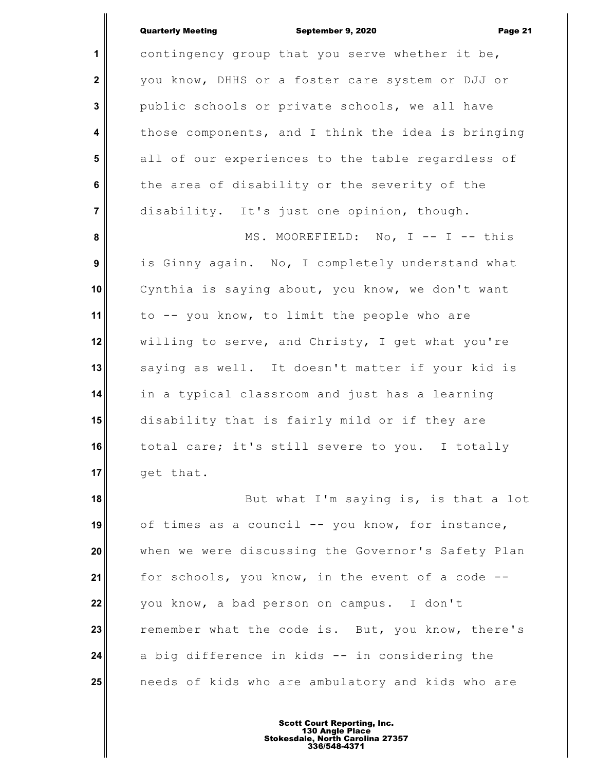Quarterly Meeting September 9, 2020 Page 21

**1 2 3 4 5 6 7 8 9 10 11 12 13 14 15 16 17** contingency group that you serve whether it be, you know, DHHS or a foster care system or DJJ or public schools or private schools, we all have those components, and I think the idea is bringing all of our experiences to the table regardless of the area of disability or the severity of the disability. It's just one opinion, though. MS. MOOREFIELD: No, I -- I -- this is Ginny again. No, I completely understand what Cynthia is saying about, you know, we don't want to -- you know, to limit the people who are willing to serve, and Christy, I get what you're saying as well. It doesn't matter if your kid is in a typical classroom and just has a learning disability that is fairly mild or if they are total care; it's still severe to you. I totally get that.

**18 19 20 21 22 23 24 25** But what I'm saying is, is that a lot of times as a council -- you know, for instance, when we were discussing the Governor's Safety Plan for schools, you know, in the event of a code - you know, a bad person on campus. I don't remember what the code is. But, you know, there's a big difference in kids -- in considering the needs of kids who are ambulatory and kids who are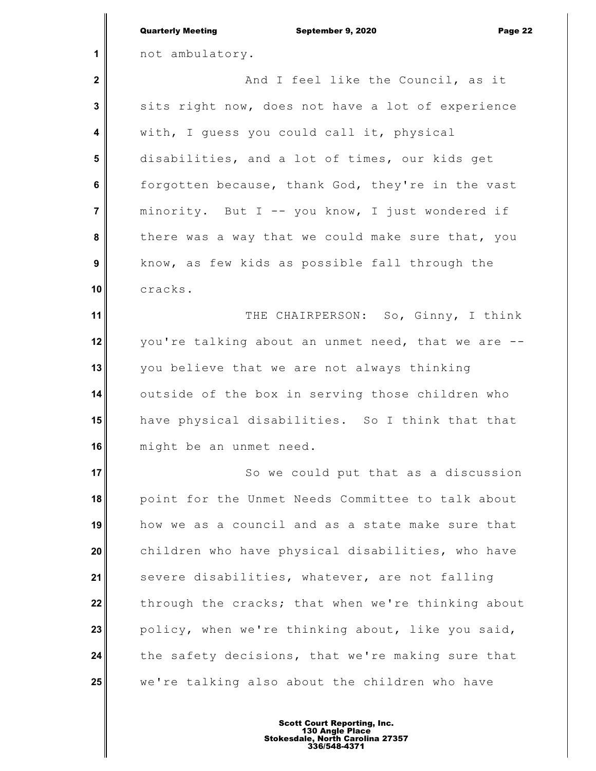|                  | <b>Quarterly Meeting</b><br>September 9, 2020<br>Page 22 |
|------------------|----------------------------------------------------------|
| 1                | not ambulatory.                                          |
| $\mathbf 2$      | And I feel like the Council, as it                       |
| 3                | sits right now, does not have a lot of experience        |
| 4                | with, I guess you could call it, physical                |
| 5                | disabilities, and a lot of times, our kids get           |
| 6                | forgotten because, thank God, they're in the vast        |
| $\overline{7}$   | minority. But I -- you know, I just wondered if          |
| 8                | there was a way that we could make sure that, you        |
| $\boldsymbol{9}$ | know, as few kids as possible fall through the           |
| 10               | cracks.                                                  |
| 11               | THE CHAIRPERSON: So, Ginny, I think                      |
| 12               | you're talking about an unmet need, that we are --       |
| 13               | you believe that we are not always thinking              |
| 14               | outside of the box in serving those children who         |
| 15               | have physical disabilities. So I think that that         |
| 16               | might be an unmet need.                                  |
| 17               | So we could put that as a discussion                     |
| 18               | point for the Unmet Needs Committee to talk about        |
| 19               | how we as a council and as a state make sure that        |
| 20               | children who have physical disabilities, who have        |
| 21               | severe disabilities, whatever, are not falling           |
| 22               | through the cracks; that when we're thinking about       |
| 23               | policy, when we're thinking about, like you said,        |
| 24               | the safety decisions, that we're making sure that        |
| 25               | we're talking also about the children who have           |
|                  |                                                          |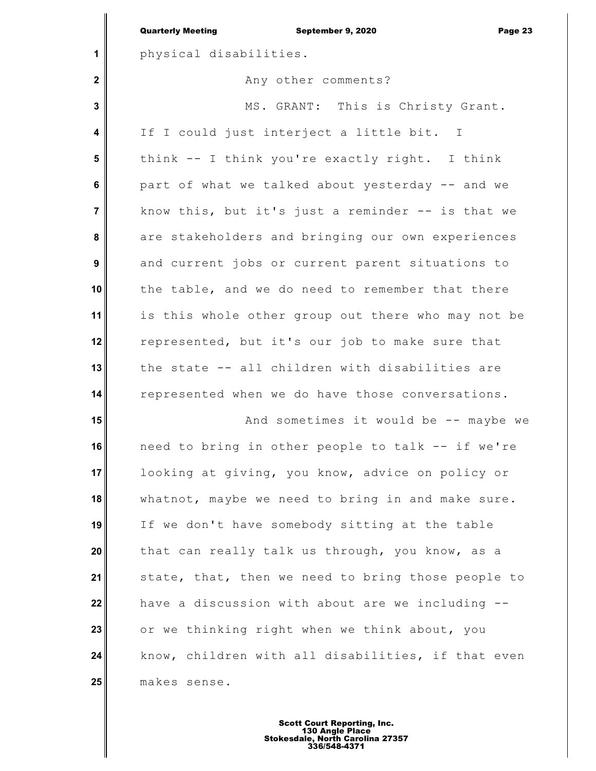|                         | <b>Quarterly Meeting</b><br>September 9, 2020<br>Page 23 |
|-------------------------|----------------------------------------------------------|
| 1                       | physical disabilities.                                   |
| $\mathbf{2}$            | Any other comments?                                      |
| 3                       | MS. GRANT: This is Christy Grant.                        |
| $\overline{\mathbf{4}}$ | If I could just interject a little bit. I                |
| 5                       | think -- I think you're exactly right. I think           |
| $6\phantom{1}$          | part of what we talked about yesterday -- and we         |
| $\overline{7}$          | know this, but it's just a reminder -- is that we        |
| 8                       | are stakeholders and bringing our own experiences        |
| 9                       | and current jobs or current parent situations to         |
| 10                      | the table, and we do need to remember that there         |
| 11                      | is this whole other group out there who may not be       |
| 12                      | represented, but it's our job to make sure that          |
| 13                      | the state -- all children with disabilities are          |
| 14                      | represented when we do have those conversations.         |
| 15                      | And sometimes it would be -- maybe we                    |
| 16                      | need to bring in other people to talk -- if we're        |
| 17                      | looking at giving, you know, advice on policy or         |
| 18                      | whatnot, maybe we need to bring in and make sure.        |
| 19                      | If we don't have somebody sitting at the table           |
| 20                      | that can really talk us through, you know, as a          |
| 21                      | state, that, then we need to bring those people to       |
| 22                      | have a discussion with about are we including --         |
| 23                      | or we thinking right when we think about, you            |
| 24                      | know, children with all disabilities, if that even       |
| 25                      | makes sense.                                             |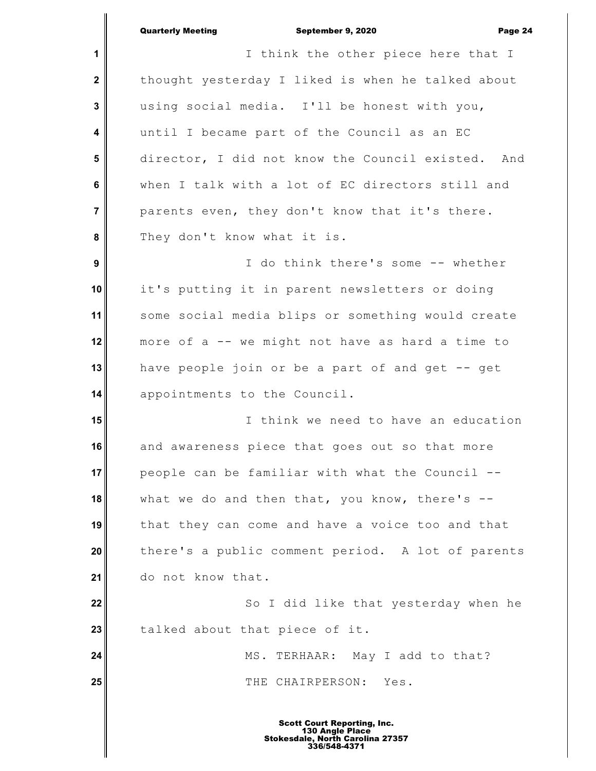|                  | <b>Quarterly Meeting</b><br>September 9, 2020<br>Page 24 |
|------------------|----------------------------------------------------------|
| 1                | I think the other piece here that I                      |
| $\mathbf{2}$     | thought yesterday I liked is when he talked about        |
| 3                | using social media. I'll be honest with you,             |
| 4                | until I became part of the Council as an EC              |
| 5                | director, I did not know the Council existed. And        |
| 6                | when I talk with a lot of EC directors still and         |
| 7                | parents even, they don't know that it's there.           |
| 8                | They don't know what it is.                              |
| $\boldsymbol{9}$ | I do think there's some -- whether                       |
| 10               | it's putting it in parent newsletters or doing           |
| 11               | some social media blips or something would create        |
| 12 <sub>2</sub>  | more of a -- we might not have as hard a time to         |
| 13               | have people join or be a part of and get -- get          |
| 14               | appointments to the Council.                             |
| 15               | I think we need to have an education                     |
| 16               | and awareness piece that goes out so that more           |
| 17               | people can be familiar with what the Council --          |
|                  |                                                          |

**18 19 20 21** what we do and then that, you know, there's -that they can come and have a voice too and that there's a public comment period. A lot of parents do not know that.

**22 23** So I did like that yesterday when he talked about that piece of it.

**24 25** MS. TERHAAR: May I add to that? THE CHAIRPERSON: Yes.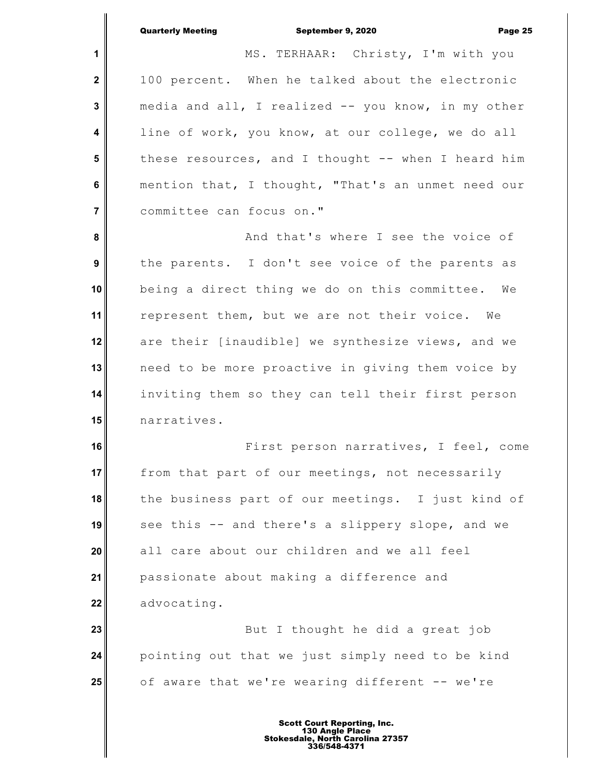September 9, 2020 Page 25

**1 2 3 4 5 6 7 8 9 10 11 12 13 14 15 16 17 18 19 20 21 22 23 24 25** MS. TERHAAR: Christy, I'm with you 100 percent. When he talked about the electronic media and all, I realized -- you know, in my other line of work, you know, at our college, we do all these resources, and I thought -- when I heard him mention that, I thought, "That's an unmet need our committee can focus on." And that's where I see the voice of the parents. I don't see voice of the parents as being a direct thing we do on this committee. We represent them, but we are not their voice. We are their [inaudible] we synthesize views, and we need to be more proactive in giving them voice by inviting them so they can tell their first person narratives. First person narratives, I feel, come from that part of our meetings, not necessarily the business part of our meetings. I just kind of see this -- and there's a slippery slope, and we all care about our children and we all feel passionate about making a difference and advocating. But I thought he did a great job pointing out that we just simply need to be kind of aware that we're wearing different -- we're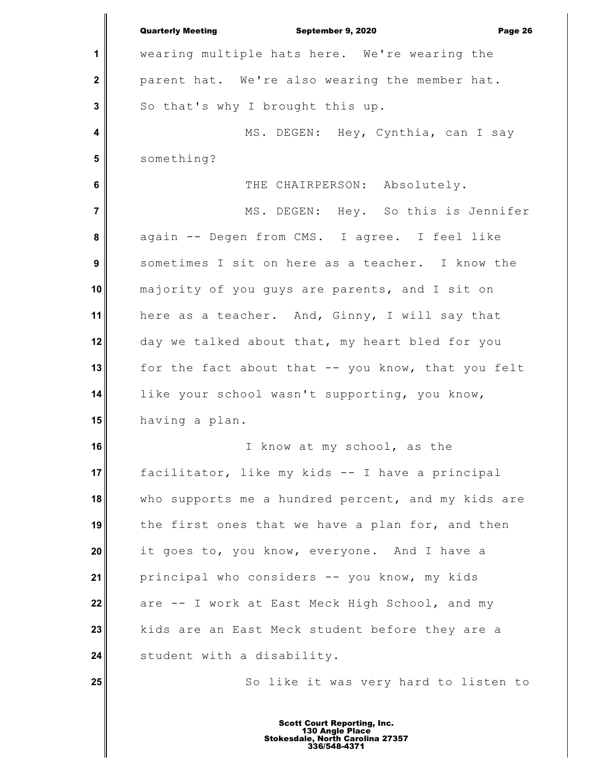|                | <b>Quarterly Meeting</b><br>September 9, 2020<br>Page 26 |
|----------------|----------------------------------------------------------|
| 1              | wearing multiple hats here. We're wearing the            |
| $\mathbf 2$    | parent hat. We're also wearing the member hat.           |
| 3              | So that's why I brought this up.                         |
| 4              | MS. DEGEN: Hey, Cynthia, can I say                       |
| 5              | something?                                               |
| 6              | THE CHAIRPERSON: Absolutely.                             |
| $\overline{7}$ | MS. DEGEN: Hey. So this is Jennifer                      |
| 8              | again -- Degen from CMS. I agree. I feel like            |
| 9              | sometimes I sit on here as a teacher. I know the         |
| 10             | majority of you guys are parents, and I sit on           |
| 11             | here as a teacher. And, Ginny, I will say that           |
| 12             | day we talked about that, my heart bled for you          |
| 13             | for the fact about that -- you know, that you felt       |
| 14             | like your school wasn't supporting, you know,            |
| 15             | having a plan.                                           |
| 16             | I know at my school, as the                              |
| 17             | facilitator, like my kids -- I have a principal          |
| 18             | who supports me a hundred percent, and my kids are       |
| 19             | the first ones that we have a plan for, and then         |
| 20             | it goes to, you know, everyone. And I have a             |
| 21             | principal who considers -- you know, my kids             |
| 22             | are -- I work at East Meck High School, and my           |
| 23             | kids are an East Meck student before they are a          |
| 24             | student with a disability.                               |
| 25             | So like it was very hard to listen to                    |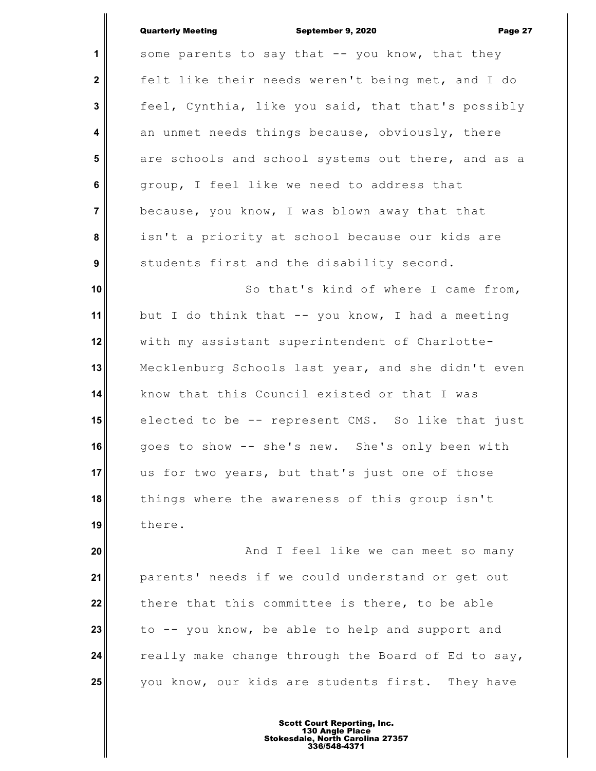### Quarterly Meeting September 9, 2020 Page 27

| $\mathbf{1}$            | some parents to say that -- you know, that they    |
|-------------------------|----------------------------------------------------|
| $\overline{\mathbf{2}}$ | felt like their needs weren't being met, and I do  |
| $\mathbf{3}$            | feel, Cynthia, like you said, that that's possibly |
| $\overline{\mathbf{4}}$ | an unmet needs things because, obviously, there    |
| $5\phantom{.0}$         | are schools and school systems out there, and as a |
| $\bf 6$                 | group, I feel like we need to address that         |
| $\overline{7}$          | because, you know, I was blown away that that      |
| 8                       | isn't a priority at school because our kids are    |
| 9                       | students first and the disability second.          |
| 10                      | So that's kind of where I came from,               |
| 11                      | but I do think that -- you know, I had a meeting   |
| 12                      | with my assistant superintendent of Charlotte-     |
| 13                      | Mecklenburg Schools last year, and she didn't even |
| 14                      | know that this Council existed or that I was       |
| 15                      | elected to be -- represent CMS. So like that just  |
| 16                      | goes to show -- she's new. She's only been with    |
| 17                      | us for two years, but that's just one of those     |
| 18                      | things where the awareness of this group isn't     |
| 19                      | there.                                             |
| 20                      | And I feel like we can meet so many                |
| 21                      | parents' needs if we could understand or get out   |

**22 23 24 25** there that this committee is there, to be able to -- you know, be able to help and support and really make change through the Board of Ed to say, you know, our kids are students first. They have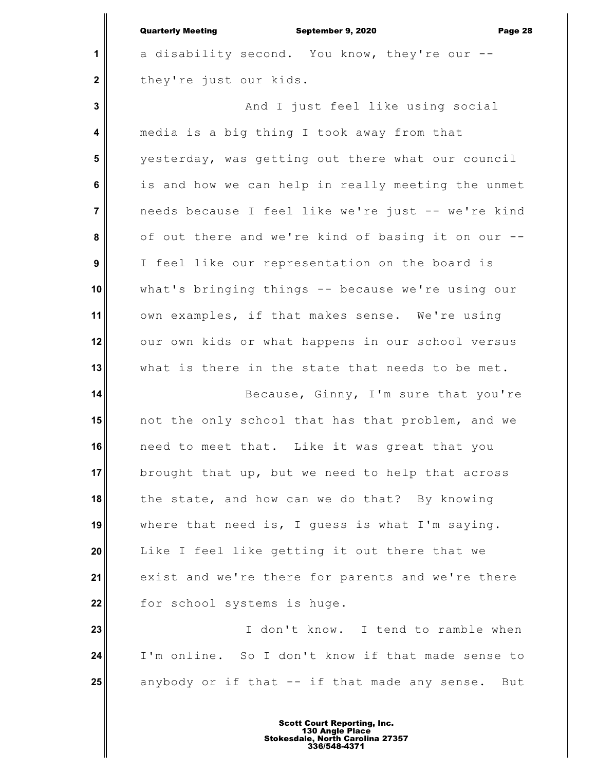|                         | <b>Quarterly Meeting</b><br>September 9, 2020<br>Page 28 |
|-------------------------|----------------------------------------------------------|
| 1                       | a disability second. You know, they're our --            |
| $\mathbf 2$             | they're just our kids.                                   |
| $\mathbf 3$             | And I just feel like using social                        |
| $\overline{\mathbf{4}}$ | media is a big thing I took away from that               |
| $5\phantom{1}$          | yesterday, was getting out there what our council        |
| $6\phantom{a}$          | is and how we can help in really meeting the unmet       |
| $\overline{7}$          | needs because I feel like we're just -- we're kind       |
| 8                       | of out there and we're kind of basing it on our --       |
| 9                       | I feel like our representation on the board is           |
| 10                      | what's bringing things -- because we're using our        |
| 11                      | own examples, if that makes sense. We're using           |
| 12                      | our own kids or what happens in our school versus        |
| 13                      | what is there in the state that needs to be met.         |
| 14                      | Because, Ginny, I'm sure that you're                     |
| 15                      | not the only school that has that problem, and we        |
| 16                      | need to meet that. Like it was great that you            |
| 17                      | brought that up, but we need to help that across         |
| 18                      | the state, and how can we do that? By knowing            |
| 19                      | where that need is, I guess is what I'm saying.          |
| 20                      | Like I feel like getting it out there that we            |
| 21                      | exist and we're there for parents and we're there        |
| 22                      | for school systems is huge.                              |
| 23                      | I don't know. I tend to ramble when                      |
| 24                      | I'm online. So I don't know if that made sense to        |
| 25                      | anybody or if that -- if that made any sense. But        |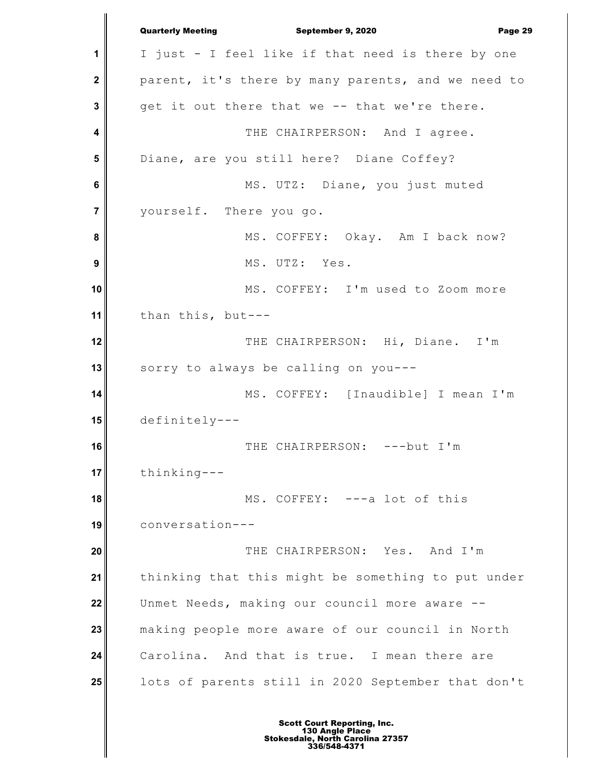**1 2 3 4 5 6 7 8 9 10 11 12 13 14 15 16 17 18 19 20 21 22 23 24 25** Quarterly Meeting September 9, 2020 Page 29 I just - I feel like if that need is there by one parent, it's there by many parents, and we need to get it out there that we -- that we're there. THE CHAIRPERSON: And I agree. Diane, are you still here? Diane Coffey? MS. UTZ: Diane, you just muted yourself. There you go. MS. COFFEY: Okay. Am I back now? MS. UTZ: Yes. MS. COFFEY: I'm used to Zoom more than this, but--- THE CHAIRPERSON: Hi, Diane. I'm sorry to always be calling on you--- MS. COFFEY: [Inaudible] I mean I'm definitely--- THE CHAIRPERSON: ---but I'm thinking--- MS. COFFEY: ---a lot of this conversation--- THE CHAIRPERSON: Yes. And I'm thinking that this might be something to put under Unmet Needs, making our council more aware - making people more aware of our council in North Carolina. And that is true. I mean there are lots of parents still in 2020 September that don't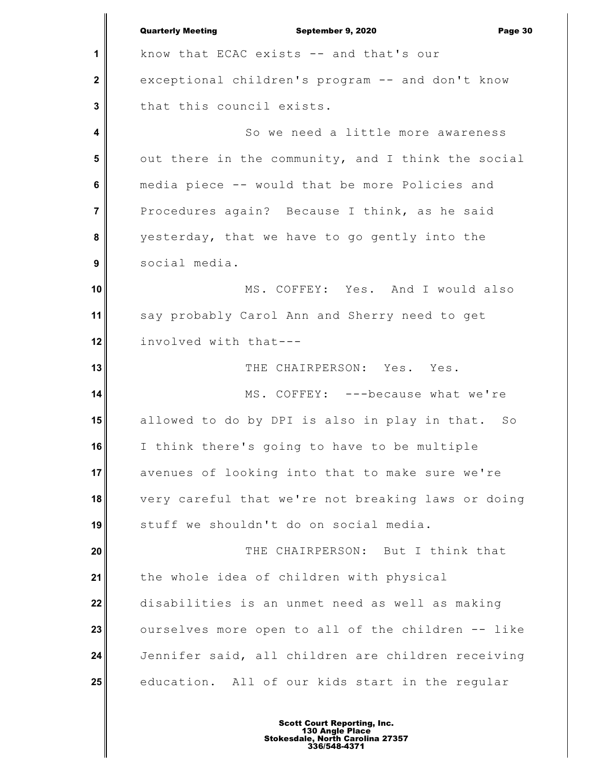**1 2 3 4 5 6 7 8 9 10 11 12 13 14 15 16 17 18 19 20 21 22 23 24 25** Quarterly Meeting September 9, 2020 Page 30 know that ECAC exists -- and that's our exceptional children's program -- and don't know that this council exists. So we need a little more awareness out there in the community, and I think the social media piece -- would that be more Policies and Procedures again? Because I think, as he said yesterday, that we have to go gently into the social media. MS. COFFEY: Yes. And I would also say probably Carol Ann and Sherry need to get involved with that--- THE CHAIRPERSON: Yes. Yes. MS. COFFEY: ---because what we're allowed to do by DPI is also in play in that. So I think there's going to have to be multiple avenues of looking into that to make sure we're very careful that we're not breaking laws or doing stuff we shouldn't do on social media. THE CHAIRPERSON: But I think that the whole idea of children with physical disabilities is an unmet need as well as making ourselves more open to all of the children -- like Jennifer said, all children are children receiving education. All of our kids start in the regular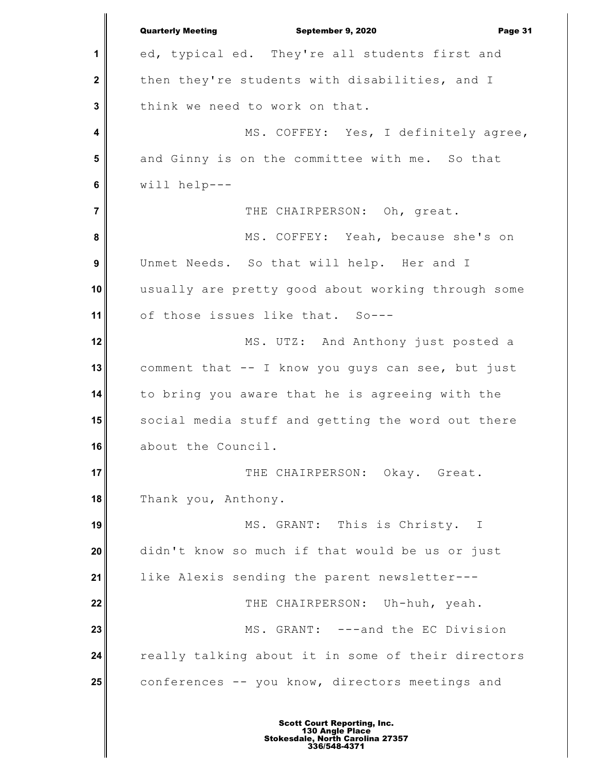**1 2 3 4 5 6 7 8 9 10 11 12 13 14 15 16 17 18 19 20 21 22 23 24 25** Quarterly Meeting September 9, 2020 Page 31 ed, typical ed. They're all students first and then they're students with disabilities, and I think we need to work on that. MS. COFFEY: Yes, I definitely agree, and Ginny is on the committee with me. So that will help--- THE CHAIRPERSON: Oh, great. MS. COFFEY: Yeah, because she's on Unmet Needs. So that will help. Her and I usually are pretty good about working through some of those issues like that. So--- MS. UTZ: And Anthony just posted a comment that -- I know you guys can see, but just to bring you aware that he is agreeing with the social media stuff and getting the word out there about the Council. THE CHAIRPERSON: Okay. Great. Thank you, Anthony. MS. GRANT: This is Christy. I didn't know so much if that would be us or just like Alexis sending the parent newsletter--- THE CHAIRPERSON: Uh-huh, yeah. MS. GRANT: ---and the EC Division really talking about it in some of their directors conferences -- you know, directors meetings and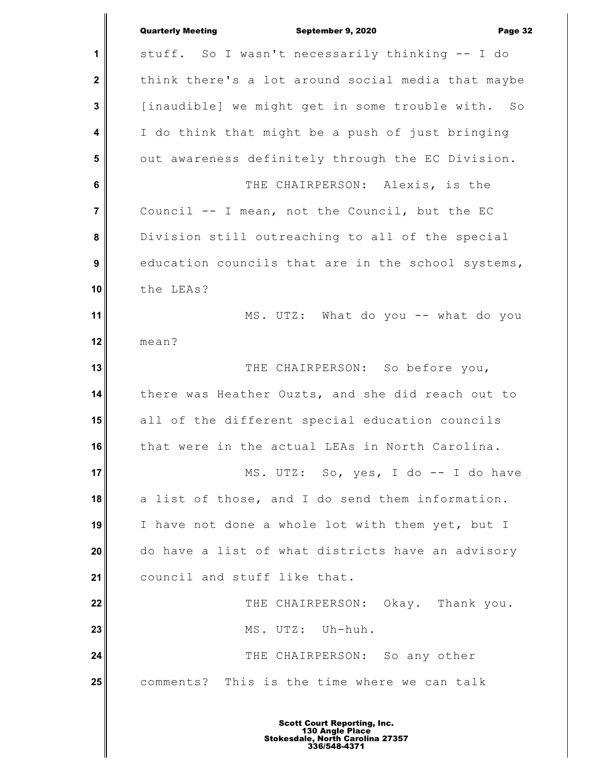|                         | <b>Quarterly Meeting</b><br>September 9, 2020<br>Page 32 |
|-------------------------|----------------------------------------------------------|
| 1                       | stuff. So I wasn't necessarily thinking -- I do          |
| $\overline{\mathbf{2}}$ | think there's a lot around social media that maybe       |
| $\mathbf 3$             | [inaudible] we might get in some trouble with. So        |
| 4                       | I do think that might be a push of just bringing         |
| $5\phantom{1}$          | out awareness definitely through the EC Division.        |
| 6                       | THE CHAIRPERSON: Alexis, is the                          |
| $\overline{7}$          | Council -- I mean, not the Council, but the EC           |
| 8                       | Division still outreaching to all of the special         |
| $\boldsymbol{9}$        | education councils that are in the school systems,       |
| 10                      | the LEAs?                                                |
| 11                      | MS. UTZ: What do you -- what do you                      |
| 12                      | mean?                                                    |
| 13                      | THE CHAIRPERSON: So before you,                          |
| 14                      | there was Heather Ouzts, and she did reach out to        |
| 15                      | all of the different special education councils          |
| 16                      | that were in the actual LEAs in North Carolina.          |
| 17                      | MS. UTZ: So, yes, I do -- I do have                      |
| 18                      | a list of those, and I do send them information.         |
| 19                      | I have not done a whole lot with them yet, but I         |
| 20                      | do have a list of what districts have an advisory        |
| 21                      | council and stuff like that.                             |
| 22                      | THE CHAIRPERSON: Okay. Thank you.                        |
| 23                      | MS. UTZ: Uh-huh.                                         |
| 24                      | THE CHAIRPERSON: So any other                            |
| 25                      | comments? This is the time where we can talk             |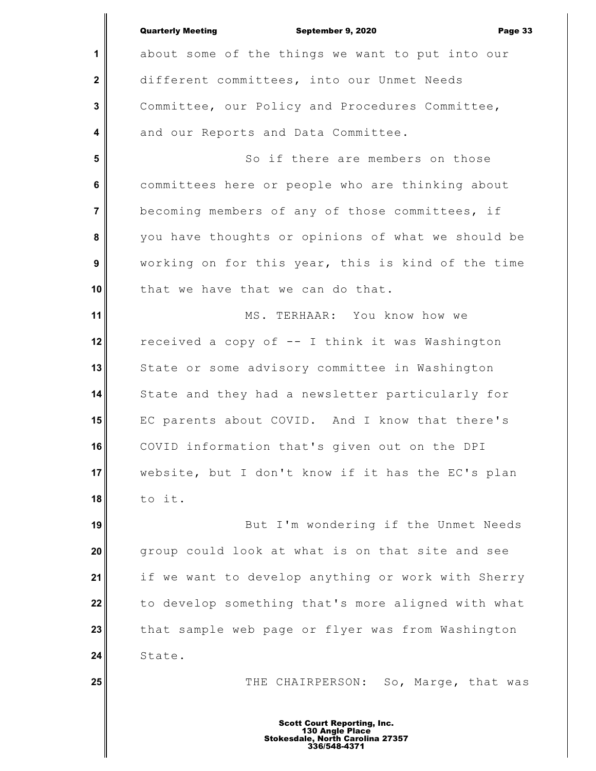|                | <b>Quarterly Meeting</b><br>September 9, 2020<br>Page 33 |
|----------------|----------------------------------------------------------|
| 1              | about some of the things we want to put into our         |
| $\mathbf{2}$   | different committees, into our Unmet Needs               |
| 3              | Committee, our Policy and Procedures Committee,          |
| 4              | and our Reports and Data Committee.                      |
| 5              | So if there are members on those                         |
| 6              | committees here or people who are thinking about         |
| $\overline{7}$ | becoming members of any of those committees, if          |
| 8              | you have thoughts or opinions of what we should be       |
| 9              | working on for this year, this is kind of the time       |
| 10             | that we have that we can do that.                        |
| 11             | MS. TERHAAR: You know how we                             |
| 12             | received a copy of -- I think it was Washington          |
| 13             | State or some advisory committee in Washington           |
| 14             | State and they had a newsletter particularly for         |
| 15             | EC parents about COVID. And I know that there's          |
| 16             | COVID information that's given out on the DPI            |
| 17             | website, but I don't know if it has the EC's plan        |
| 18             | to it.                                                   |
| 19             | But I'm wondering if the Unmet Needs                     |
| 20             | group could look at what is on that site and see         |
| 21             | if we want to develop anything or work with Sherry       |
| 22             | to develop something that's more aligned with what       |
| 23             | that sample web page or flyer was from Washington        |
| 24             | State.                                                   |
| 25             | THE CHAIRPERSON: So, Marge, that was                     |
|                |                                                          |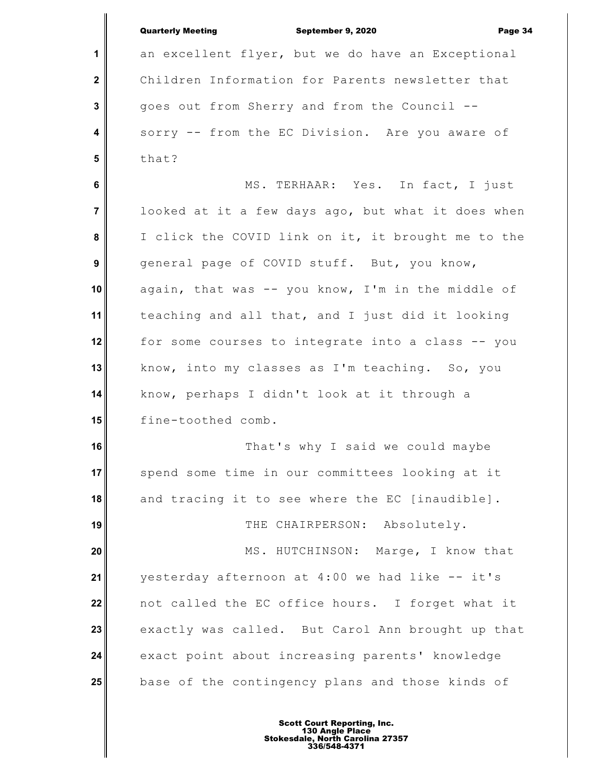|                | <b>Quarterly Meeting</b><br>September 9, 2020<br>Page 34 |
|----------------|----------------------------------------------------------|
| 1              | an excellent flyer, but we do have an Exceptional        |
| $\mathbf 2$    | Children Information for Parents newsletter that         |
| $\mathbf{3}$   | goes out from Sherry and from the Council --             |
| 4              | sorry -- from the EC Division. Are you aware of          |
| 5              | that?                                                    |
| 6              | MS. TERHAAR: Yes. In fact, I just                        |
| $\overline{7}$ | looked at it a few days ago, but what it does when       |
| 8              | I click the COVID link on it, it brought me to the       |
| 9              | general page of COVID stuff. But, you know,              |
| 10             | again, that was -- you know, I'm in the middle of        |
| 11             | teaching and all that, and I just did it looking         |
| 12             | for some courses to integrate into a class -- you        |
| 13             | know, into my classes as I'm teaching. So, you           |
| 14             | know, perhaps I didn't look at it through a              |
| 15             | fine-toothed comb.                                       |
| 16             | That's why I said we could maybe                         |
| 17             | spend some time in our committees looking at it          |
| 18             | and tracing it to see where the EC [inaudible].          |
| 19             | THE CHAIRPERSON: Absolutely.                             |
| 20             | MS. HUTCHINSON: Marge, I know that                       |
| 21             | yesterday afternoon at 4:00 we had like -- it's          |
| 22             | not called the EC office hours. I forget what it         |
| 23             | exactly was called. But Carol Ann brought up that        |
| 24             | exact point about increasing parents' knowledge          |
| 25             | base of the contingency plans and those kinds of         |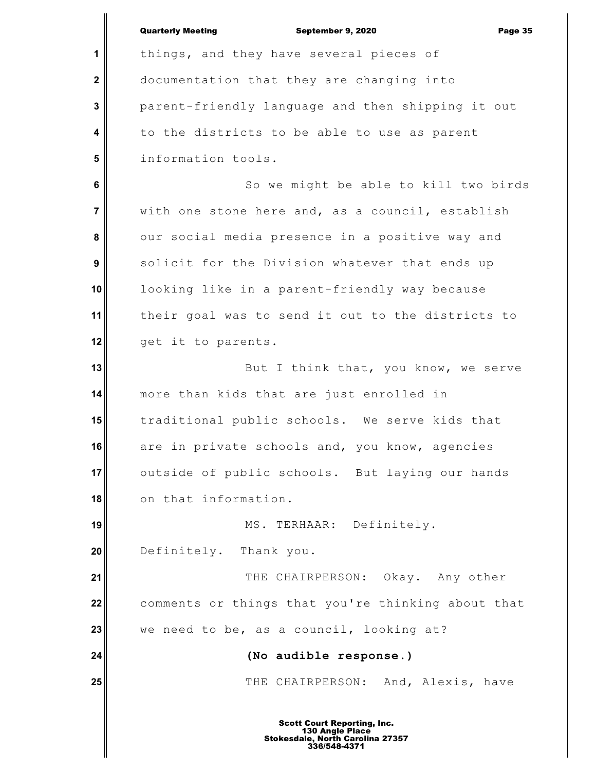|                | <b>Quarterly Meeting</b><br>September 9, 2020<br>Page 35 |
|----------------|----------------------------------------------------------|
| 1              | things, and they have several pieces of                  |
| $\mathbf{2}$   | documentation that they are changing into                |
| 3              | parent-friendly language and then shipping it out        |
| 4              | to the districts to be able to use as parent             |
| 5              | information tools.                                       |
| 6              | So we might be able to kill two birds                    |
| $\overline{7}$ | with one stone here and, as a council, establish         |
| 8              | our social media presence in a positive way and          |
| 9              | solicit for the Division whatever that ends up           |
| 10             | looking like in a parent-friendly way because            |
| 11             | their goal was to send it out to the districts to        |
| 12             | get it to parents.                                       |
| 13             | But I think that, you know, we serve                     |
| 14             | more than kids that are just enrolled in                 |
| 15             | traditional public schools. We serve kids that           |
| 16             | are in private schools and, you know, agencies           |
| 17             | outside of public schools. But laying our hands          |
| 18             | on that information.                                     |
| 19             | MS. TERHAAR: Definitely.                                 |
| 20             | Definitely. Thank you.                                   |
| 21             | THE CHAIRPERSON: Okay. Any other                         |
| 22             | comments or things that you're thinking about that       |
| 23             | we need to be, as a council, looking at?                 |
| 24             | (No audible response.)                                   |
| 25             | THE CHAIRPERSON: And, Alexis, have                       |
|                |                                                          |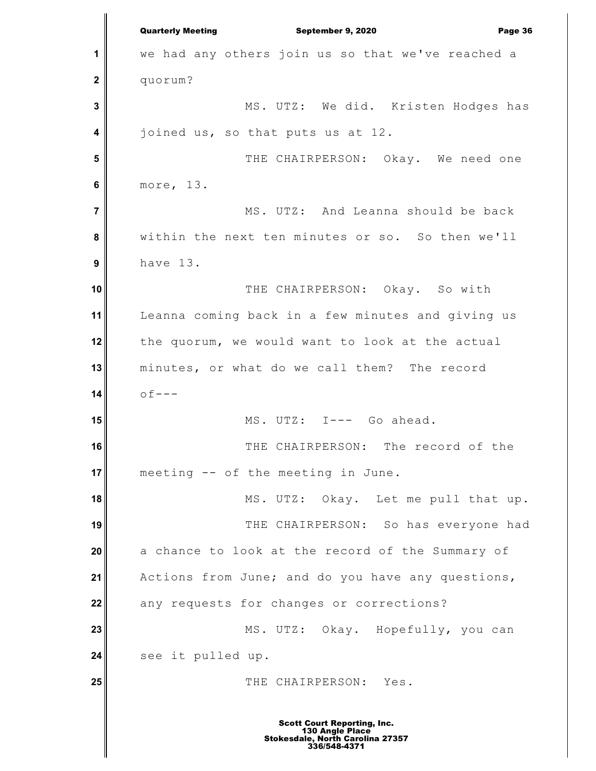**1 2 3 4 5 6 7 8 9 10 11 12 13 14 15 16 17 18 19 20 21 22 23 24 25** Quarterly Meeting September 9, 2020 Page 36 we had any others join us so that we've reached a quorum? MS. UTZ: We did. Kristen Hodges has joined us, so that puts us at 12. THE CHAIRPERSON: Okay. We need one more, 13. MS. UTZ: And Leanna should be back within the next ten minutes or so. So then we'll have 13. THE CHAIRPERSON: Okay. So with Leanna coming back in a few minutes and giving us the quorum, we would want to look at the actual minutes, or what do we call them? The record  $of---$ MS. UTZ: I--- Go ahead. THE CHAIRPERSON: The record of the meeting -- of the meeting in June. MS. UTZ: Okay. Let me pull that up. THE CHAIRPERSON: So has everyone had a chance to look at the record of the Summary of Actions from June; and do you have any questions, any requests for changes or corrections? MS. UTZ: Okay. Hopefully, you can see it pulled up. THE CHAIRPERSON: Yes.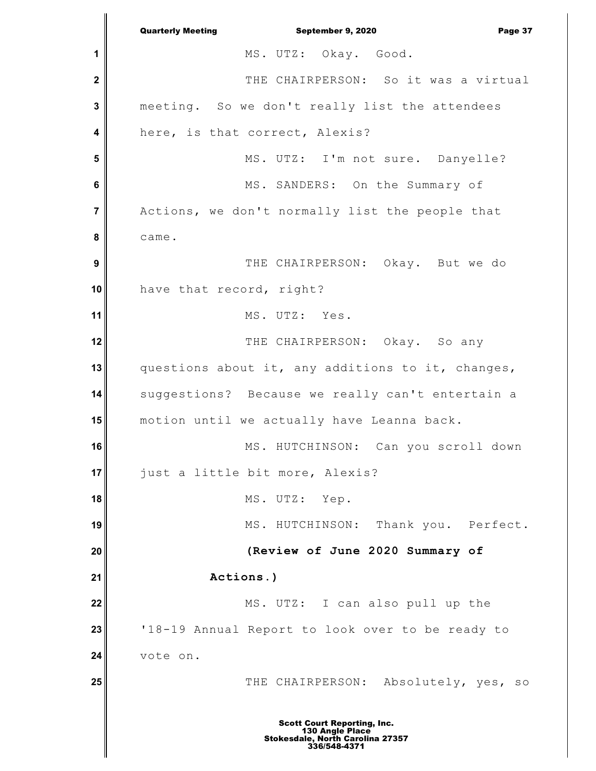**1 2 3 4 5 6 7 8 9 10 11 12 13 14 15 16 17 18 19 20 21 22 23 24 25** Quarterly Meeting September 9, 2020 Page 37 MS. UTZ: Okay. Good. THE CHAIRPERSON: So it was a virtual meeting. So we don't really list the attendees here, is that correct, Alexis? MS. UTZ: I'm not sure. Danyelle? MS. SANDERS: On the Summary of Actions, we don't normally list the people that came. THE CHAIRPERSON: Okay. But we do have that record, right? MS. UTZ: Yes. THE CHAIRPERSON: Okay. So any questions about it, any additions to it, changes, suggestions? Because we really can't entertain a motion until we actually have Leanna back. MS. HUTCHINSON: Can you scroll down just a little bit more, Alexis? MS. UTZ: Yep. MS. HUTCHINSON: Thank you. Perfect. **(Review of June 2020 Summary of Actions.)** MS. UTZ: I can also pull up the '18-19 Annual Report to look over to be ready to vote on. THE CHAIRPERSON: Absolutely, yes, so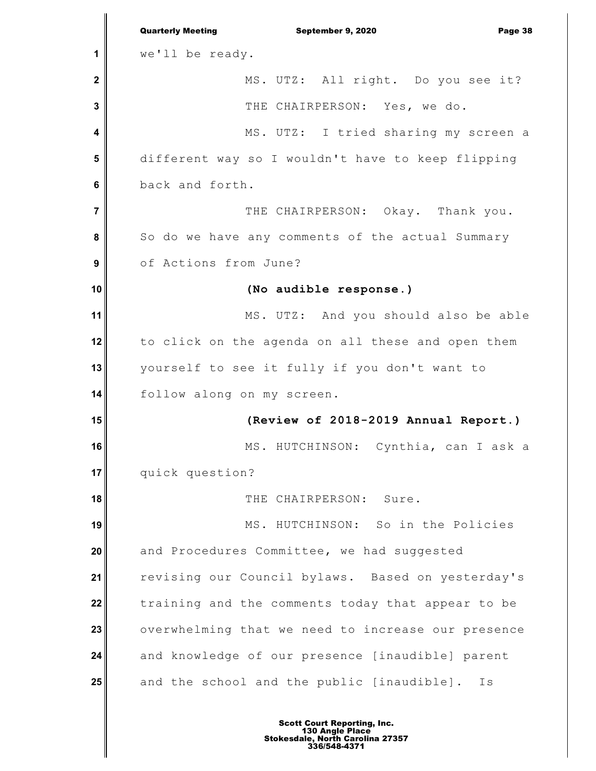**1 2 3 4 5 6 7 8 9 10 11 12 13 14 15 16 17 18 19 20 21 22 23 24 25** Quarterly Meeting September 9, 2020 Page 38 we'll be ready. MS. UTZ: All right. Do you see it? THE CHAIRPERSON: Yes, we do. MS. UTZ: I tried sharing my screen a different way so I wouldn't have to keep flipping back and forth. THE CHAIRPERSON: Okay. Thank you. So do we have any comments of the actual Summary of Actions from June? **(No audible response.)** MS. UTZ: And you should also be able to click on the agenda on all these and open them yourself to see it fully if you don't want to follow along on my screen. **(Review of 2018-2019 Annual Report.)** MS. HUTCHINSON: Cynthia, can I ask a quick question? THE CHAIRPERSON: Sure. MS. HUTCHINSON: So in the Policies and Procedures Committee, we had suggested revising our Council bylaws. Based on yesterday's training and the comments today that appear to be overwhelming that we need to increase our presence and knowledge of our presence [inaudible] parent and the school and the public [inaudible]. Is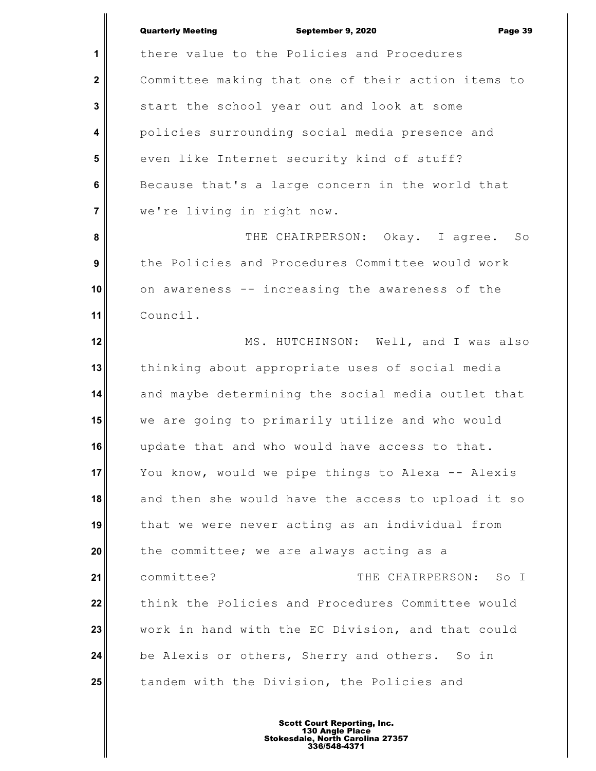|                  | <b>Quarterly Meeting</b><br>September 9, 2020<br>Page 39 |
|------------------|----------------------------------------------------------|
| 1                | there value to the Policies and Procedures               |
| $\mathbf{2}$     | Committee making that one of their action items to       |
| 3                | start the school year out and look at some               |
| 4                | policies surrounding social media presence and           |
| 5                | even like Internet security kind of stuff?               |
| $6\phantom{1}6$  | Because that's a large concern in the world that         |
| $\overline{7}$   | we're living in right now.                               |
| 8                | THE CHAIRPERSON: Okay. I agree. So                       |
| $\boldsymbol{9}$ | the Policies and Procedures Committee would work         |
| 10               | on awareness -- increasing the awareness of the          |
| 11               | Council.                                                 |
| 12               | MS. HUTCHINSON: Well, and I was also                     |
| 13               | thinking about appropriate uses of social media          |
| 14               | and maybe determining the social media outlet that       |
| 15               | we are going to primarily utilize and who would          |
| 16               | update that and who would have access to that.           |
| 17               | You know, would we pipe things to Alexa -- Alexis        |
| 18               | and then she would have the access to upload it so       |
| 19               | that we were never acting as an individual from          |
| 20               | the committee; we are always acting as a                 |
| 21               | committee?<br>THE CHAIRPERSON:<br>So I                   |
| 22               | think the Policies and Procedures Committee would        |
| 23               | work in hand with the EC Division, and that could        |
| 24               | be Alexis or others, Sherry and others. So in            |
| 25               | tandem with the Division, the Policies and               |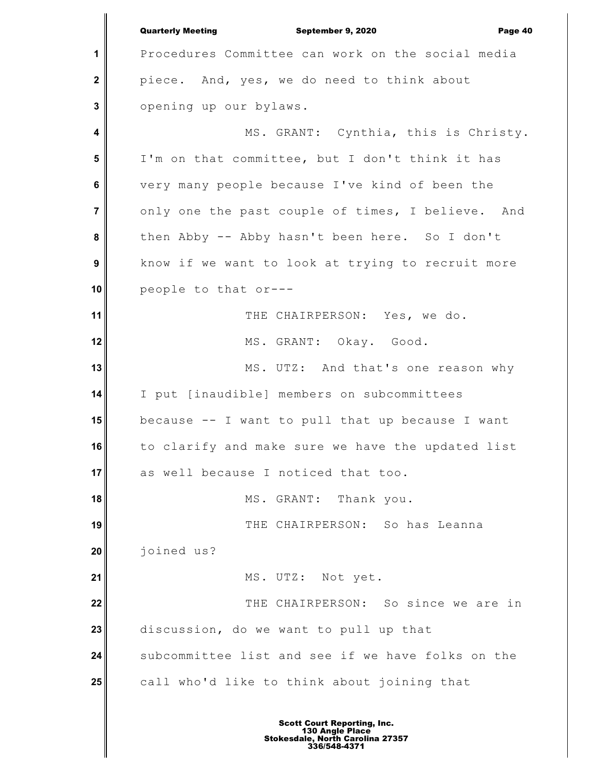**1 2 3 4 5 6 7 8 9 10 11 12 13 14 15 16 17 18 19 20 21 22 23 24 25** Quarterly Meeting September 9, 2020 Page 40 Procedures Committee can work on the social media piece. And, yes, we do need to think about opening up our bylaws. MS. GRANT: Cynthia, this is Christy. I'm on that committee, but I don't think it has very many people because I've kind of been the only one the past couple of times, I believe. And then Abby -- Abby hasn't been here. So I don't know if we want to look at trying to recruit more people to that or--- THE CHAIRPERSON: Yes, we do. MS. GRANT: Okay. Good. MS. UTZ: And that's one reason why I put [inaudible] members on subcommittees because -- I want to pull that up because I want to clarify and make sure we have the updated list as well because I noticed that too. MS. GRANT: Thank you. THE CHAIRPERSON: So has Leanna joined us? MS. UTZ: Not yet. THE CHAIRPERSON: So since we are in discussion, do we want to pull up that subcommittee list and see if we have folks on the call who'd like to think about joining that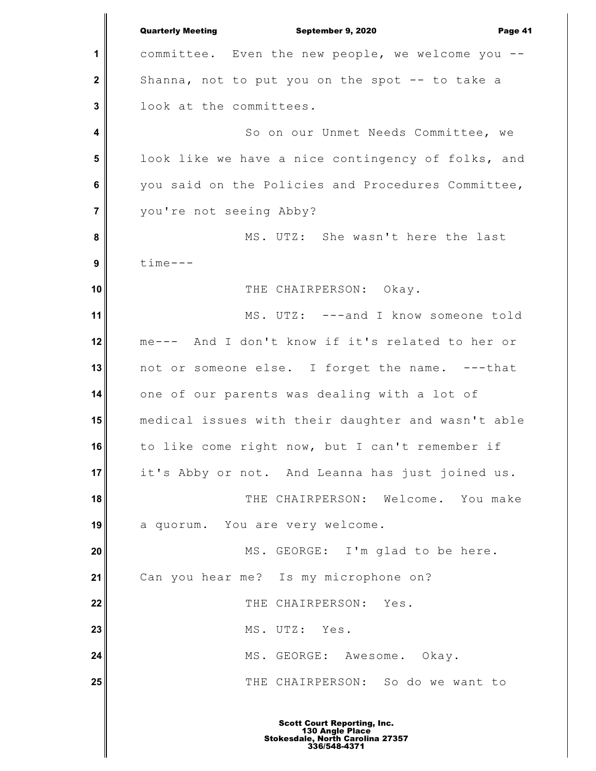**1 2 3 4 5 6 7 8 9 10 11 12 13 14 15 16 17 18 19 20 21 22 23 24 25** Quarterly Meeting September 9, 2020 Page 41 committee. Even the new people, we welcome you -- Shanna, not to put you on the spot -- to take a look at the committees. So on our Unmet Needs Committee, we look like we have a nice contingency of folks, and you said on the Policies and Procedures Committee, you're not seeing Abby? MS. UTZ: She wasn't here the last time--- THE CHAIRPERSON: Okay. MS. UTZ: ---and I know someone told me--- And I don't know if it's related to her or not or someone else. I forget the name. ---that one of our parents was dealing with a lot of medical issues with their daughter and wasn't able to like come right now, but I can't remember if it's Abby or not. And Leanna has just joined us. THE CHAIRPERSON: Welcome. You make a quorum. You are very welcome. MS. GEORGE: I'm glad to be here. Can you hear me? Is my microphone on? THE CHAIRPERSON: Yes. MS. UTZ: Yes. MS. GEORGE: Awesome. Okay. THE CHAIRPERSON: So do we want to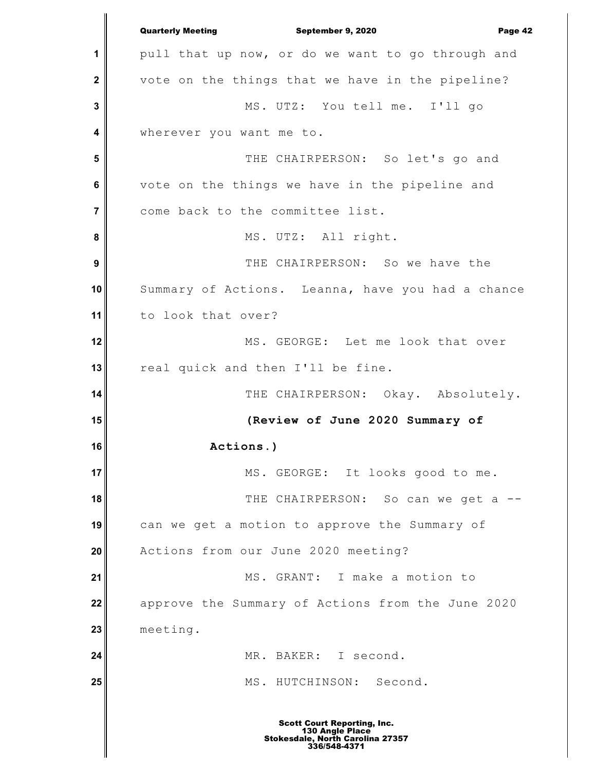**1 2 3 4 5 6 7 8 9 10 11 12 13 14 15 16 17 18 19 20 21 22 23 24 25** Quarterly Meeting September 9, 2020 Page 42 pull that up now, or do we want to go through and vote on the things that we have in the pipeline? MS. UTZ: You tell me. I'll go wherever you want me to. THE CHAIRPERSON: So let's go and vote on the things we have in the pipeline and come back to the committee list. MS. UTZ: All right. THE CHAIRPERSON: So we have the Summary of Actions. Leanna, have you had a chance to look that over? MS. GEORGE: Let me look that over real quick and then I'll be fine. THE CHAIRPERSON: Okay. Absolutely. **(Review of June 2020 Summary of Actions.)** MS. GEORGE: It looks good to me. THE CHAIRPERSON: So can we get a -can we get a motion to approve the Summary of Actions from our June 2020 meeting? MS. GRANT: I make a motion to approve the Summary of Actions from the June 2020 meeting. MR. BAKER: I second. MS. HUTCHINSON: Second.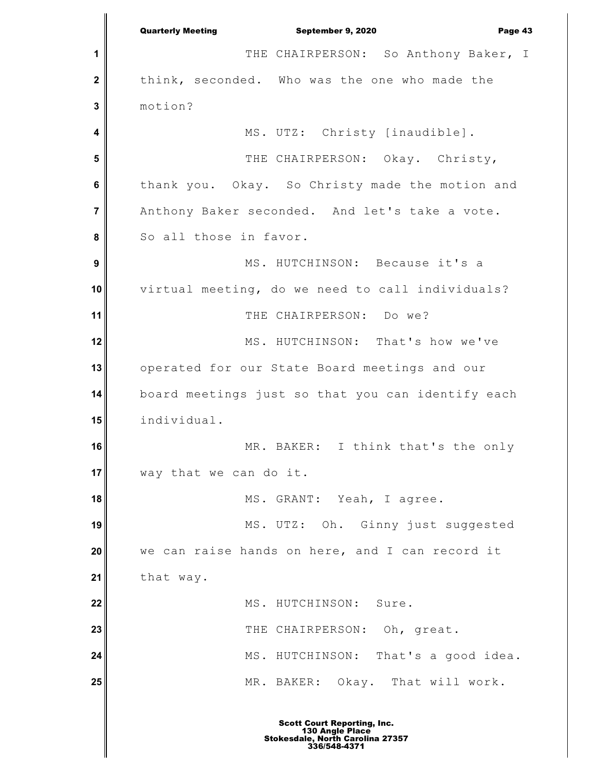**1 2 3 4 5 6 7 8 9 10 11 12 13 14 15 16 17 18 19 20 21 22 23 24 25** Quarterly Meeting September 9, 2020 Page 43 THE CHAIRPERSON: So Anthony Baker, I think, seconded. Who was the one who made the motion? MS. UTZ: Christy [inaudible]. THE CHAIRPERSON: Okay. Christy, thank you. Okay. So Christy made the motion and Anthony Baker seconded. And let's take a vote. So all those in favor. MS. HUTCHINSON: Because it's a virtual meeting, do we need to call individuals? THE CHAIRPERSON: Do we? MS. HUTCHINSON: That's how we've operated for our State Board meetings and our board meetings just so that you can identify each individual. MR. BAKER: I think that's the only way that we can do it. MS. GRANT: Yeah, I agree. MS. UTZ: Oh. Ginny just suggested we can raise hands on here, and I can record it that way. MS. HUTCHINSON: Sure. THE CHAIRPERSON: Oh, great. MS. HUTCHINSON: That's a good idea. MR. BAKER: Okay. That will work.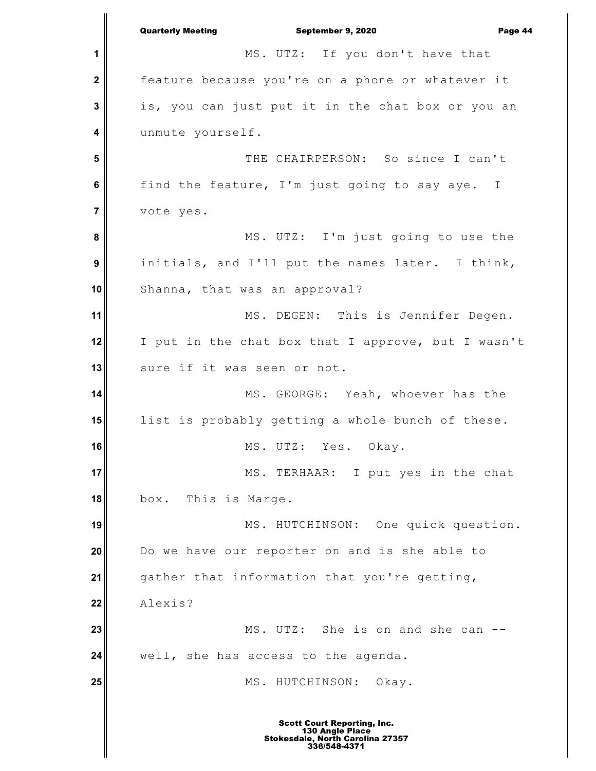**1 2 3 4 5 6 7 8 9 10 11 12 13 14 15 16 17 18 19 20 21 22 23 24 25** Quarterly Meeting September 9, 2020 Page 44 MS. UTZ: If you don't have that feature because you're on a phone or whatever it is, you can just put it in the chat box or you an unmute yourself. THE CHAIRPERSON: So since I can't find the feature, I'm just going to say aye. I vote yes. MS. UTZ: I'm just going to use the initials, and I'll put the names later. I think, Shanna, that was an approval? MS. DEGEN: This is Jennifer Degen. I put in the chat box that I approve, but I wasn't sure if it was seen or not. MS. GEORGE: Yeah, whoever has the list is probably getting a whole bunch of these. MS. UTZ: Yes. Okay. MS. TERHAAR: I put yes in the chat box. This is Marge. MS. HUTCHINSON: One quick question. Do we have our reporter on and is she able to gather that information that you're getting, Alexis? MS. UTZ: She is on and she can - well, she has access to the agenda. MS. HUTCHINSON: Okay.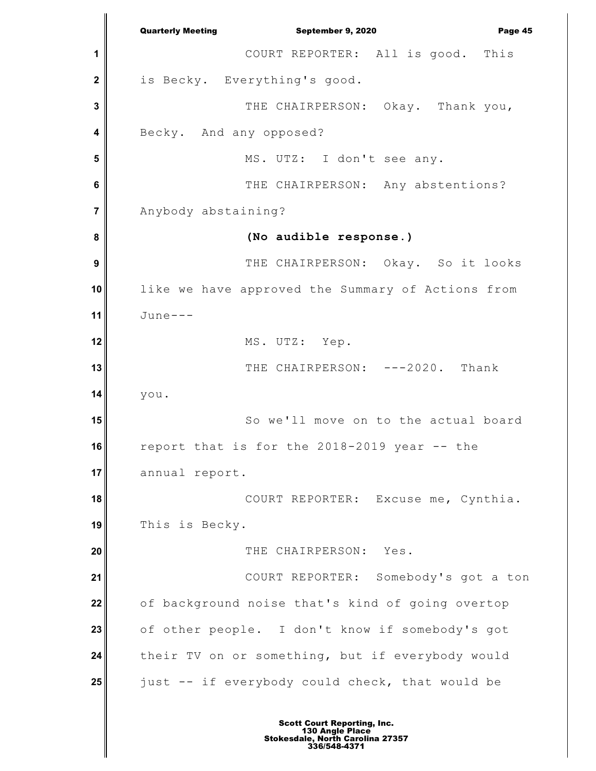**1 2 3 4 5 6 7 8 9 10 11 12 13 14 15 16 17 18 19 20 21 22 23 24 25** Quarterly Meeting September 9, 2020 Page 45 COURT REPORTER: All is good. This is Becky. Everything's good. THE CHAIRPERSON: Okay. Thank you, Becky. And any opposed? MS. UTZ: I don't see any. THE CHAIRPERSON: Any abstentions? Anybody abstaining? **(No audible response.)** THE CHAIRPERSON: Okay. So it looks like we have approved the Summary of Actions from June--- MS. UTZ: Yep. THE CHAIRPERSON: ---2020. Thank you. So we'll move on to the actual board report that is for the 2018-2019 year -- the annual report. COURT REPORTER: Excuse me, Cynthia. This is Becky. THE CHAIRPERSON: Yes. COURT REPORTER: Somebody's got a ton of background noise that's kind of going overtop of other people. I don't know if somebody's got their TV on or something, but if everybody would just -- if everybody could check, that would be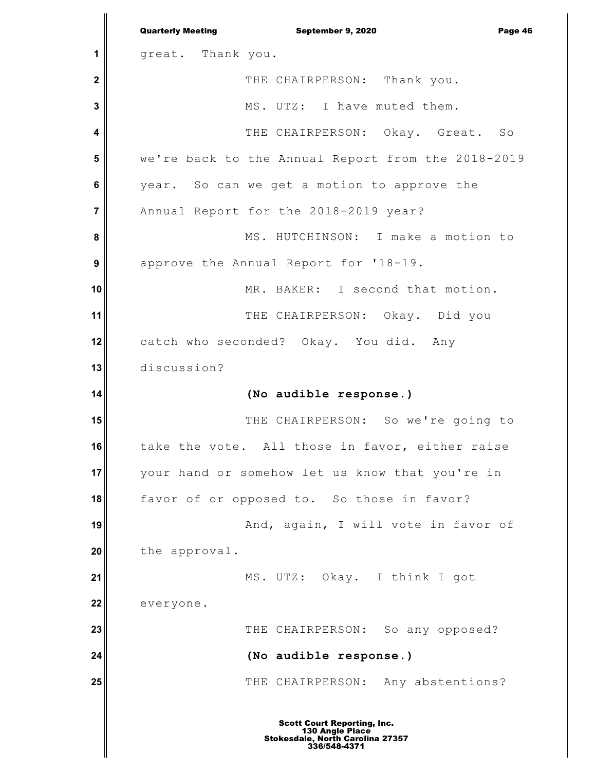|                  | <b>Quarterly Meeting</b><br>September 9, 2020<br>Page 46 |
|------------------|----------------------------------------------------------|
| 1                | great. Thank you.                                        |
| $\mathbf{2}$     | THE CHAIRPERSON: Thank you.                              |
| 3                | MS. UTZ: I have muted them.                              |
| 4                | THE CHAIRPERSON: Okay. Great. So                         |
| 5                | we're back to the Annual Report from the 2018-2019       |
| 6                | year. So can we get a motion to approve the              |
| $\overline{7}$   | Annual Report for the 2018-2019 year?                    |
| 8                | MS. HUTCHINSON: I make a motion to                       |
| $\boldsymbol{9}$ | approve the Annual Report for '18-19.                    |
| 10               | MR. BAKER: I second that motion.                         |
| 11               | THE CHAIRPERSON: Okay. Did you                           |
| 12               | catch who seconded? Okay. You did. Any                   |
| 13               | discussion?                                              |
| 14               | (No audible response.)                                   |
| 15               | THE CHAIRPERSON: So we're going to                       |
| 16               | take the vote. All those in favor, either raise          |
| 17               | your hand or somehow let us know that you're in          |
| 18               | favor of or opposed to. So those in favor?               |
| 19               | And, again, I will vote in favor of                      |
| 20               | the approval.                                            |
| 21               | MS. UTZ: Okay. I think I got                             |
| 22               | everyone.                                                |
| 23               | THE CHAIRPERSON: So any opposed?                         |
| 24               | (No audible response.)                                   |
| 25               | THE CHAIRPERSON: Any abstentions?                        |
|                  |                                                          |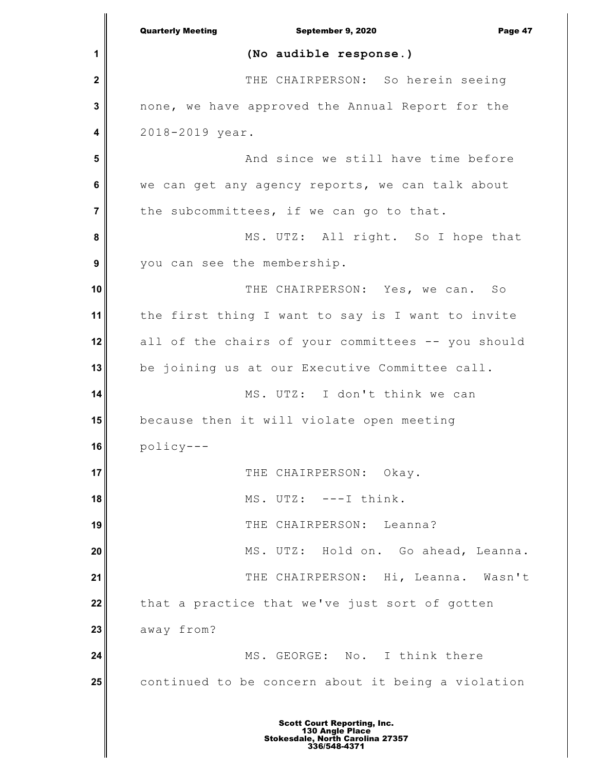|             | <b>Quarterly Meeting</b><br>September 9, 2020<br>Page 47 |
|-------------|----------------------------------------------------------|
| 1           | (No audible response.)                                   |
| $\mathbf 2$ | THE CHAIRPERSON: So herein seeing                        |
| 3           | none, we have approved the Annual Report for the         |
| 4           | 2018-2019 year.                                          |
| 5           | And since we still have time before                      |
| 6           | we can get any agency reports, we can talk about         |
| 7           | the subcommittees, if we can go to that.                 |
| 8           | MS. UTZ: All right. So I hope that                       |
| 9           | you can see the membership.                              |
| 10          | THE CHAIRPERSON: Yes, we can. So                         |
| 11          | the first thing I want to say is I want to invite        |
| 12          | all of the chairs of your committees -- you should       |
| 13          | be joining us at our Executive Committee call.           |
| 14          | MS. UTZ: I don't think we can                            |
| 15          | because then it will violate open meeting                |
| 16          | policy-                                                  |
| 17          | THE CHAIRPERSON: Okay.                                   |
| 18          | MS. UTZ: ---I think.                                     |
| 19          | THE CHAIRPERSON: Leanna?                                 |
| 20          | MS. UTZ: Hold on. Go ahead, Leanna.                      |
| 21          | THE CHAIRPERSON: Hi, Leanna. Wasn't                      |
| 22          | that a practice that we've just sort of gotten           |
| 23          | away from?                                               |
| 24          | MS. GEORGE: No. I think there                            |
| 25          | continued to be concern about it being a violation       |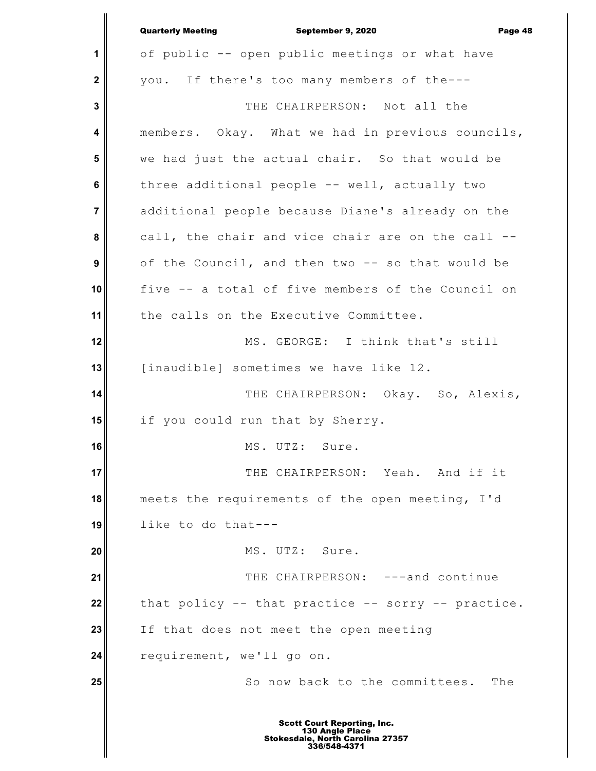|                  | <b>Quarterly Meeting</b><br>September 9, 2020<br>Page 48 |
|------------------|----------------------------------------------------------|
| 1                | of public -- open public meetings or what have           |
| $\mathbf 2$      | you. If there's too many members of the---               |
| 3                | THE CHAIRPERSON: Not all the                             |
| 4                | members. Okay. What we had in previous councils,         |
| 5                | we had just the actual chair. So that would be           |
| 6                | three additional people -- well, actually two            |
| $\overline{7}$   | additional people because Diane's already on the         |
| 8                | call, the chair and vice chair are on the call --        |
| $\boldsymbol{9}$ | of the Council, and then two -- so that would be         |
| 10               | five -- a total of five members of the Council on        |
| 11               | the calls on the Executive Committee.                    |
| 12               | MS. GEORGE: I think that's still                         |
| 13               | [inaudible] sometimes we have like 12.                   |
| 14               | THE CHAIRPERSON: Okay. So, Alexis,                       |
| 15               | if you could run that by Sherry.                         |
| 16               | MS. UTZ: Sure.                                           |
| 17               | THE CHAIRPERSON: Yeah. And if it                         |
| 18               | meets the requirements of the open meeting, I'd          |
| 19               | like to do that---                                       |
| 20               | MS. UTZ: Sure.                                           |
| 21               | THE CHAIRPERSON: ---and continue                         |
| 22               | that policy -- that practice -- sorry -- practice.       |
| 23               | If that does not meet the open meeting                   |
| 24               | requirement, we'll go on.                                |
| 25               | So now back to the committees. The                       |
|                  |                                                          |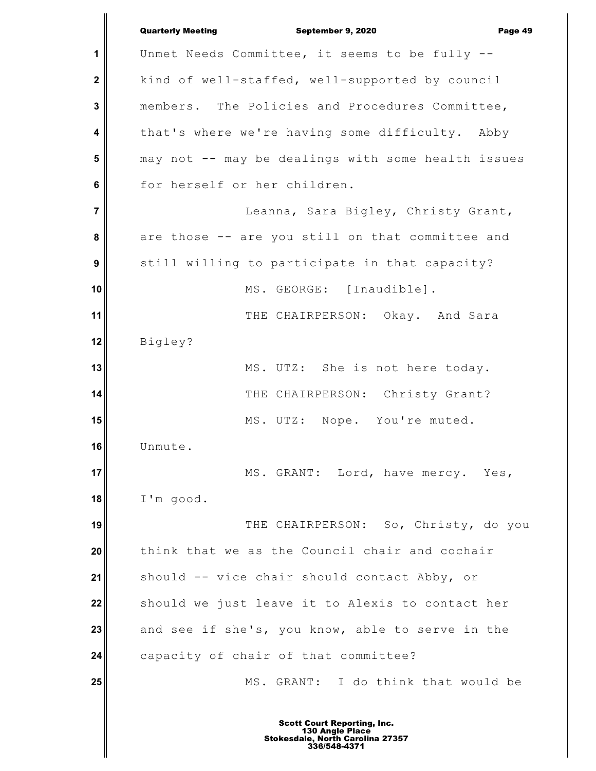**1 2 3 4 5 6 7 8 9 10 11 12 13 14 15 16 17 18 19 20 21 22 23 24 25** Quarterly Meeting September 9, 2020 Page 49 Unmet Needs Committee, it seems to be fully - kind of well-staffed, well-supported by council members. The Policies and Procedures Committee, that's where we're having some difficulty. Abby may not -- may be dealings with some health issues for herself or her children. Leanna, Sara Bigley, Christy Grant, are those -- are you still on that committee and still willing to participate in that capacity? MS. GEORGE: [Inaudible]. THE CHAIRPERSON: Okay. And Sara Bigley? MS. UTZ: She is not here today. THE CHAIRPERSON: Christy Grant? MS. UTZ: Nope. You're muted. Unmute. MS. GRANT: Lord, have mercy. Yes, I'm good. THE CHAIRPERSON: So, Christy, do you think that we as the Council chair and cochair should -- vice chair should contact Abby, or should we just leave it to Alexis to contact her and see if she's, you know, able to serve in the capacity of chair of that committee? MS. GRANT: I do think that would be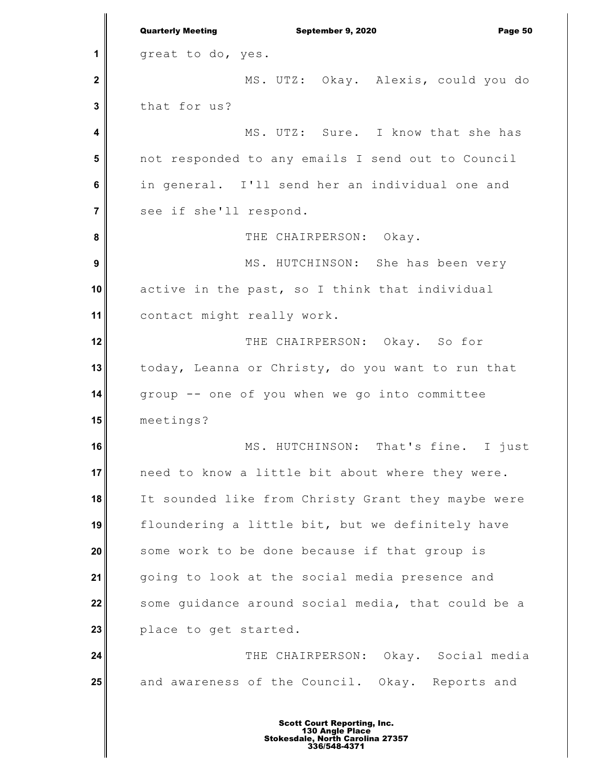**1 2 3 4 5 6 7 8 9 10 11 12 13 14 15 16 17 18 19 20 21 22 23 24 25** Quarterly Meeting September 9, 2020 Page 50 great to do, yes. MS. UTZ: Okay. Alexis, could you do that for us? MS. UTZ: Sure. I know that she has not responded to any emails I send out to Council in general. I'll send her an individual one and see if she'll respond. THE CHAIRPERSON: Okay. MS. HUTCHINSON: She has been very active in the past, so I think that individual contact might really work. THE CHAIRPERSON: Okay. So for today, Leanna or Christy, do you want to run that group -- one of you when we go into committee meetings? MS. HUTCHINSON: That's fine. I just need to know a little bit about where they were. It sounded like from Christy Grant they maybe were floundering a little bit, but we definitely have some work to be done because if that group is going to look at the social media presence and some guidance around social media, that could be a place to get started. THE CHAIRPERSON: Okay. Social media and awareness of the Council. Okay. Reports and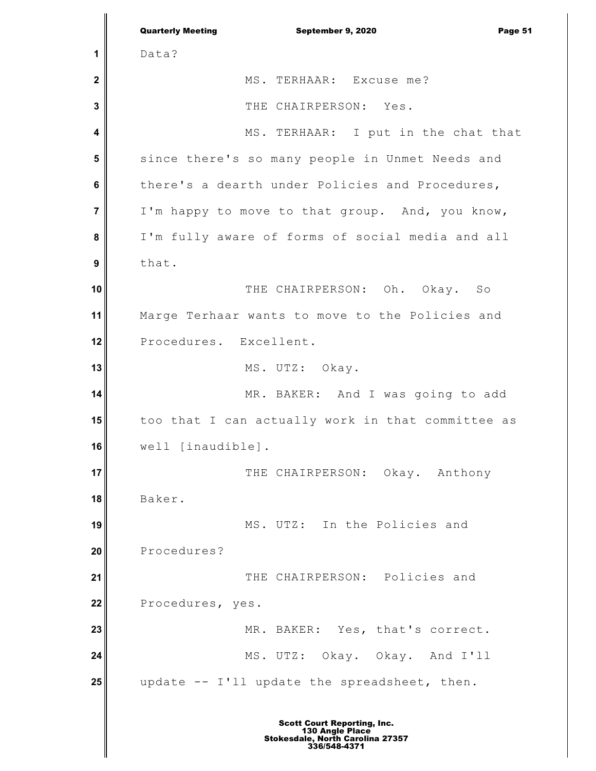**1 2 3 4 5 6 7 8 9 10 11 12 13 14 15 16 17 18 19 20 21 22 23 24 25** Quarterly Meeting September 9, 2020 Page 51 Data? MS. TERHAAR: Excuse me? THE CHAIRPERSON: Yes. MS. TERHAAR: I put in the chat that since there's so many people in Unmet Needs and there's a dearth under Policies and Procedures, I'm happy to move to that group. And, you know, I'm fully aware of forms of social media and all that. THE CHAIRPERSON: Oh. Okay. So Marge Terhaar wants to move to the Policies and Procedures. Excellent. MS. UTZ: Okay. MR. BAKER: And I was going to add too that I can actually work in that committee as well [inaudible]. THE CHAIRPERSON: Okay. Anthony Baker. MS. UTZ: In the Policies and Procedures? THE CHAIRPERSON: Policies and Procedures, yes. MR. BAKER: Yes, that's correct. MS. UTZ: Okay. Okay. And I'll update -- I'll update the spreadsheet, then.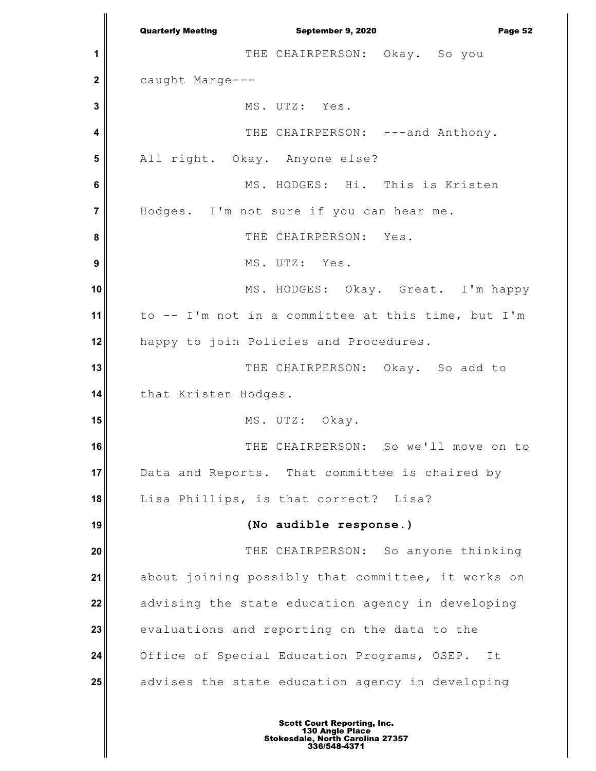**1 2 3 4 5 6 7 8 9 10 11 12 13 14 15 16 17 18 19 20 21 22 23 24 25** Quarterly Meeting **September 9, 2020 Page 52** THE CHAIRPERSON: Okay. So you caught Marge--- MS. UTZ: Yes. THE CHAIRPERSON: ---and Anthony. All right. Okay. Anyone else? MS. HODGES: Hi. This is Kristen Hodges. I'm not sure if you can hear me. THE CHAIRPERSON: Yes. MS. UTZ: Yes. MS. HODGES: Okay. Great. I'm happy to -- I'm not in a committee at this time, but I'm happy to join Policies and Procedures. THE CHAIRPERSON: Okay. So add to that Kristen Hodges. MS. UTZ: Okay. THE CHAIRPERSON: So we'll move on to Data and Reports. That committee is chaired by Lisa Phillips, is that correct? Lisa? **(No audible response.)** THE CHAIRPERSON: So anyone thinking about joining possibly that committee, it works on advising the state education agency in developing evaluations and reporting on the data to the Office of Special Education Programs, OSEP. It advises the state education agency in developing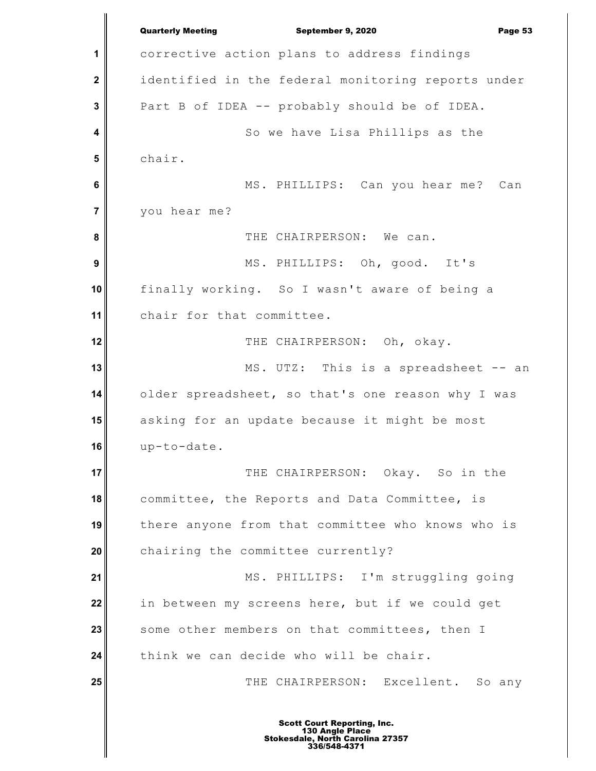**1 2 3 4 5 6 7 8 9 10 11 12 13 14 15 16 17 18 19 20 21 22 23 24 25** Quarterly Meeting **September 9, 2020 Page 53** corrective action plans to address findings identified in the federal monitoring reports under Part B of IDEA -- probably should be of IDEA. So we have Lisa Phillips as the chair. MS. PHILLIPS: Can you hear me? Can you hear me? THE CHAIRPERSON: We can. MS. PHILLIPS: Oh, good. It's finally working. So I wasn't aware of being a chair for that committee. THE CHAIRPERSON: Oh, okay. MS. UTZ: This is a spreadsheet -- an older spreadsheet, so that's one reason why I was asking for an update because it might be most up-to-date. THE CHAIRPERSON: Okay. So in the committee, the Reports and Data Committee, is there anyone from that committee who knows who is chairing the committee currently? MS. PHILLIPS: I'm struggling going in between my screens here, but if we could get some other members on that committees, then I think we can decide who will be chair. THE CHAIRPERSON: Excellent. So any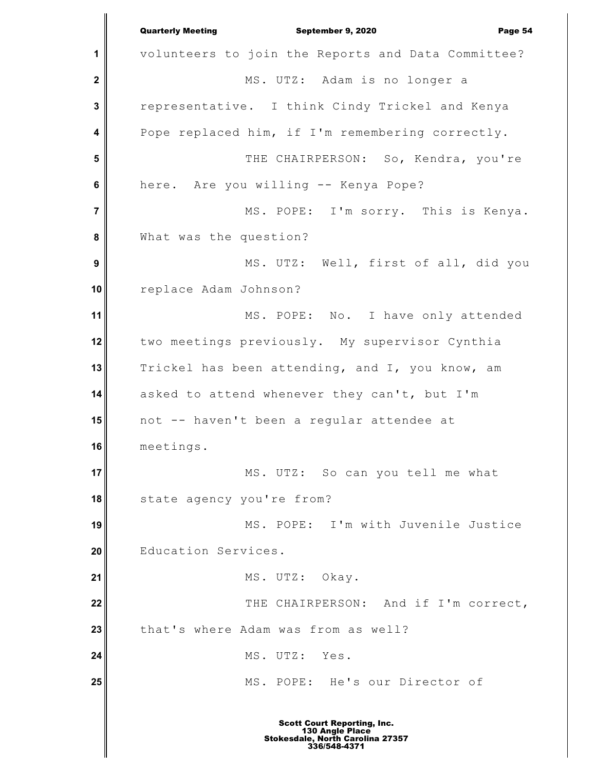**1 2 3 4 5 6 7 8 9 10 11 12 13 14 15 16 17 18 19 20 21 22 23 24 25** Quarterly Meeting September 9, 2020 Page 54 volunteers to join the Reports and Data Committee? MS. UTZ: Adam is no longer a representative. I think Cindy Trickel and Kenya Pope replaced him, if I'm remembering correctly. THE CHAIRPERSON: So, Kendra, you're here. Are you willing -- Kenya Pope? MS. POPE: I'm sorry. This is Kenya. What was the question? MS. UTZ: Well, first of all, did you replace Adam Johnson? MS. POPE: No. I have only attended two meetings previously. My supervisor Cynthia Trickel has been attending, and I, you know, am asked to attend whenever they can't, but I'm not -- haven't been a regular attendee at meetings. MS. UTZ: So can you tell me what state agency you're from? MS. POPE: I'm with Juvenile Justice Education Services. MS. UTZ: Okay. THE CHAIRPERSON: And if I'm correct, that's where Adam was from as well? MS. UTZ: Yes. MS. POPE: He's our Director of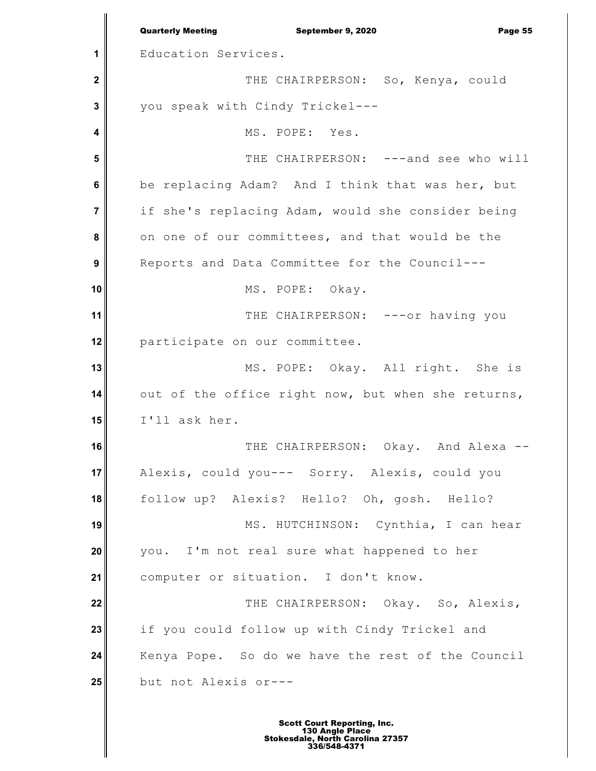**1 2 3 4 5 6 7 8 9 10 11 12 13 14 15 16 17 18 19 20 21 22 23 24 25** Quarterly Meeting September 9, 2020 Page 55 Education Services. THE CHAIRPERSON: So, Kenya, could you speak with Cindy Trickel--- MS. POPE: Yes. THE CHAIRPERSON: ---and see who will be replacing Adam? And I think that was her, but if she's replacing Adam, would she consider being on one of our committees, and that would be the Reports and Data Committee for the Council--- MS. POPE: Okay. THE CHAIRPERSON: ---or having you participate on our committee. MS. POPE: Okay. All right. She is out of the office right now, but when she returns, I'll ask her. THE CHAIRPERSON: Okay. And Alexa --Alexis, could you--- Sorry. Alexis, could you follow up? Alexis? Hello? Oh, gosh. Hello? MS. HUTCHINSON: Cynthia, I can hear you. I'm not real sure what happened to her computer or situation. I don't know. THE CHAIRPERSON: Okay. So, Alexis, if you could follow up with Cindy Trickel and Kenya Pope. So do we have the rest of the Council but not Alexis or---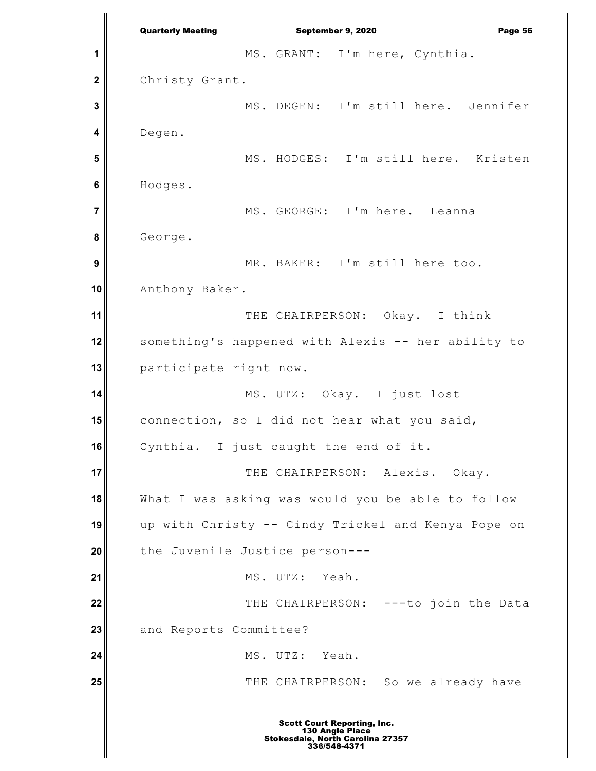**1 2 3 4 5 6 7 8 9 10 11 12 13 14 15 16 17 18 19 20 21 22 23 24 25** Quarterly Meeting September 9, 2020 Page 56 MS. GRANT: I'm here, Cynthia. Christy Grant. MS. DEGEN: I'm still here. Jennifer Degen. MS. HODGES: I'm still here. Kristen Hodges. MS. GEORGE: I'm here. Leanna George. MR. BAKER: I'm still here too. Anthony Baker. THE CHAIRPERSON: Okay. I think something's happened with Alexis -- her ability to participate right now. MS. UTZ: Okay. I just lost connection, so I did not hear what you said, Cynthia. I just caught the end of it. THE CHAIRPERSON: Alexis. Okay. What I was asking was would you be able to follow up with Christy -- Cindy Trickel and Kenya Pope on the Juvenile Justice person--- MS. UTZ: Yeah. THE CHAIRPERSON: ---to join the Data and Reports Committee? MS. UTZ: Yeah. THE CHAIRPERSON: So we already have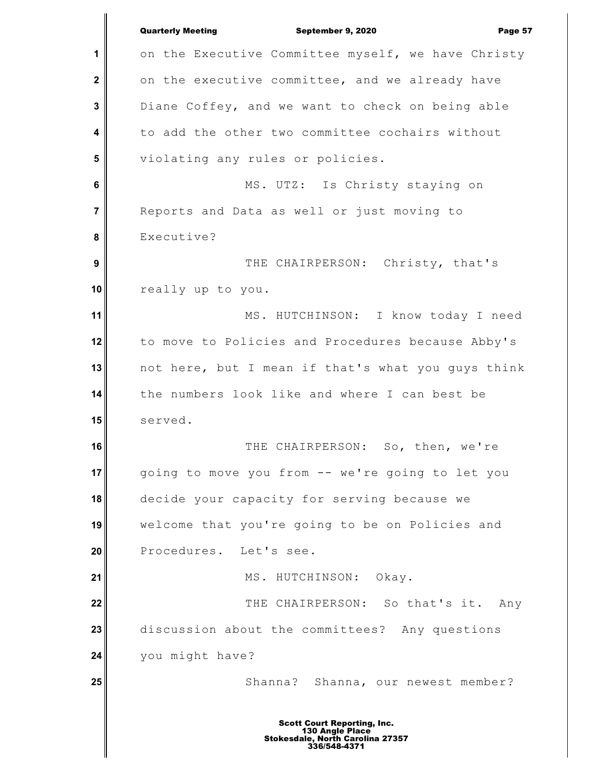**1 2 3 4 5 6 7 8 9 10 11 12 13 14 15 16 17 18 19 20 21 22 23 24 25** Quarterly Meeting **September 9, 2020 Page 57** on the Executive Committee myself, we have Christy on the executive committee, and we already have Diane Coffey, and we want to check on being able to add the other two committee cochairs without violating any rules or policies. MS. UTZ: Is Christy staying on Reports and Data as well or just moving to Executive? THE CHAIRPERSON: Christy, that's really up to you. MS. HUTCHINSON: I know today I need to move to Policies and Procedures because Abby's not here, but I mean if that's what you guys think the numbers look like and where I can best be served. THE CHAIRPERSON: So, then, we're going to move you from -- we're going to let you decide your capacity for serving because we welcome that you're going to be on Policies and Procedures. Let's see. MS. HUTCHINSON: Okay. THE CHAIRPERSON: So that's it. Any discussion about the committees? Any questions you might have? Shanna? Shanna, our newest member?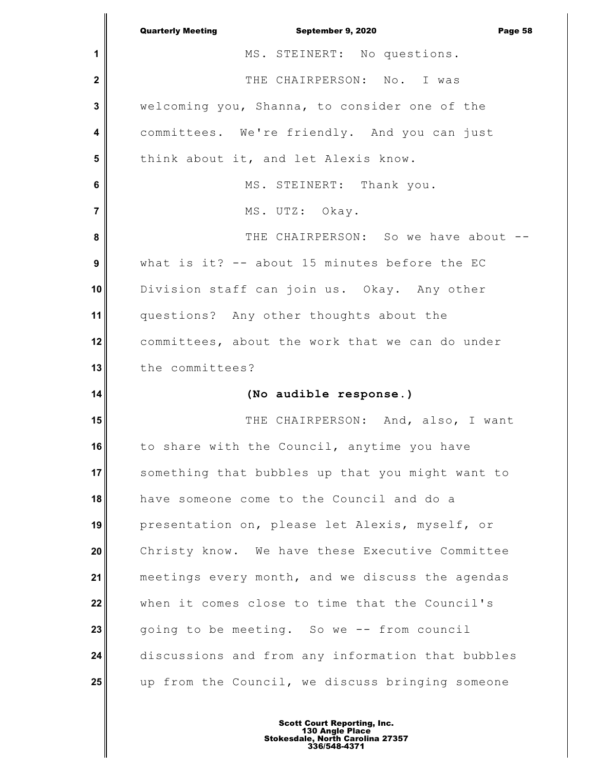|                | <b>Quarterly Meeting</b><br>September 9, 2020<br>Page 58 |
|----------------|----------------------------------------------------------|
| 1              | MS. STEINERT: No questions.                              |
| $\mathbf 2$    | THE CHAIRPERSON: No. I was                               |
| 3              | welcoming you, Shanna, to consider one of the            |
| 4              | committees. We're friendly. And you can just             |
| 5              | think about it, and let Alexis know.                     |
| 6              | MS. STEINERT: Thank you.                                 |
| $\overline{7}$ | MS. UTZ: Okay.                                           |
| 8              | THE CHAIRPERSON: So we have about --                     |
| 9              | what is it? -- about 15 minutes before the EC            |
| 10             | Division staff can join us. Okay. Any other              |
| 11             | questions? Any other thoughts about the                  |
| 12             | committees, about the work that we can do under          |
| 13             | the committees?                                          |
| 14             | (No audible response.)                                   |
|                |                                                          |
| 15             | THE CHAIRPERSON: And, also, I want                       |
| 16             | to share with the Council, anytime you have              |
| 17             | something that bubbles up that you might want to         |
| 18             | have someone come to the Council and do a                |
| 19             | presentation on, please let Alexis, myself, or           |
| 20             | Christy know. We have these Executive Committee          |
| 21             | meetings every month, and we discuss the agendas         |
| 22             | when it comes close to time that the Council's           |
| 23             | going to be meeting. So we -- from council               |
| 24             | discussions and from any information that bubbles        |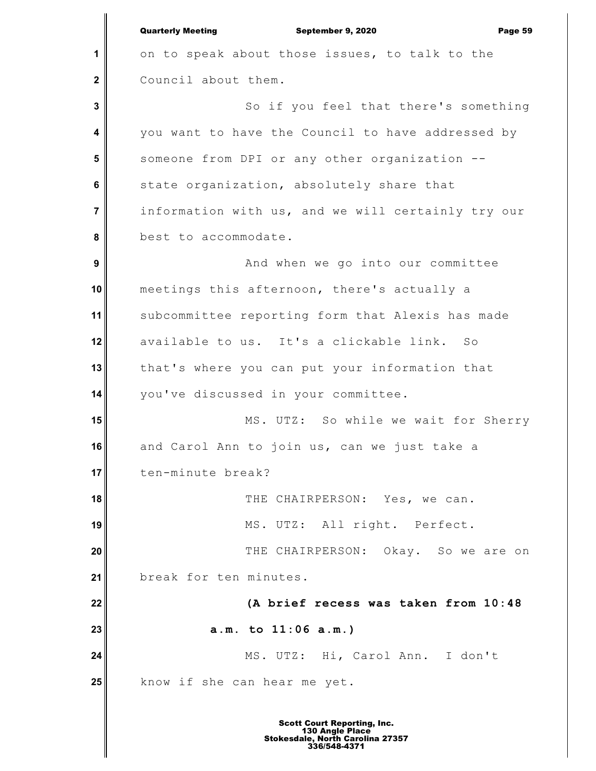**1 2 3 4 5 6 7 8 9 10 11 12 13 14 15 16 17 18 19 20 21 22 23 24 25** Quarterly Meeting September 9, 2020 Page 59 on to speak about those issues, to talk to the Council about them. So if you feel that there's something you want to have the Council to have addressed by someone from DPI or any other organization - state organization, absolutely share that information with us, and we will certainly try our best to accommodate. And when we go into our committee meetings this afternoon, there's actually a subcommittee reporting form that Alexis has made available to us. It's a clickable link. So that's where you can put your information that you've discussed in your committee. MS. UTZ: So while we wait for Sherry and Carol Ann to join us, can we just take a ten-minute break? THE CHAIRPERSON: Yes, we can. MS. UTZ: All right. Perfect. THE CHAIRPERSON: Okay. So we are on break for ten minutes. **(A brief recess was taken from 10:48 a.m. to 11:06 a.m.)** MS. UTZ: Hi, Carol Ann. I don't know if she can hear me yet.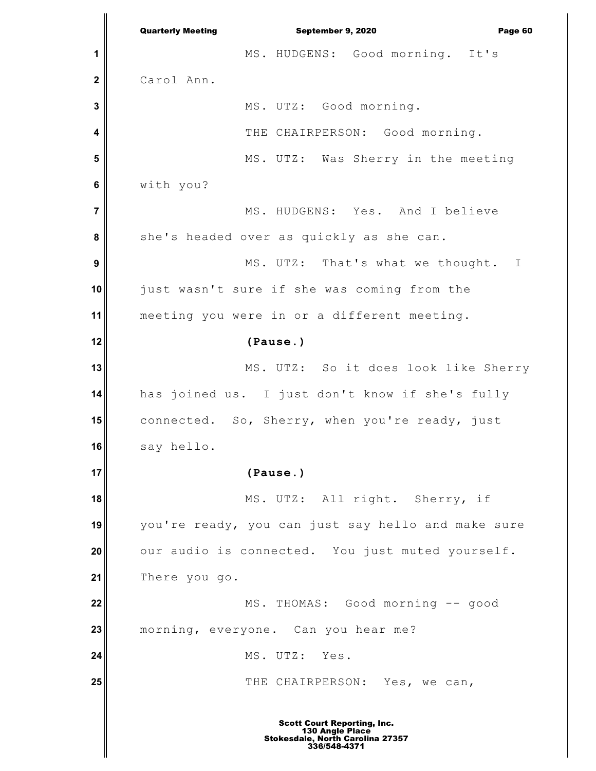**1 2 3 4 5 6 7 8 9 10 11 12 13 14 15 16 17 18 19 20 21 22 23 24 25** Quarterly Meeting September 9, 2020 Page 60 MS. HUDGENS: Good morning. It's Carol Ann. MS. UTZ: Good morning. THE CHAIRPERSON: Good morning. MS. UTZ: Was Sherry in the meeting with you? MS. HUDGENS: Yes. And I believe she's headed over as quickly as she can. MS. UTZ: That's what we thought. I just wasn't sure if she was coming from the meeting you were in or a different meeting. **(Pause.)** MS. UTZ: So it does look like Sherry has joined us. I just don't know if she's fully connected. So, Sherry, when you're ready, just say hello. **(Pause.)** MS. UTZ: All right. Sherry, if you're ready, you can just say hello and make sure our audio is connected. You just muted yourself. There you go. MS. THOMAS: Good morning -- good morning, everyone. Can you hear me? MS. UTZ: Yes. THE CHAIRPERSON: Yes, we can,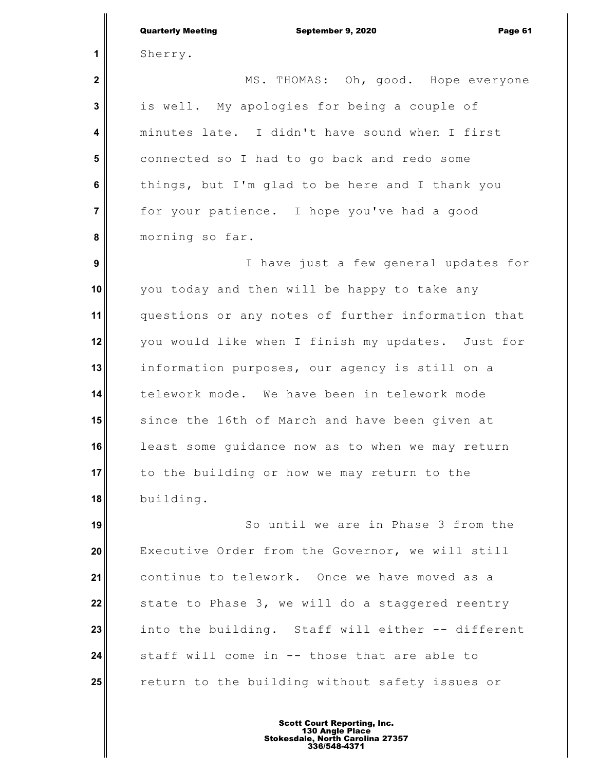|                         | <b>Quarterly Meeting</b><br>September 9, 2020<br>Page 61 |
|-------------------------|----------------------------------------------------------|
| 1                       | Sherry.                                                  |
| $\mathbf 2$             | MS. THOMAS: Oh, good. Hope everyone                      |
| 3                       | is well. My apologies for being a couple of              |
| $\overline{\mathbf{4}}$ | minutes late. I didn't have sound when I first           |
| 5                       | connected so I had to go back and redo some              |
| $6\phantom{1}$          | things, but I'm glad to be here and I thank you          |
| $\overline{7}$          | for your patience. I hope you've had a good              |
| 8                       | morning so far.                                          |
| $\boldsymbol{9}$        | I have just a few general updates for                    |
| 10                      | you today and then will be happy to take any             |
| 11                      | questions or any notes of further information that       |
| 12                      | you would like when I finish my updates. Just for        |
| 13                      | information purposes, our agency is still on a           |
| 14                      | telework mode. We have been in telework mode             |
| 15                      | since the 16th of March and have been given at           |
| 16                      | least some quidance now as to when we may return         |
| 17                      | to the building or how we may return to the              |
| 18                      | building.                                                |
| 19                      | So until we are in Phase 3 from the                      |
| 20                      | Executive Order from the Governor, we will still         |
| 21                      | continue to telework. Once we have moved as a            |
| 22                      | state to Phase 3, we will do a staggered reentry         |
| 23                      | into the building. Staff will either -- different        |
| 24                      | staff will come in -- those that are able to             |
| 25                      | return to the building without safety issues or          |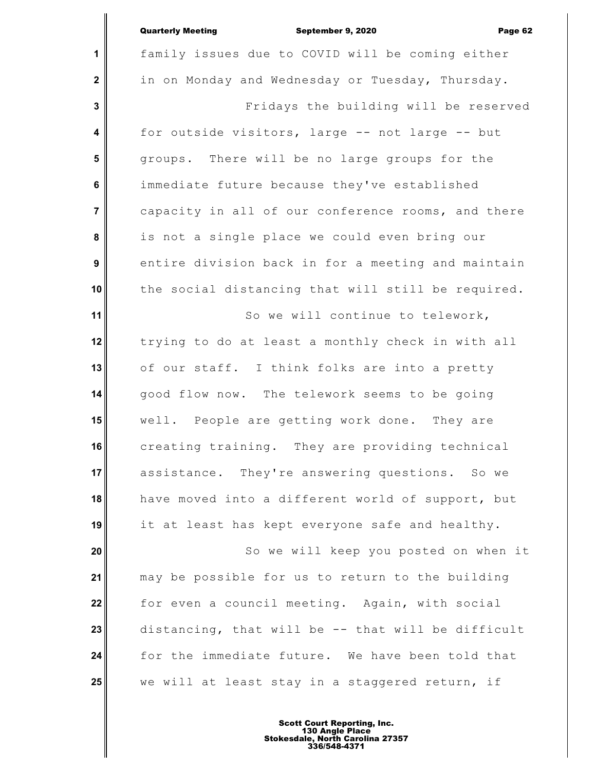## Quarterly Meeting September 9, 2020 Page 62

|                   | <b>Quarterly Meeting</b><br>September 9, 2020<br>Page 62 |
|-------------------|----------------------------------------------------------|
| 1                 | family issues due to COVID will be coming either         |
| $\boldsymbol{2}$  | in on Monday and Wednesday or Tuesday, Thursday.         |
| 3                 | Fridays the building will be reserved                    |
| 4                 | for outside visitors, large -- not large -- but          |
| 5                 | groups. There will be no large groups for the            |
| 6                 | immediate future because they've established             |
| $\overline{7}$    | capacity in all of our conference rooms, and there       |
| 8                 | is not a single place we could even bring our            |
| $\boldsymbol{9}$  | entire division back in for a meeting and maintain       |
| 10                | the social distancing that will still be required.       |
| 11                | So we will continue to telework,                         |
| $12 \overline{ }$ | trying to do at least a monthly check in with all        |
| 13                | of our staff. I think folks are into a pretty            |
| 14                | good flow now. The telework seems to be going            |
| 15                | well. People are getting work done. They are             |
| 16                | creating training. They are providing technical          |
| 17                | assistance. They're answering questions. So we           |
| 18                | have moved into a different world of support, but        |
| 19                | it at least has kept everyone safe and healthy.          |
| 20                | So we will keep you posted on when it                    |
| 21                | may be possible for us to return to the building         |
| 22                | for even a council meeting. Again, with social           |
| 23                | distancing, that will be -- that will be difficult       |
| 24                | for the immediate future. We have been told that         |
| 25                | we will at least stay in a staggered return, if          |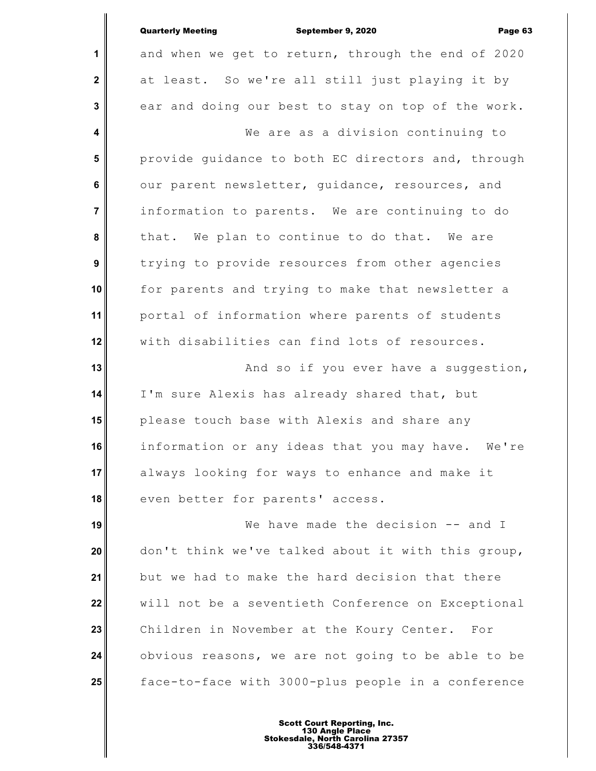|                | <b>Quarterly Meeting</b><br>September 9, 2020<br>Page 63 |
|----------------|----------------------------------------------------------|
| 1              | and when we get to return, through the end of 2020       |
| $\mathbf{2}$   | at least. So we're all still just playing it by          |
| 3              | ear and doing our best to stay on top of the work.       |
| 4              | We are as a division continuing to                       |
| 5              | provide guidance to both EC directors and, through       |
| $6\phantom{1}$ | our parent newsletter, guidance, resources, and          |
| 7              | information to parents. We are continuing to do          |
| 8              | that. We plan to continue to do that. We are             |
| 9              | trying to provide resources from other agencies          |
| 10             | for parents and trying to make that newsletter a         |
| 11             | portal of information where parents of students          |
| 12             | with disabilities can find lots of resources.            |
| 13             | And so if you ever have a suggestion,                    |
| 14             | I'm sure Alexis has already shared that, but             |
| 15             | please touch base with Alexis and share any              |
| 16             | information or any ideas that you may have. We're        |
| 17             | always looking for ways to enhance and make it           |
| 18             | even better for parents' access.                         |
| 19             | We have made the decision -- and I                       |
| 20             | don't think we've talked about it with this group,       |
| 21             | but we had to make the hard decision that there          |
| 22             | will not be a seventieth Conference on Exceptional       |
| 23             | Children in November at the Koury Center. For            |
| 24             | obvious reasons, we are not going to be able to be       |
| 25             | face-to-face with 3000-plus people in a conference       |
|                |                                                          |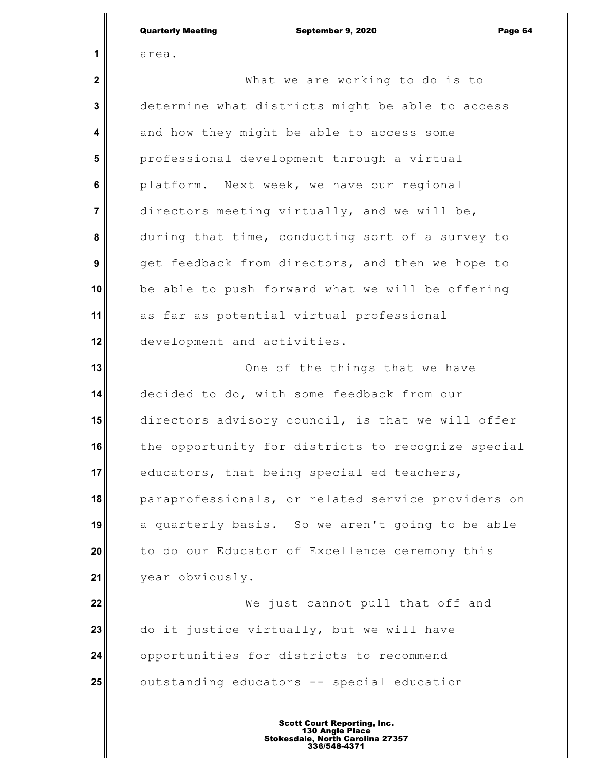|                | <b>Quarterly Meeting</b><br>September 9, 2020<br>Page 64 |
|----------------|----------------------------------------------------------|
| 1              | area.                                                    |
| $\mathbf 2$    | What we are working to do is to                          |
| 3              | determine what districts might be able to access         |
| 4              | and how they might be able to access some                |
| 5              | professional development through a virtual               |
| $6\phantom{1}$ | platform. Next week, we have our regional                |
| $\overline{7}$ | directors meeting virtually, and we will be,             |
| 8              | during that time, conducting sort of a survey to         |
| 9              | get feedback from directors, and then we hope to         |
| 10             | be able to push forward what we will be offering         |
| 11             | as far as potential virtual professional                 |
| 12             | development and activities.                              |
| 13             | One of the things that we have                           |
| 14             | decided to do, with some feedback from our               |
| 15             | directors advisory council, is that we will offer        |
| 16             | the opportunity for districts to recognize special       |
| 17             | educators, that being special ed teachers,               |
| 18             | paraprofessionals, or related service providers on       |
| 19             | a quarterly basis. So we aren't going to be able         |
| 20             | to do our Educator of Excellence ceremony this           |
| 21             | year obviously.                                          |
| 22             | We just cannot pull that off and                         |
| 23             | do it justice virtually, but we will have                |
| 24             | opportunities for districts to recommend                 |
| 25             | outstanding educators -- special education               |
|                |                                                          |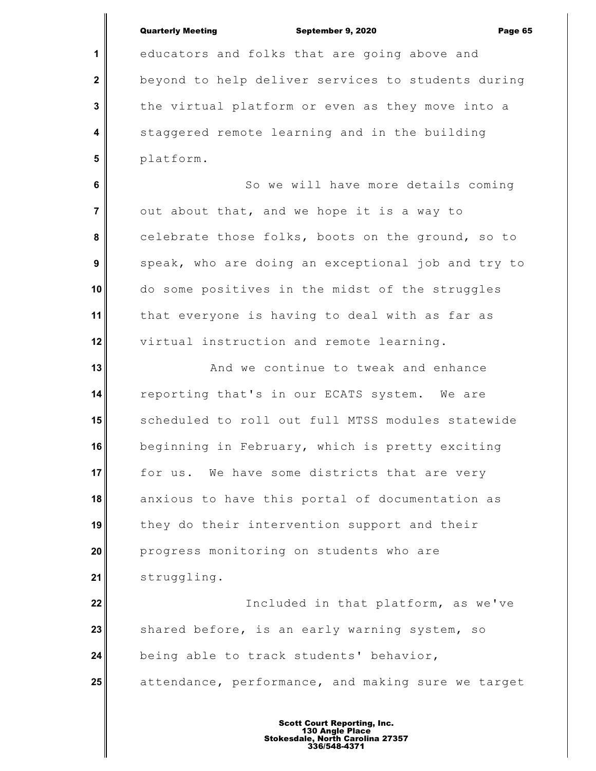## Quarterly Meeting September 9, 2020 Page 65

**1**

 **2**

 **3**

 **4**

 **5**

educators and folks that are going above and beyond to help deliver services to students during the virtual platform or even as they move into a staggered remote learning and in the building platform.

 **6 7 8 9 10 11 12** So we will have more details coming out about that, and we hope it is a way to celebrate those folks, boots on the ground, so to speak, who are doing an exceptional job and try to do some positives in the midst of the struggles that everyone is having to deal with as far as virtual instruction and remote learning.

**13 14 15 16 17 18 19 20 21** And we continue to tweak and enhance reporting that's in our ECATS system. We are scheduled to roll out full MTSS modules statewide beginning in February, which is pretty exciting for us. We have some districts that are very anxious to have this portal of documentation as they do their intervention support and their progress monitoring on students who are struggling.

**22 23 24 25** Included in that platform, as we've shared before, is an early warning system, so being able to track students' behavior, attendance, performance, and making sure we target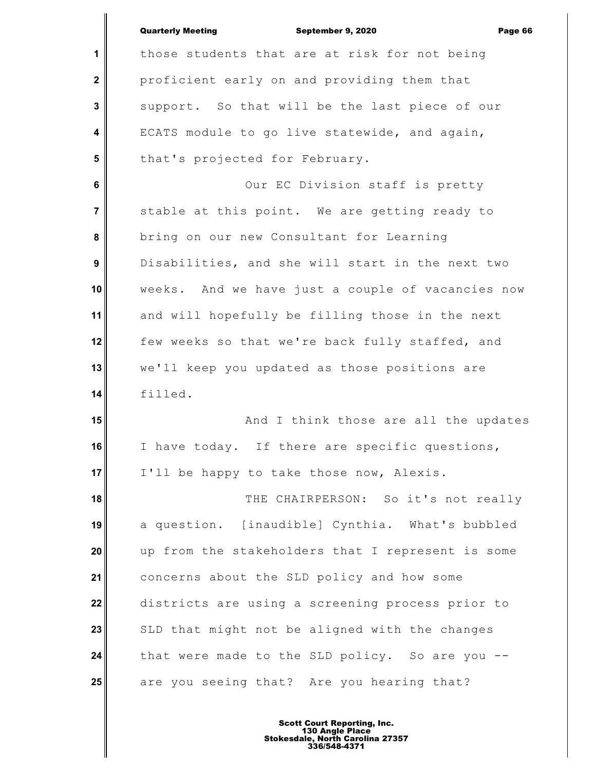|                         | <b>Quarterly Meeting</b><br>September 9, 2020<br>Page 66 |
|-------------------------|----------------------------------------------------------|
| 1                       | those students that are at risk for not being            |
| $\mathbf{2}$            | proficient early on and providing them that              |
| 3                       | support. So that will be the last piece of our           |
| 4                       | ECATS module to go live statewide, and again,            |
| $5\phantom{1}$          | that's projected for February.                           |
| 6                       | Our EC Division staff is pretty                          |
| $\overline{\mathbf{7}}$ | stable at this point. We are getting ready to            |
| 8                       | bring on our new Consultant for Learning                 |
| 9                       | Disabilities, and she will start in the next two         |
| 10                      | weeks. And we have just a couple of vacancies now        |
| 11                      | and will hopefully be filling those in the next          |
| 12                      | few weeks so that we're back fully staffed, and          |
| 13                      | we'll keep you updated as those positions are            |
| 14                      | filled.                                                  |
| 15                      | And I think those are all the updates                    |
| 16                      | I have today. If there are specific questions,           |
| 17                      | I'll be happy to take those now, Alexis.                 |
| 18                      | THE CHAIRPERSON: So it's not really                      |
| 19                      | a question. [inaudible] Cynthia. What's bubbled          |
| 20                      | up from the stakeholders that I represent is some        |
| 21                      | concerns about the SLD policy and how some               |
| 22                      | districts are using a screening process prior to         |
| 23                      | SLD that might not be aligned with the changes           |
| 24                      | that were made to the SLD policy. So are you --          |
| 25                      | are you seeing that? Are you hearing that?               |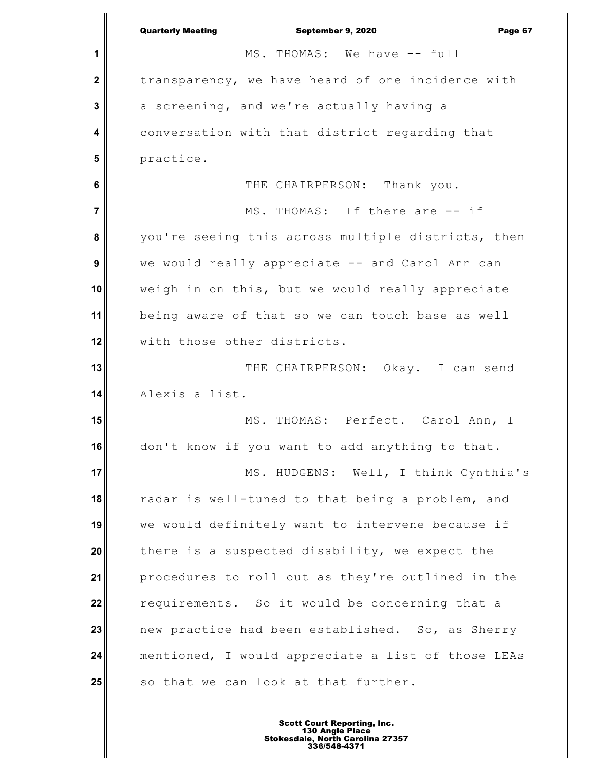**1 2 3 4 5 6 7 8 9 10 11 12 13 14 15 16 17 18 19 20 21 22 23 24 25** Quarterly Meeting September 9, 2020 Page 67 MS. THOMAS: We have -- full transparency, we have heard of one incidence with a screening, and we're actually having a conversation with that district regarding that practice. THE CHAIRPERSON: Thank you. MS. THOMAS: If there are -- if you're seeing this across multiple districts, then we would really appreciate -- and Carol Ann can weigh in on this, but we would really appreciate being aware of that so we can touch base as well with those other districts. THE CHAIRPERSON: Okay. I can send Alexis a list. MS. THOMAS: Perfect. Carol Ann, I don't know if you want to add anything to that. MS. HUDGENS: Well, I think Cynthia's radar is well-tuned to that being a problem, and we would definitely want to intervene because if there is a suspected disability, we expect the procedures to roll out as they're outlined in the requirements. So it would be concerning that a new practice had been established. So, as Sherry mentioned, I would appreciate a list of those LEAs so that we can look at that further.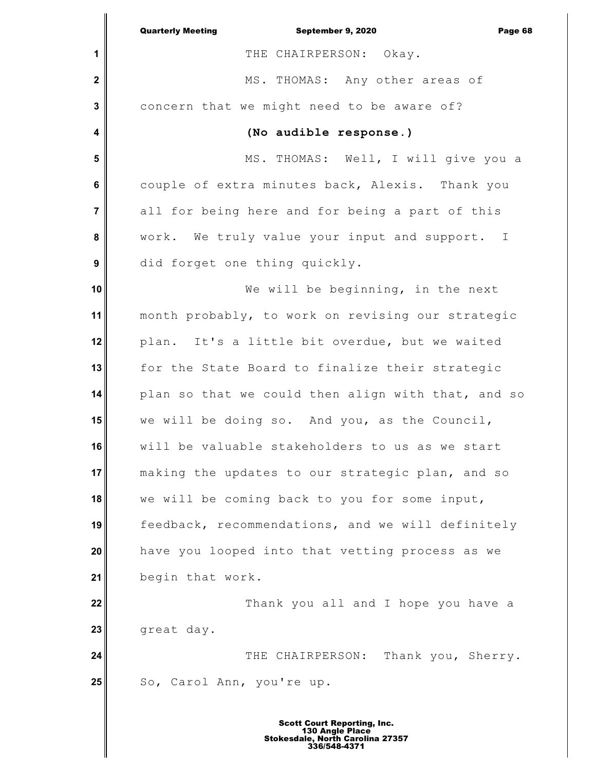|                         | <b>Quarterly Meeting</b><br>September 9, 2020<br>Page 68 |
|-------------------------|----------------------------------------------------------|
| 1                       | THE CHAIRPERSON: Okay.                                   |
| $\mathbf 2$             | MS. THOMAS: Any other areas of                           |
| 3                       | concern that we might need to be aware of?               |
| 4                       | (No audible response.)                                   |
| 5                       | MS. THOMAS: Well, I will give you a                      |
| 6                       | couple of extra minutes back, Alexis. Thank you          |
| $\overline{\mathbf{7}}$ | all for being here and for being a part of this          |
| 8                       | work. We truly value your input and support. I           |
| $\boldsymbol{9}$        | did forget one thing quickly.                            |
| 10                      | We will be beginning, in the next                        |
| 11                      | month probably, to work on revising our strategic        |
| 12                      | plan. It's a little bit overdue, but we waited           |
| 13                      | for the State Board to finalize their strategic          |
| 14                      | plan so that we could then align with that, and so       |
| 15                      | we will be doing so. And you, as the Council,            |
| 16                      | will be valuable stakeholders to us as we start          |
| 17                      | making the updates to our strategic plan, and so         |
| 18                      | we will be coming back to you for some input,            |
| 19                      | feedback, recommendations, and we will definitely        |
| 20                      | have you looped into that vetting process as we          |
| 21                      | begin that work.                                         |
| 22                      | Thank you all and I hope you have a                      |
| 23                      | great day.                                               |
| 24                      | THE CHAIRPERSON:<br>Thank you, Sherry.                   |
| 25                      | So, Carol Ann, you're up.                                |
|                         |                                                          |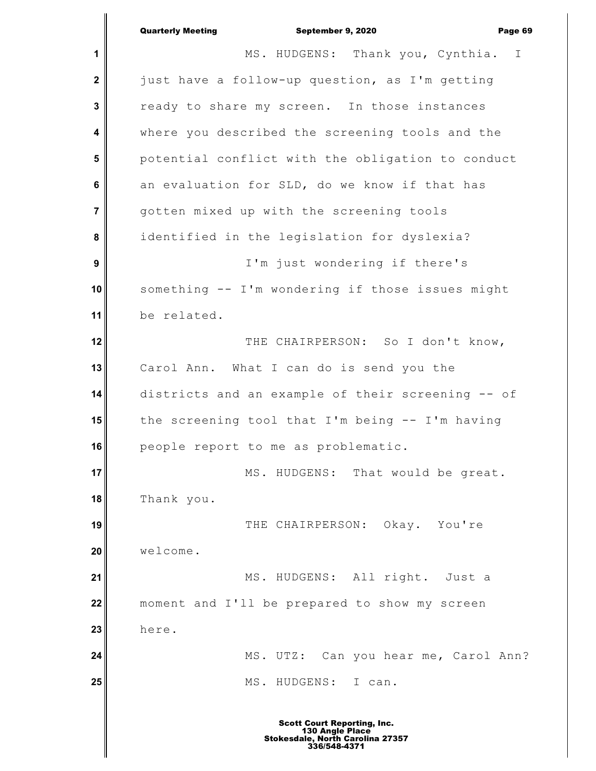|                | <b>Quarterly Meeting</b><br>September 9, 2020<br>Page 69 |
|----------------|----------------------------------------------------------|
| 1              | MS. HUDGENS: Thank you, Cynthia.<br>$\mathbb{I}$         |
| $\mathbf{2}$   | just have a follow-up question, as I'm getting           |
| $\mathbf{3}$   | ready to share my screen. In those instances             |
| 4              | where you described the screening tools and the          |
| 5              | potential conflict with the obligation to conduct        |
| $\bf 6$        | an evaluation for SLD, do we know if that has            |
| $\overline{7}$ | gotten mixed up with the screening tools                 |
| 8              | identified in the legislation for dyslexia?              |
| 9              | I'm just wondering if there's                            |
| 10             | something -- I'm wondering if those issues might         |
| 11             | be related.                                              |
| 12             | THE CHAIRPERSON: So I don't know,                        |
| 13             | Carol Ann. What I can do is send you the                 |
| 14             | districts and an example of their screening -- of        |
| 15             | the screening tool that I'm being -- I'm having          |
| 16             | people report to me as problematic.                      |
| 17             | MS. HUDGENS: That would be great.                        |
| 18             | Thank you.                                               |
| 19             | THE CHAIRPERSON: Okay. You're                            |
| 20             | welcome.                                                 |
| 21             | MS. HUDGENS: All right. Just a                           |
| 22             | moment and I'll be prepared to show my screen            |
| 23             | here.                                                    |
| 24             | MS. UTZ: Can you hear me, Carol Ann?                     |
| 25             | MS. HUDGENS:<br>I can.                                   |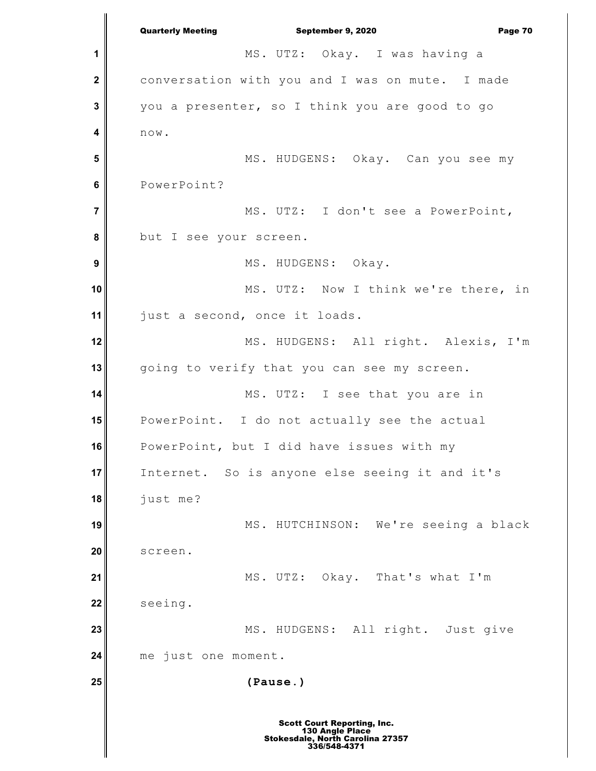**1 2 3 4 5 6 7 8 9 10 11 12 13 14 15 16 17 18 19 20 21 22 23 24 25** Quarterly Meeting September 9, 2020 Page 70 MS. UTZ: Okay. I was having a conversation with you and I was on mute. I made you a presenter, so I think you are good to go now. MS. HUDGENS: Okay. Can you see my PowerPoint? MS. UTZ: I don't see a PowerPoint, but I see your screen. MS. HUDGENS: Okay. MS. UTZ: Now I think we're there, in just a second, once it loads. MS. HUDGENS: All right. Alexis, I'm going to verify that you can see my screen. MS. UTZ: I see that you are in PowerPoint. I do not actually see the actual PowerPoint, but I did have issues with my Internet. So is anyone else seeing it and it's just me? MS. HUTCHINSON: We're seeing a black screen. MS. UTZ: Okay. That's what I'm seeing. MS. HUDGENS: All right. Just give me just one moment. **(Pause.)**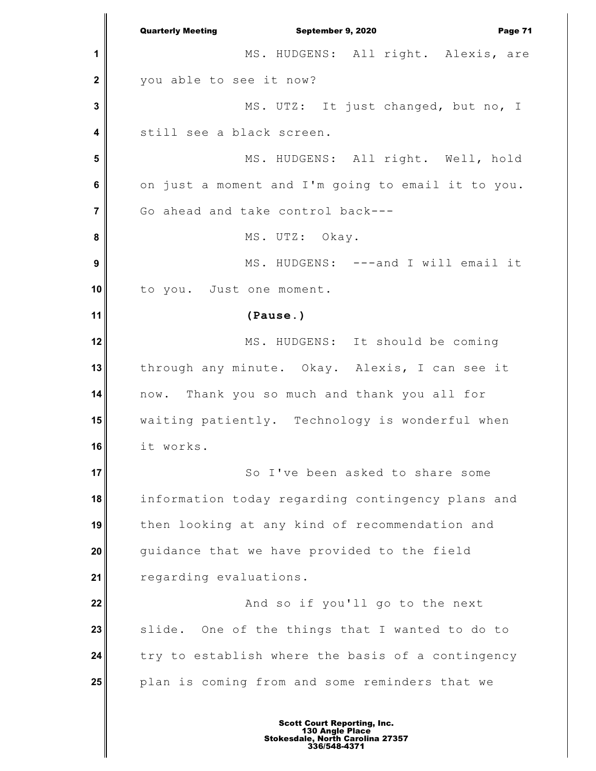**1 2 3 4 5 6 7 8 9 10 11 12 13 14 15 16 17 18 19 20 21 22 23 24 25** Quarterly Meeting September 9, 2020 Page 71 MS. HUDGENS: All right. Alexis, are you able to see it now? MS. UTZ: It just changed, but no, I still see a black screen. MS. HUDGENS: All right. Well, hold on just a moment and I'm going to email it to you. Go ahead and take control back--- MS. UTZ: Okay. MS. HUDGENS: ---and I will email it to you. Just one moment. **(Pause.)** MS. HUDGENS: It should be coming through any minute. Okay. Alexis, I can see it now. Thank you so much and thank you all for waiting patiently. Technology is wonderful when it works. So I've been asked to share some information today regarding contingency plans and then looking at any kind of recommendation and guidance that we have provided to the field regarding evaluations. And so if you'll go to the next slide. One of the things that I wanted to do to try to establish where the basis of a contingency plan is coming from and some reminders that we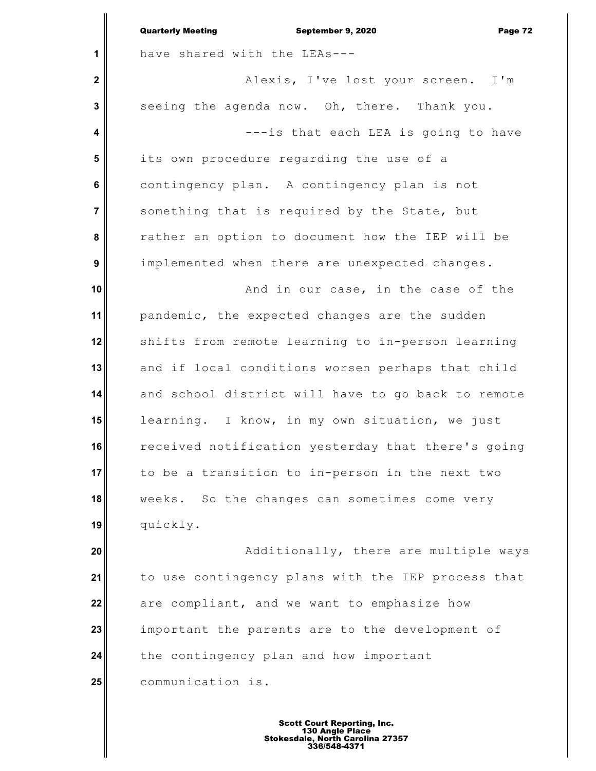|              | <b>Quarterly Meeting</b><br>September 9, 2020<br>Page 72 |
|--------------|----------------------------------------------------------|
| 1            | have shared with the LEAs---                             |
| $\mathbf{2}$ | Alexis, I've lost your screen. I'm                       |
| 3            | seeing the agenda now. Oh, there. Thank you.             |
| 4            | ---is that each LEA is going to have                     |
| 5            | its own procedure regarding the use of a                 |
| 6            | contingency plan. A contingency plan is not              |
| 7            | something that is required by the State, but             |
| 8            | rather an option to document how the IEP will be         |
| 9            | implemented when there are unexpected changes.           |
| 10           | And in our case, in the case of the                      |
| 11           | pandemic, the expected changes are the sudden            |
| 12           | shifts from remote learning to in-person learning        |
| 13           | and if local conditions worsen perhaps that child        |
| 14           | and school district will have to go back to remote       |
| 15           | learning. I know, in my own situation, we just           |
| 16           | received notification yesterday that there's going       |
| 17           | to be a transition to in-person in the next two          |
| 18           | weeks. So the changes can sometimes come very            |
| 19           | quickly.                                                 |
| 20           | Additionally, there are multiple ways                    |
| 21           | to use contingency plans with the IEP process that       |
| 22           | are compliant, and we want to emphasize how              |
| 23           | important the parents are to the development of          |
| 24           | the contingency plan and how important                   |
| 25           | communication is.                                        |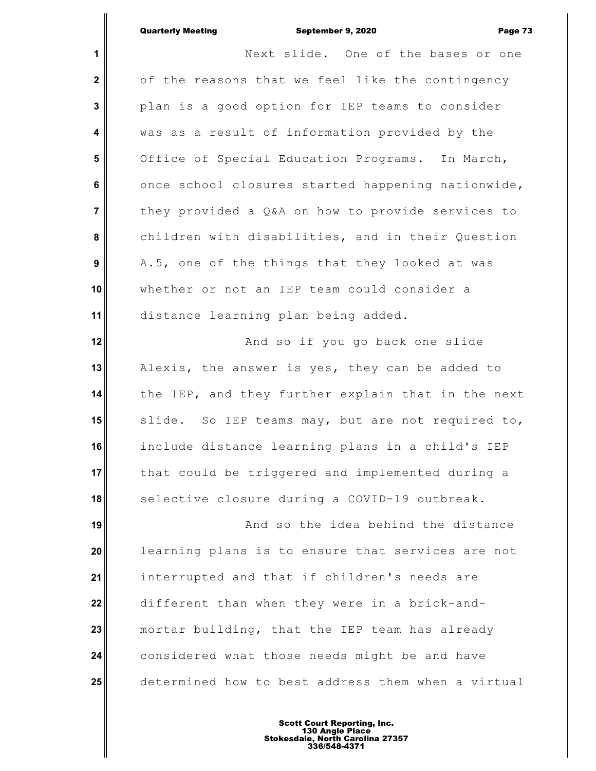**1 2 3 4 5 6 7 8 9 10 11 12 13 14 15 16 17 18 19 20 21 22 23 24 25** Next slide. One of the bases or one of the reasons that we feel like the contingency plan is a good option for IEP teams to consider was as a result of information provided by the Office of Special Education Programs. In March, once school closures started happening nationwide, they provided a Q&A on how to provide services to children with disabilities, and in their Question A.5, one of the things that they looked at was whether or not an IEP team could consider a distance learning plan being added. And so if you go back one slide Alexis, the answer is yes, they can be added to the IEP, and they further explain that in the next slide. So IEP teams may, but are not required to, include distance learning plans in a child's IEP that could be triggered and implemented during a selective closure during a COVID-19 outbreak. And so the idea behind the distance learning plans is to ensure that services are not interrupted and that if children's needs are different than when they were in a brick-andmortar building, that the IEP team has already considered what those needs might be and have determined how to best address them when a virtual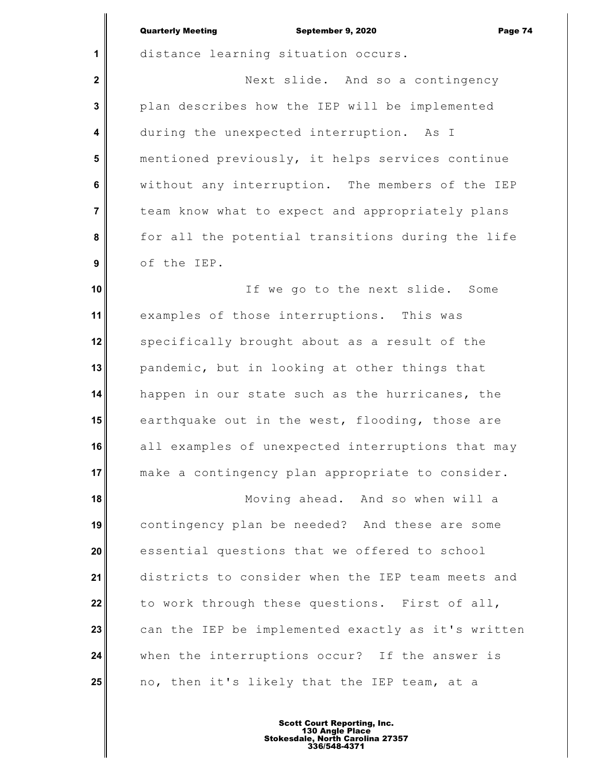| <b>Quarterly Meeting</b> |  |
|--------------------------|--|

**1**

 **2**

 **3**

 **4**

 **5**

 **6**

 **7**

 **8**

 **9**

September 9, 2020 Page 74

distance learning situation occurs.

Next slide. And so a contingency plan describes how the IEP will be implemented during the unexpected interruption. As I mentioned previously, it helps services continue without any interruption. The members of the IEP team know what to expect and appropriately plans for all the potential transitions during the life of the IEP.

**10 11 12 13 14 15 16 17** If we go to the next slide. Some examples of those interruptions. This was specifically brought about as a result of the pandemic, but in looking at other things that happen in our state such as the hurricanes, the earthquake out in the west, flooding, those are all examples of unexpected interruptions that may make a contingency plan appropriate to consider.

**18 19 20 21 22 23 24 25** Moving ahead. And so when will a contingency plan be needed? And these are some essential questions that we offered to school districts to consider when the IEP team meets and to work through these questions. First of all, can the IEP be implemented exactly as it's written when the interruptions occur? If the answer is no, then it's likely that the IEP team, at a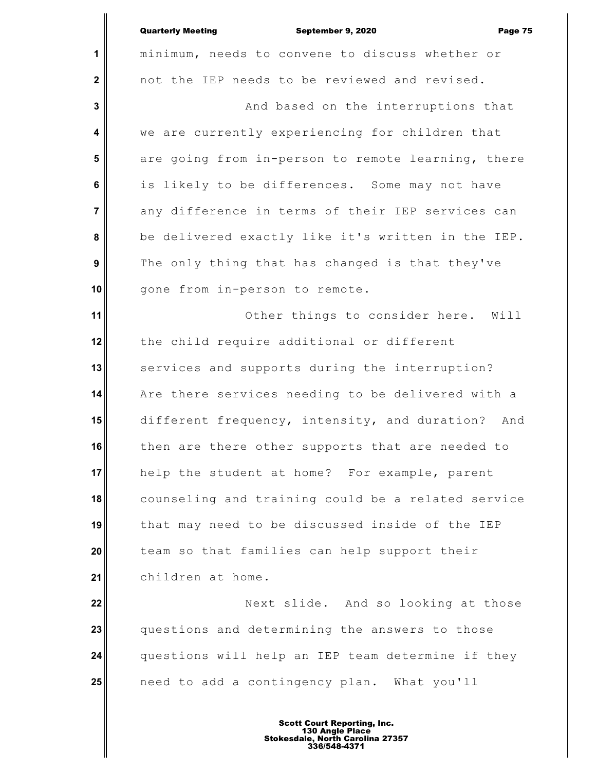| <b>Quarterly Meeting</b>                        | September 9, 2020                   |  | Page 75 |
|-------------------------------------------------|-------------------------------------|--|---------|
| minimum, needs to convene to discuss whether or |                                     |  |         |
| not the IEP needs to be reviewed and revised.   |                                     |  |         |
|                                                 | And based on the interruptions that |  |         |

**1**

 **2**

 **3**

 **4**

 **5**

 **6**

 **7**

 **8**

 **9**

**10**

we are currently experiencing for children that are going from in-person to remote learning, there is likely to be differences. Some may not have any difference in terms of their IEP services can be delivered exactly like it's written in the IEP. The only thing that has changed is that they've gone from in-person to remote.

**11 12 13 14 15 16 17 18 19 20 21** Other things to consider here. Will the child require additional or different services and supports during the interruption? Are there services needing to be delivered with a different frequency, intensity, and duration? And then are there other supports that are needed to help the student at home? For example, parent counseling and training could be a related service that may need to be discussed inside of the IEP team so that families can help support their children at home.

**22 23 24 25** Next slide. And so looking at those questions and determining the answers to those questions will help an IEP team determine if they need to add a contingency plan. What you'll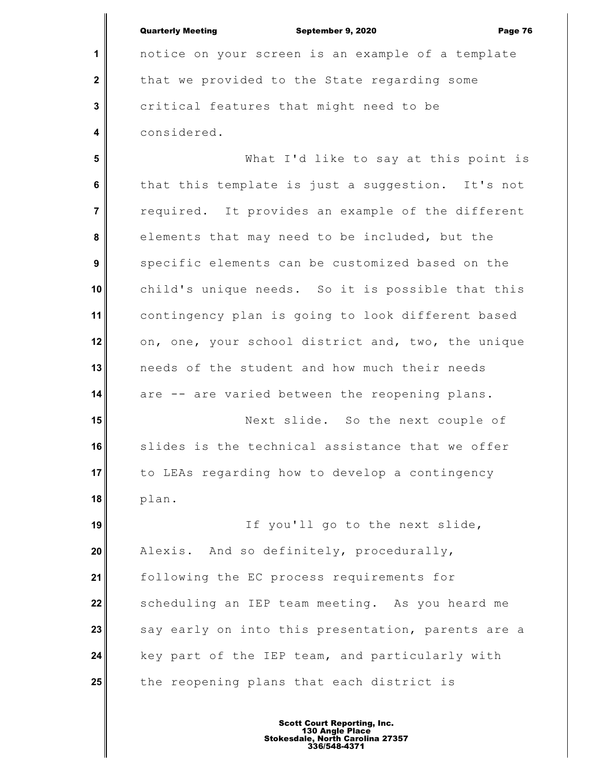|                  | <b>Quarterly Meeting</b><br>September 9, 2020<br>Page 76 |
|------------------|----------------------------------------------------------|
| $\mathbf 1$      | notice on your screen is an example of a template        |
| $\mathbf 2$      | that we provided to the State regarding some             |
| $\mathbf{3}$     | critical features that might need to be                  |
| 4                | considered.                                              |
| 5                | What I'd like to say at this point is                    |
| 6                | that this template is just a suggestion. It's not        |
| $\overline{7}$   | required. It provides an example of the different        |
| 8                | elements that may need to be included, but the           |
| $\boldsymbol{9}$ | specific elements can be customized based on the         |
| 10               | child's unique needs. So it is possible that this        |
| 11               | contingency plan is going to look different based        |
| 12               | on, one, your school district and, two, the unique       |
| 13               | needs of the student and how much their needs            |
| 14               | are -- are varied between the reopening plans.           |
| 15               | Next slide. So the next couple of                        |
| 16               | slides is the technical assistance that we offer         |
| 17               | to LEAs regarding how to develop a contingency           |
| 18               | plan.                                                    |
| 19               | If you'll go to the next slide,                          |
| 20               | Alexis. And so definitely, procedurally,                 |
| 21               | following the EC process requirements for                |
| 22               | scheduling an IEP team meeting. As you heard me          |
| 23               | say early on into this presentation, parents are a       |
| 24               | key part of the IEP team, and particularly with          |
| 25               | the reopening plans that each district is                |
|                  |                                                          |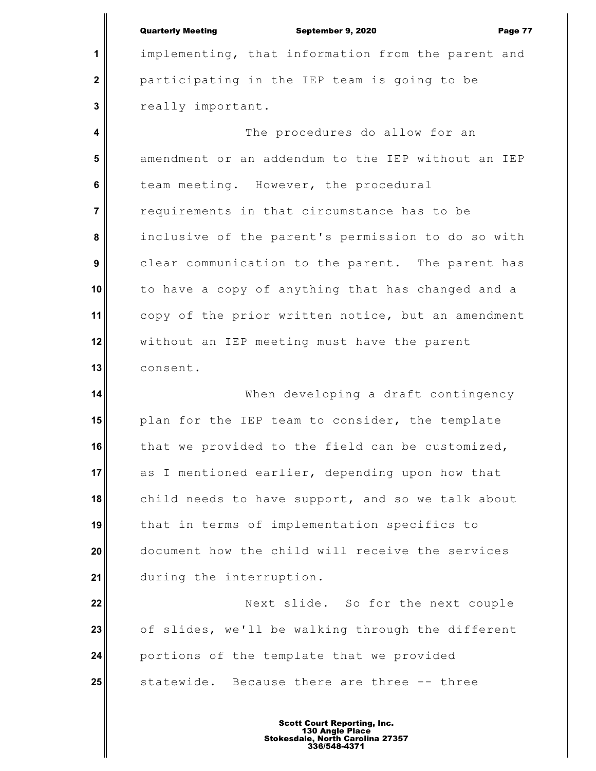**1**

 **2**

 **3**

## Quarterly Meeting September 9, 2020 Page 77

implementing, that information from the parent and participating in the IEP team is going to be really important.

 **4 5 6 7 8 9 10 11 12 13** The procedures do allow for an amendment or an addendum to the IEP without an IEP team meeting. However, the procedural requirements in that circumstance has to be inclusive of the parent's permission to do so with clear communication to the parent. The parent has to have a copy of anything that has changed and a copy of the prior written notice, but an amendment without an IEP meeting must have the parent consent.

**14 15 16 17 18 19 20 21** When developing a draft contingency plan for the IEP team to consider, the template that we provided to the field can be customized, as I mentioned earlier, depending upon how that child needs to have support, and so we talk about that in terms of implementation specifics to document how the child will receive the services during the interruption.

**22 23 24 25** Next slide. So for the next couple of slides, we'll be walking through the different portions of the template that we provided statewide. Because there are three -- three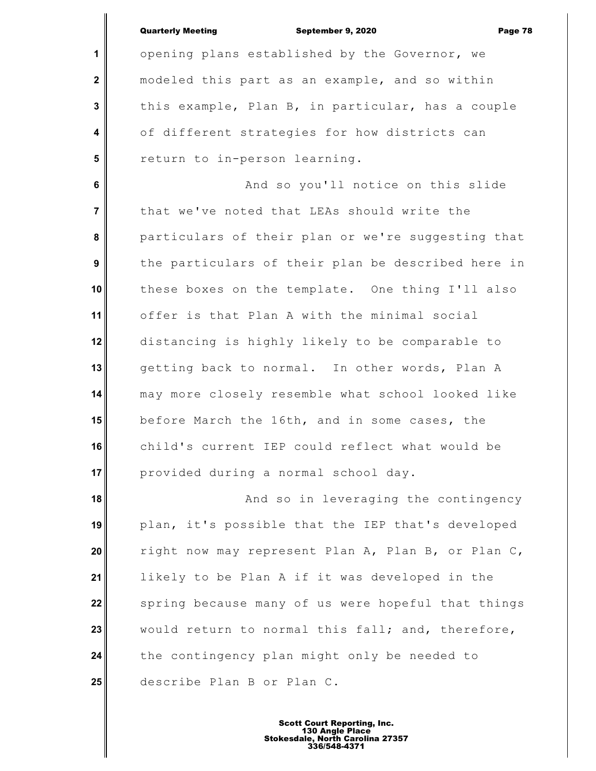|                         | <b>Quarterly Meeting</b><br>September 9, 2020<br>Page 78 |
|-------------------------|----------------------------------------------------------|
| 1                       | opening plans established by the Governor, we            |
| $\mathbf{2}$            | modeled this part as an example, and so within           |
| 3                       | this example, Plan B, in particular, has a couple        |
| $\overline{\mathbf{4}}$ | of different strategies for how districts can            |
| 5                       | return to in-person learning.                            |
| 6                       | And so you'll notice on this slide                       |
| $\overline{7}$          | that we've noted that LEAs should write the              |
| 8                       | particulars of their plan or we're suggesting that       |
| 9                       | the particulars of their plan be described here in       |
| 10                      | these boxes on the template. One thing I'll also         |
| 11                      | offer is that Plan A with the minimal social             |
| 12                      | distancing is highly likely to be comparable to          |
| 13                      | getting back to normal. In other words, Plan A           |
| 14                      | may more closely resemble what school looked like        |
| 15                      | before March the 16th, and in some cases, the            |
| 16                      | child's current IEP could reflect what would be          |
| 17                      | provided during a normal school day.                     |
| 18                      | And so in leveraging the contingency                     |
| 19                      | plan, it's possible that the IEP that's developed        |
| 20                      | right now may represent Plan A, Plan B, or Plan C,       |
| 21                      | likely to be Plan A if it was developed in the           |
| 22                      | spring because many of us were hopeful that things       |
| 23                      | would return to normal this fall; and, therefore,        |
| 24                      | the contingency plan might only be needed to             |
| 25                      | describe Plan B or Plan C.                               |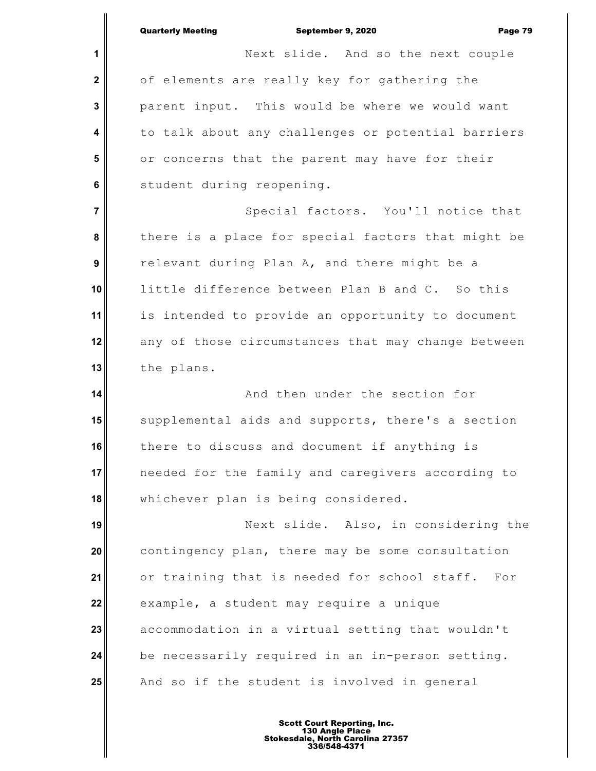**1 2 3 4 5 6 7 8 9 10 11 12 13 14 15 16 17 18 19 20 21 22 23 24 25** Quarterly Meeting September 9, 2020 Page 79 Next slide. And so the next couple of elements are really key for gathering the parent input. This would be where we would want to talk about any challenges or potential barriers or concerns that the parent may have for their student during reopening. Special factors. You'll notice that there is a place for special factors that might be relevant during Plan A, and there might be a little difference between Plan B and C. So this is intended to provide an opportunity to document any of those circumstances that may change between the plans. And then under the section for supplemental aids and supports, there's a section there to discuss and document if anything is needed for the family and caregivers according to whichever plan is being considered. Next slide. Also, in considering the contingency plan, there may be some consultation or training that is needed for school staff. For example, a student may require a unique accommodation in a virtual setting that wouldn't be necessarily required in an in-person setting. And so if the student is involved in general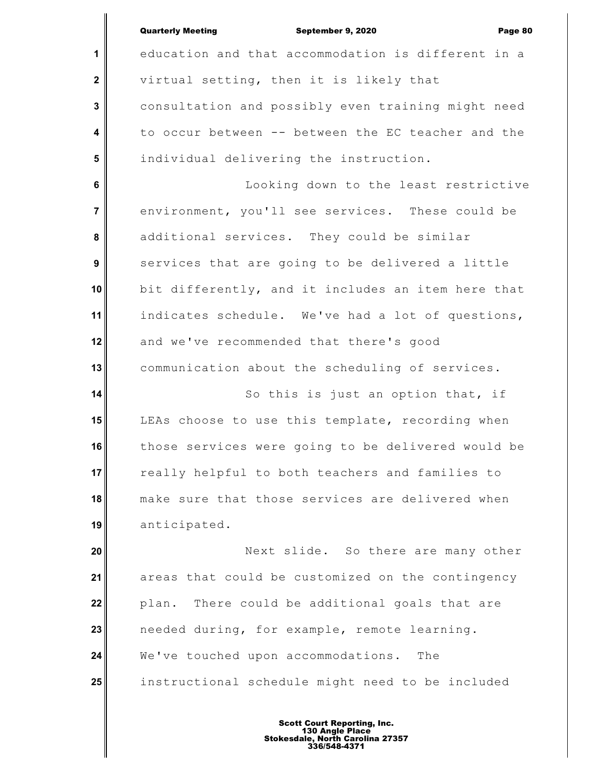| <b>Quarterly Meeting</b><br>September 9, 2020<br>Page 80 |
|----------------------------------------------------------|
| education and that accommodation is different in a       |
| virtual setting, then it is likely that                  |
| consultation and possibly even training might need       |
| to occur between -- between the EC teacher and the       |
| individual delivering the instruction.                   |
| Looking down to the least restrictive                    |
| environment, you'll see services. These could be         |
| additional services. They could be similar               |
| services that are going to be delivered a little         |
| bit differently, and it includes an item here that       |
| indicates schedule. We've had a lot of questions,        |
| and we've recommended that there's good                  |
| communication about the scheduling of services.          |
| So this is just an option that, if                       |
| LEAs choose to use this template, recording when         |
| those services were going to be delivered would be       |
| really helpful to both teachers and families to          |
| make sure that those services are delivered when         |
| anticipated.                                             |
| Next slide. So there are many other                      |
| areas that could be customized on the contingency        |
|                                                          |
| There could be additional goals that are<br>plan.        |
| needed during, for example, remote learning.             |
| We've touched upon accommodations.<br>The                |
|                                                          |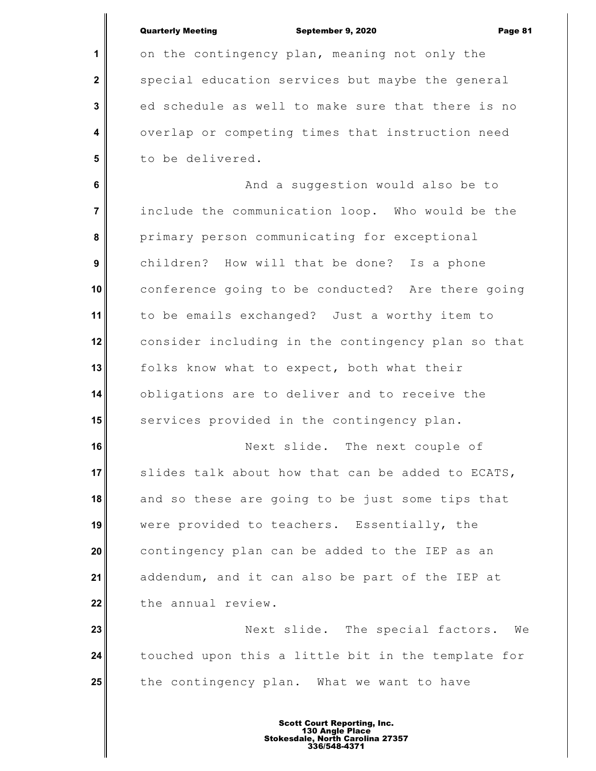**1**

 **2**

 **3**

 **4**

 **5**

September 9, 2020 Page 81

on the contingency plan, meaning not only the special education services but maybe the general ed schedule as well to make sure that there is no overlap or competing times that instruction need to be delivered.

 **6 7 8 9 10 11 12 13 14 15** And a suggestion would also be to include the communication loop. Who would be the primary person communicating for exceptional children? How will that be done? Is a phone conference going to be conducted? Are there going to be emails exchanged? Just a worthy item to consider including in the contingency plan so that folks know what to expect, both what their obligations are to deliver and to receive the services provided in the contingency plan.

**16 17 18 19 20 21 22** Next slide. The next couple of slides talk about how that can be added to ECATS, and so these are going to be just some tips that were provided to teachers. Essentially, the contingency plan can be added to the IEP as an addendum, and it can also be part of the IEP at the annual review.

**23 24 25** Next slide. The special factors. We touched upon this a little bit in the template for the contingency plan. What we want to have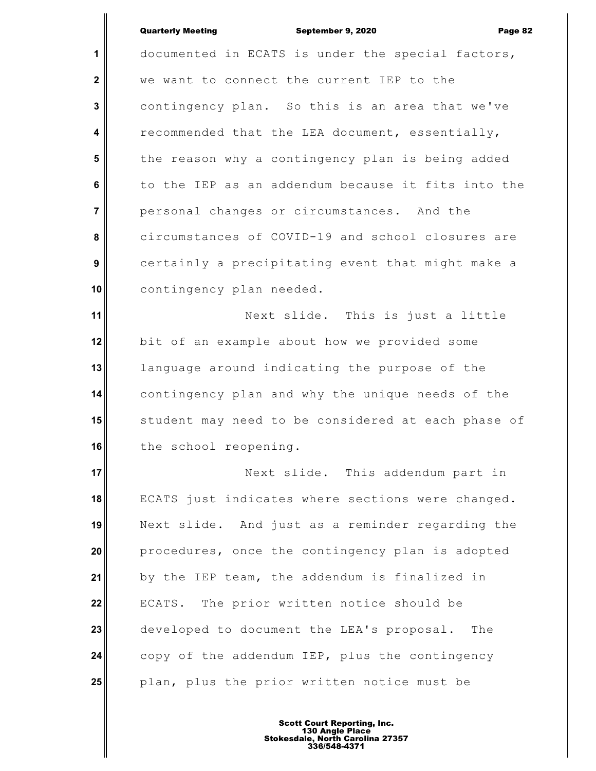| <b>Quarterly Meeting</b> |  |
|--------------------------|--|
|--------------------------|--|

**1 2 3 4 5 6 7 8 9 10 11 12 13 14 15 16 17 18 19 20 21 22** September 9, 2020 Page 82 documented in ECATS is under the special factors, we want to connect the current IEP to the contingency plan. So this is an area that we've recommended that the LEA document, essentially, the reason why a contingency plan is being added to the IEP as an addendum because it fits into the personal changes or circumstances. And the circumstances of COVID-19 and school closures are certainly a precipitating event that might make a contingency plan needed. Next slide. This is just a little bit of an example about how we provided some language around indicating the purpose of the contingency plan and why the unique needs of the student may need to be considered at each phase of the school reopening. Next slide. This addendum part in ECATS just indicates where sections were changed. Next slide. And just as a reminder regarding the procedures, once the contingency plan is adopted by the IEP team, the addendum is finalized in ECATS. The prior written notice should be

**23 24 25** developed to document the LEA's proposal. The copy of the addendum IEP, plus the contingency plan, plus the prior written notice must be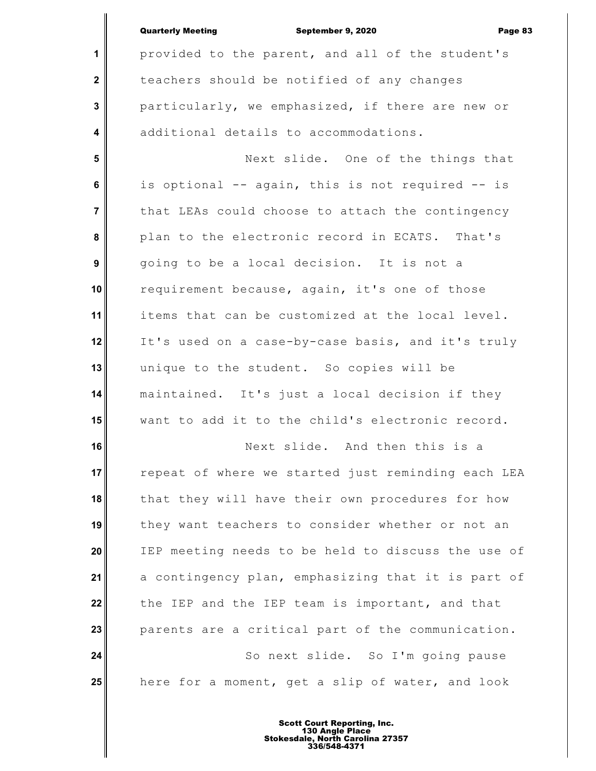|                | <b>Quarterly Meeting</b><br>September 9, 2020<br>Page 83 |
|----------------|----------------------------------------------------------|
| 1              | provided to the parent, and all of the student's         |
| $\mathbf 2$    | teachers should be notified of any changes               |
| 3              | particularly, we emphasized, if there are new or         |
| 4              | additional details to accommodations.                    |
| 5              | Next slide. One of the things that                       |
| 6              | is optional -- again, this is not required -- is         |
| $\overline{7}$ | that LEAs could choose to attach the contingency         |
| 8              | plan to the electronic record in ECATS. That's           |
| 9              | going to be a local decision. It is not a                |
| 10             | requirement because, again, it's one of those            |
| 11             | items that can be customized at the local level.         |
| 12             | It's used on a case-by-case basis, and it's truly        |
| 13             | unique to the student. So copies will be                 |
| 14             | maintained. It's just a local decision if they           |
| 15             | want to add it to the child's electronic record.         |
| 16             | Next slide. And then this is a                           |
| 17             | repeat of where we started just reminding each LEA       |
| 18             | that they will have their own procedures for how         |
| 19             | they want teachers to consider whether or not an         |
| 20             | IEP meeting needs to be held to discuss the use of       |
| 21             | a contingency plan, emphasizing that it is part of       |
| 22             | the IEP and the IEP team is important, and that          |
| 23             | parents are a critical part of the communication.        |
| 24             | So next slide. So I'm going pause                        |
| 25             | here for a moment, get a slip of water, and look         |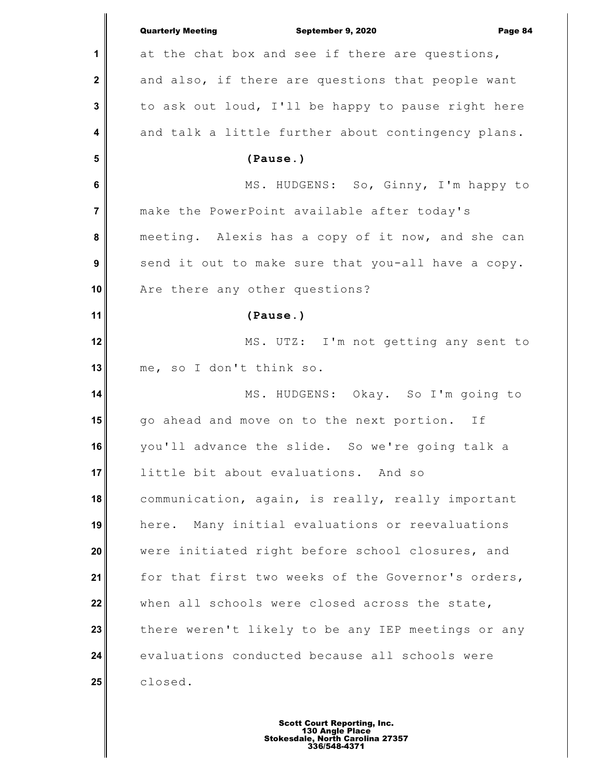|                         | <b>Quarterly Meeting</b><br>September 9, 2020<br>Page 84 |
|-------------------------|----------------------------------------------------------|
| 1                       | at the chat box and see if there are questions,          |
| $\mathbf{2}$            | and also, if there are questions that people want        |
| 3                       | to ask out loud, I'll be happy to pause right here       |
| $\overline{\mathbf{4}}$ | and talk a little further about contingency plans.       |
| 5                       | (Pause.)                                                 |
| 6                       | MS. HUDGENS: So, Ginny, I'm happy to                     |
| $\overline{7}$          | make the PowerPoint available after today's              |
| 8                       | meeting. Alexis has a copy of it now, and she can        |
| $\boldsymbol{9}$        | send it out to make sure that you-all have a copy.       |
| 10                      | Are there any other questions?                           |
| 11                      | (Pause.)                                                 |
| 12                      | MS. UTZ: I'm not getting any sent to                     |
| 13                      | me, so I don't think so.                                 |
| 14                      | MS. HUDGENS: Okay. So I'm going to                       |
| 15                      | go ahead and move on to the next portion. If             |
| 16                      | you'll advance the slide. So we're going talk a          |
| 17                      | little bit about evaluations. And so                     |
| 18                      | communication, again, is really, really important        |
| 19                      | here. Many initial evaluations or reevaluations          |
| 20                      | were initiated right before school closures, and         |
| 21                      | for that first two weeks of the Governor's orders,       |
| 22                      | when all schools were closed across the state,           |
| 23                      | there weren't likely to be any IEP meetings or any       |
| 24                      | evaluations conducted because all schools were           |
| 25                      | closed.                                                  |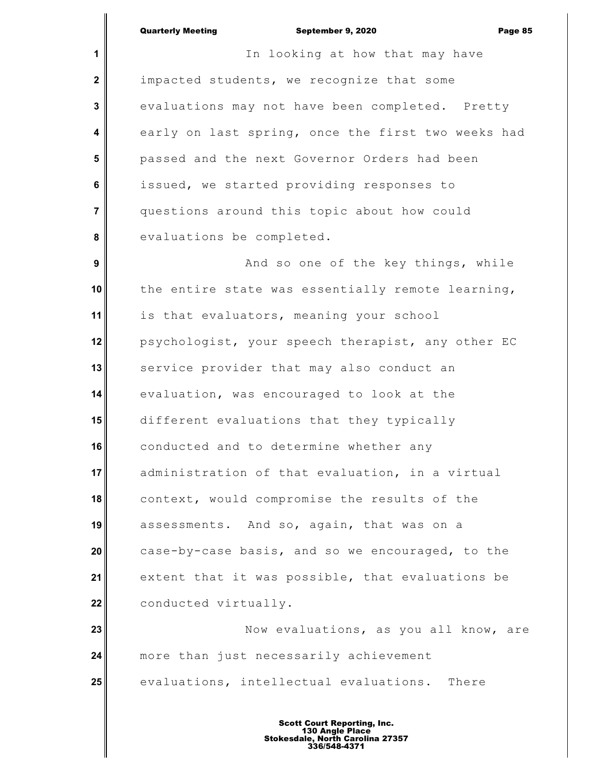**1 2 3 4 5 6 7 8 9 10 11 12 13 14 15 16 17 18 19 20 21 22 23 24 25** In looking at how that may have impacted students, we recognize that some evaluations may not have been completed. Pretty early on last spring, once the first two weeks had passed and the next Governor Orders had been issued, we started providing responses to questions around this topic about how could evaluations be completed. And so one of the key things, while the entire state was essentially remote learning, is that evaluators, meaning your school psychologist, your speech therapist, any other EC service provider that may also conduct an evaluation, was encouraged to look at the different evaluations that they typically conducted and to determine whether any administration of that evaluation, in a virtual context, would compromise the results of the assessments. And so, again, that was on a case-by-case basis, and so we encouraged, to the extent that it was possible, that evaluations be conducted virtually. Now evaluations, as you all know, are more than just necessarily achievement evaluations, intellectual evaluations. There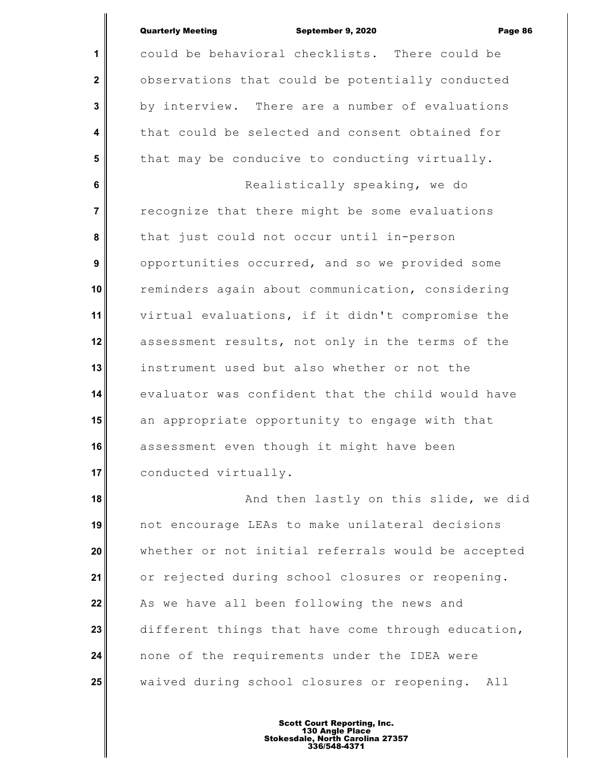**1 2 3 4 5 6 7 8 9 10 11 12 13 14 15** could be behavioral checklists. There could be observations that could be potentially conducted by interview. There are a number of evaluations that could be selected and consent obtained for that may be conducive to conducting virtually. Realistically speaking, we do recognize that there might be some evaluations that just could not occur until in-person opportunities occurred, and so we provided some reminders again about communication, considering virtual evaluations, if it didn't compromise the assessment results, not only in the terms of the instrument used but also whether or not the evaluator was confident that the child would have an appropriate opportunity to engage with that

**16 17** assessment even though it might have been conducted virtually.

**18 19 20 21 22 23 24 25** And then lastly on this slide, we did not encourage LEAs to make unilateral decisions whether or not initial referrals would be accepted or rejected during school closures or reopening. As we have all been following the news and different things that have come through education, none of the requirements under the IDEA were waived during school closures or reopening. All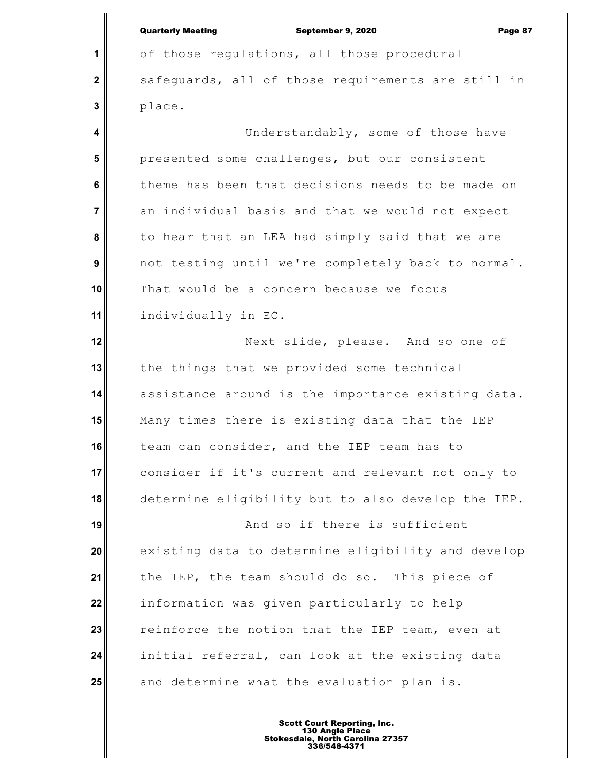**1**

 **2**

 **3**

 **4**

of those regulations, all those procedural safeguards, all of those requirements are still in place. Understandably, some of those have

 **5 6 7 8 9 10 11** presented some challenges, but our consistent theme has been that decisions needs to be made on an individual basis and that we would not expect to hear that an LEA had simply said that we are not testing until we're completely back to normal. That would be a concern because we focus individually in EC.

**12 13 14 15 16 17 18** Next slide, please. And so one of the things that we provided some technical assistance around is the importance existing data. Many times there is existing data that the IEP team can consider, and the IEP team has to consider if it's current and relevant not only to determine eligibility but to also develop the IEP.

**19 20 21 22 23 24 25** And so if there is sufficient existing data to determine eligibility and develop the IEP, the team should do so. This piece of information was given particularly to help reinforce the notion that the IEP team, even at initial referral, can look at the existing data and determine what the evaluation plan is.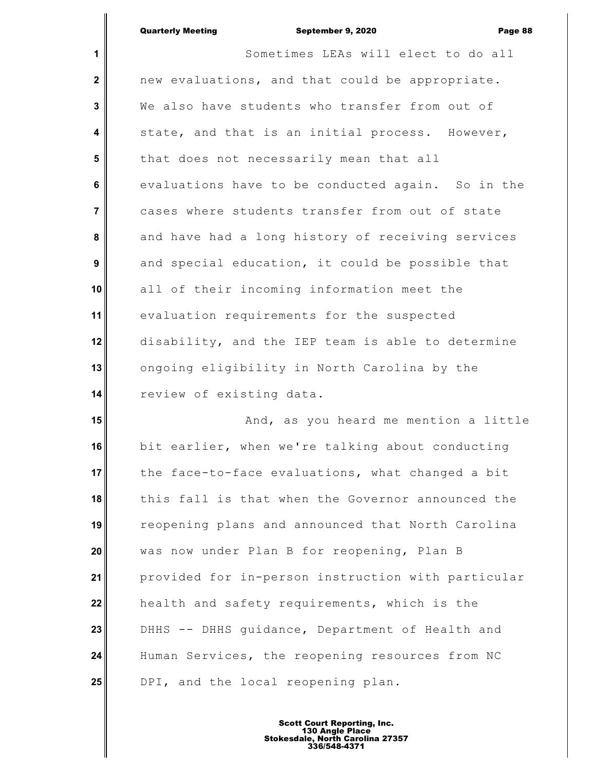# Quarterly Meeting **Constant Constructs** September 9, 2020 **Page 88**

║

| $\mathbf{1}$            | Sometimes LEAs will elect to do all                |
|-------------------------|----------------------------------------------------|
| $\mathbf{2}$            | new evaluations, and that could be appropriate.    |
| $\mathbf{3}$            | We also have students who transfer from out of     |
| $\overline{\mathbf{4}}$ | state, and that is an initial process. However,    |
| $5\phantom{.0}$         | that does not necessarily mean that all            |
| 6                       | evaluations have to be conducted again. So in the  |
| $\overline{7}$          | cases where students transfer from out of state    |
| 8                       | and have had a long history of receiving services  |
| 9                       | and special education, it could be possible that   |
| 10                      | all of their incoming information meet the         |
| 11                      | evaluation requirements for the suspected          |
| 12                      | disability, and the IEP team is able to determine  |
| 13                      | ongoing eligibility in North Carolina by the       |
| 14                      | review of existing data.                           |
| 15                      | And, as you heard me mention a little              |
| 16                      | bit earlier, when we're talking about conducting   |
| 17                      | the face-to-face evaluations, what changed a bit   |
| 18                      | this fall is that when the Governor announced the  |
| 19                      | reopening plans and announced that North Carolina  |
| 20                      | was now under Plan B for reopening, Plan B         |
| 21                      | provided for in-person instruction with particular |
| 22                      | health and safety requirements, which is the       |
| 23                      | DHHS -- DHHS guidance, Department of Health and    |
| 24                      | Human Services, the reopening resources from NC    |
| 25                      | DPI, and the local reopening plan.                 |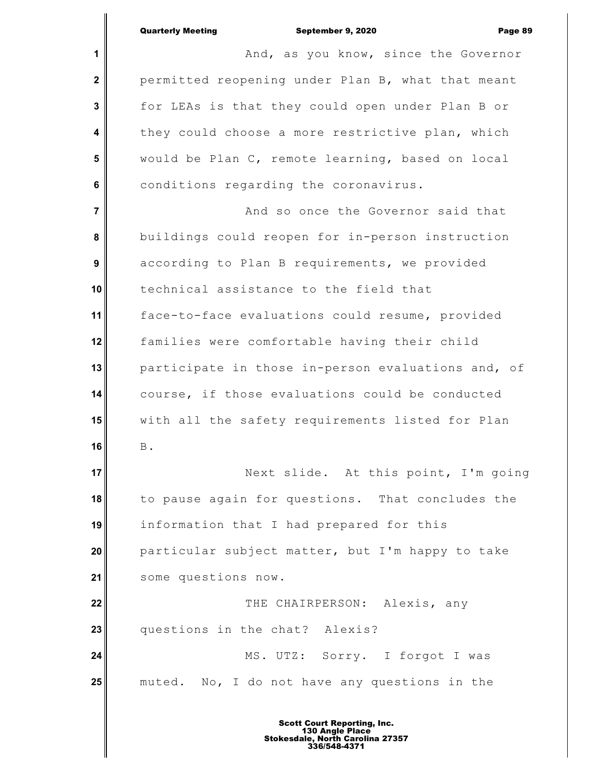**1 2 3 4 5 6 7 8 9 10 11 12 13 14 15 16 17 18 19 20 21 22 23 24 25** And, as you know, since the Governor permitted reopening under Plan B, what that meant for LEAs is that they could open under Plan B or they could choose a more restrictive plan, which would be Plan C, remote learning, based on local conditions regarding the coronavirus. And so once the Governor said that buildings could reopen for in-person instruction according to Plan B requirements, we provided technical assistance to the field that face-to-face evaluations could resume, provided families were comfortable having their child participate in those in-person evaluations and, of course, if those evaluations could be conducted with all the safety requirements listed for Plan B. Next slide. At this point, I'm going to pause again for questions. That concludes the information that I had prepared for this particular subject matter, but I'm happy to take some questions now. THE CHAIRPERSON: Alexis, any questions in the chat? Alexis? MS. UTZ: Sorry. I forgot I was muted. No, I do not have any questions in the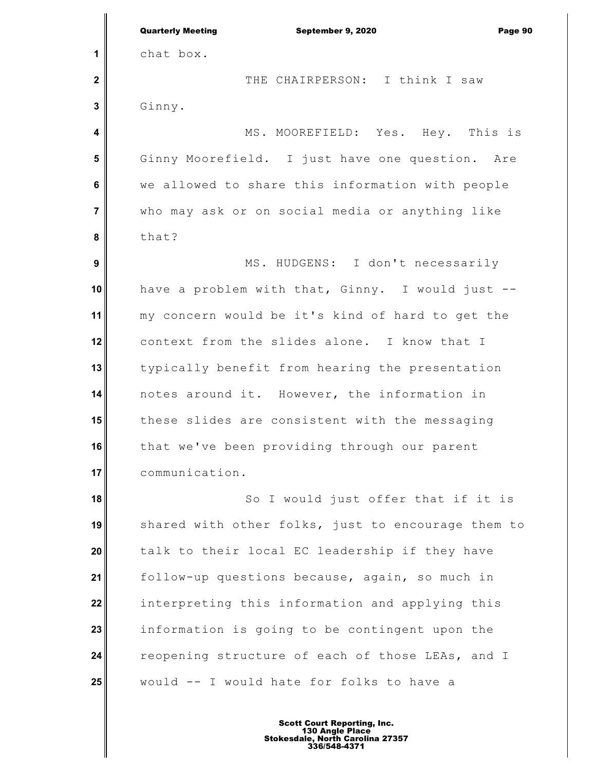**1 2 3 4 5 6 7 8 9 10 11 12 13 14 15 16 17 18 19 20 21 22 23 24 25** Quarterly Meeting September 9, 2020 Page 90 chat box. THE CHAIRPERSON: I think I saw Ginny. MS. MOOREFIELD: Yes. Hey. This is Ginny Moorefield. I just have one question. Are we allowed to share this information with people who may ask or on social media or anything like that? MS. HUDGENS: I don't necessarily have a problem with that, Ginny. I would just - my concern would be it's kind of hard to get the context from the slides alone. I know that I typically benefit from hearing the presentation notes around it. However, the information in these slides are consistent with the messaging that we've been providing through our parent communication. So I would just offer that if it is shared with other folks, just to encourage them to talk to their local EC leadership if they have follow-up questions because, again, so much in interpreting this information and applying this information is going to be contingent upon the reopening structure of each of those LEAs, and I would -- I would hate for folks to have a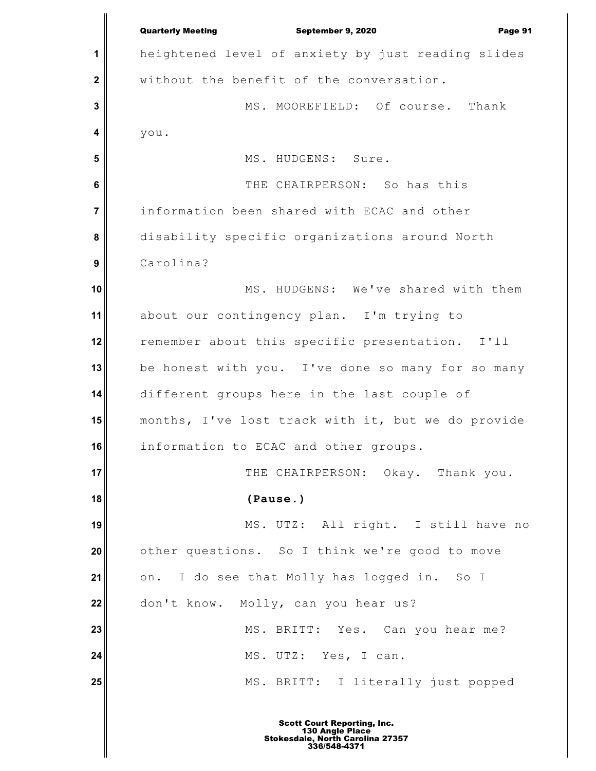**1 2 3 4 5 6 7 8 9 10 11 12 13 14 15 16 17 18 19 20 21 22 23 24 25** Quarterly Meeting September 9, 2020 Page 91 heightened level of anxiety by just reading slides without the benefit of the conversation. MS. MOOREFIELD: Of course. Thank you. MS. HUDGENS: Sure. THE CHAIRPERSON: So has this information been shared with ECAC and other disability specific organizations around North Carolina? MS. HUDGENS: We've shared with them about our contingency plan. I'm trying to remember about this specific presentation. I'll be honest with you. I've done so many for so many different groups here in the last couple of months, I've lost track with it, but we do provide information to ECAC and other groups. THE CHAIRPERSON: Okay. Thank you. **(Pause.)** MS. UTZ: All right. I still have no other questions. So I think we're good to move on. I do see that Molly has logged in. So I don't know. Molly, can you hear us? MS. BRITT: Yes. Can you hear me? MS. UTZ: Yes, I can. MS. BRITT: I literally just popped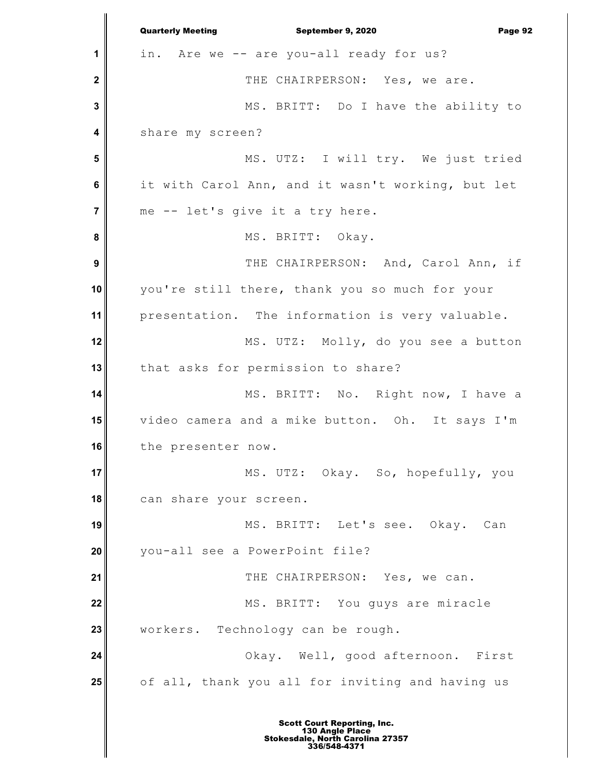**1 2 3 4 5 6 7 8 9 10 11 12 13 14 15 16 17 18 19 20 21 22 23 24 25** Quarterly Meeting September 9, 2020 Page 92 in. Are we -- are you-all ready for us? THE CHAIRPERSON: Yes, we are. MS. BRITT: Do I have the ability to share my screen? MS. UTZ: I will try. We just tried it with Carol Ann, and it wasn't working, but let me -- let's give it a try here. MS. BRITT: Okay. THE CHAIRPERSON: And, Carol Ann, if you're still there, thank you so much for your presentation. The information is very valuable. MS. UTZ: Molly, do you see a button that asks for permission to share? MS. BRITT: No. Right now, I have a video camera and a mike button. Oh. It says I'm the presenter now. MS. UTZ: Okay. So, hopefully, you can share your screen. MS. BRITT: Let's see. Okay. Can you-all see a PowerPoint file? THE CHAIRPERSON: Yes, we can. MS. BRITT: You guys are miracle workers. Technology can be rough. Okay. Well, good afternoon. First of all, thank you all for inviting and having us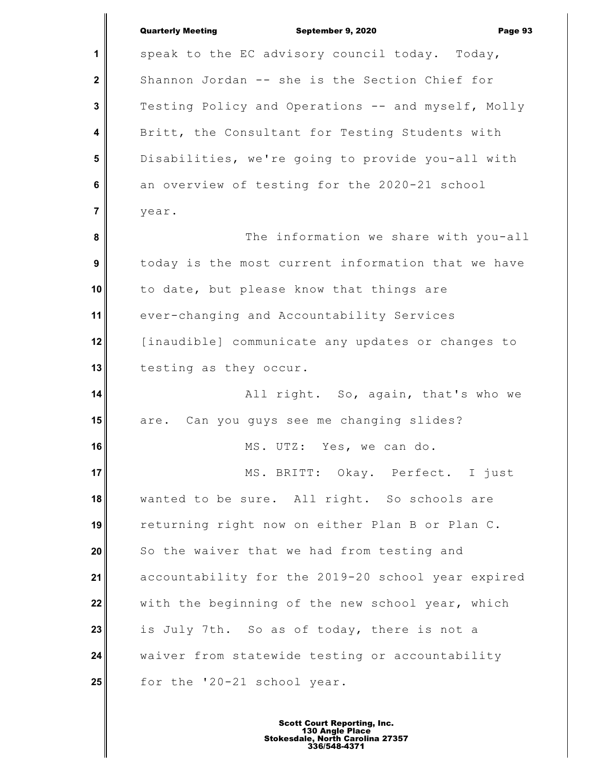|                  | <b>Quarterly Meeting</b><br>September 9, 2020<br>Page 93 |
|------------------|----------------------------------------------------------|
| 1                | speak to the EC advisory council today. Today,           |
| $\mathbf 2$      | Shannon Jordan -- she is the Section Chief for           |
| 3                | Testing Policy and Operations -- and myself, Molly       |
| 4                | Britt, the Consultant for Testing Students with          |
| 5                | Disabilities, we're going to provide you-all with        |
| 6                | an overview of testing for the 2020-21 school            |
| $\overline{7}$   | year.                                                    |
| 8                | The information we share with you-all                    |
| $\boldsymbol{9}$ | today is the most current information that we have       |
| 10               | to date, but please know that things are                 |
| 11               | ever-changing and Accountability Services                |
| 12               | [inaudible] communicate any updates or changes to        |
| 13               | testing as they occur.                                   |
| 14               | All right. So, again, that's who we                      |
| 15               | Can you guys see me changing slides?<br>are.             |
| 16               | MS. UTZ: Yes, we can do.                                 |
| 17               | MS. BRITT: Okay. Perfect. I just                         |
| 18               | wanted to be sure. All right. So schools are             |
| 19               | returning right now on either Plan B or Plan C.          |
| 20               | So the waiver that we had from testing and               |
| 21               | accountability for the 2019-20 school year expired       |
| 22               | with the beginning of the new school year, which         |
| 23               | is July 7th. So as of today, there is not a              |
| 24               | waiver from statewide testing or accountability          |
| 25               | for the '20-21 school year.                              |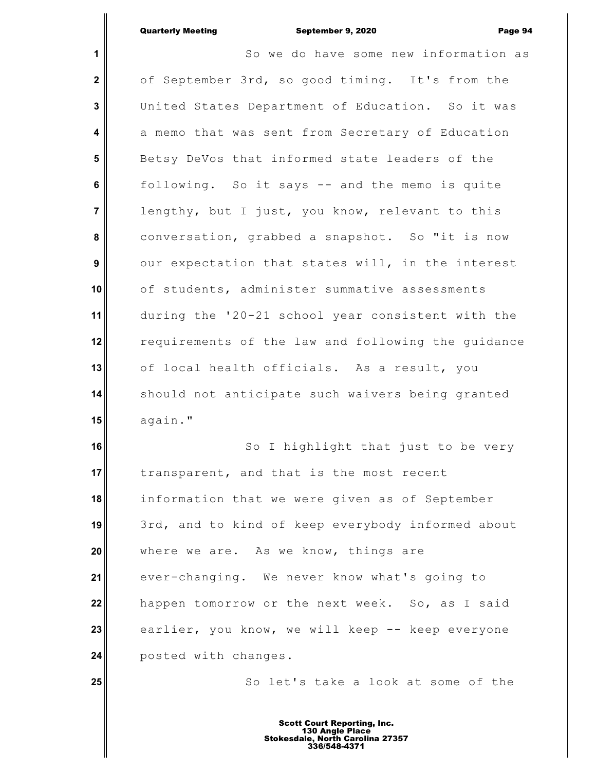**1 2 3 4 5 6 7 8 9 10 11 12 13 14 15 16** So we do have some new information as of September 3rd, so good timing. It's from the United States Department of Education. So it was a memo that was sent from Secretary of Education Betsy DeVos that informed state leaders of the following. So it says -- and the memo is quite lengthy, but I just, you know, relevant to this conversation, grabbed a snapshot. So "it is now our expectation that states will, in the interest of students, administer summative assessments during the '20-21 school year consistent with the requirements of the law and following the guidance of local health officials. As a result, you should not anticipate such waivers being granted again." So I highlight that just to be very

**17 18 19 20 21 22 23 24** transparent, and that is the most recent information that we were given as of September 3rd, and to kind of keep everybody informed about where we are. As we know, things are ever-changing. We never know what's going to happen tomorrow or the next week. So, as I said earlier, you know, we will keep -- keep everyone posted with changes.

**25**

So let's take a look at some of the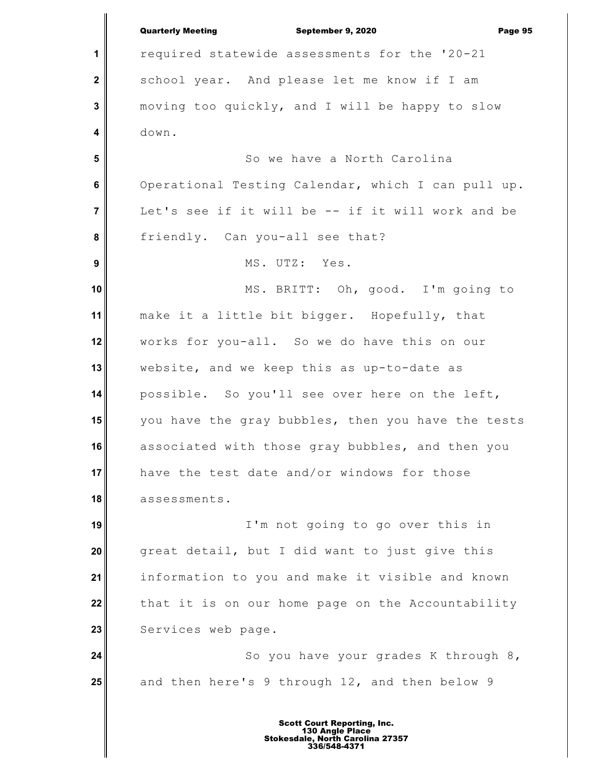**1 2 3 4 5 6 7 8 9 10 11 12 13 14 15 16 17 18 19 20 21 22 23 24 25** Quarterly Meeting September 9, 2020 Page 95 required statewide assessments for the '20-21 school year. And please let me know if I am moving too quickly, and I will be happy to slow down. So we have a North Carolina Operational Testing Calendar, which I can pull up. Let's see if it will be -- if it will work and be friendly. Can you-all see that? MS. UTZ: Yes. MS. BRITT: Oh, good. I'm going to make it a little bit bigger. Hopefully, that works for you-all. So we do have this on our website, and we keep this as up-to-date as possible. So you'll see over here on the left, you have the gray bubbles, then you have the tests associated with those gray bubbles, and then you have the test date and/or windows for those assessments. I'm not going to go over this in great detail, but I did want to just give this information to you and make it visible and known that it is on our home page on the Accountability Services web page. So you have your grades K through 8, and then here's 9 through 12, and then below 9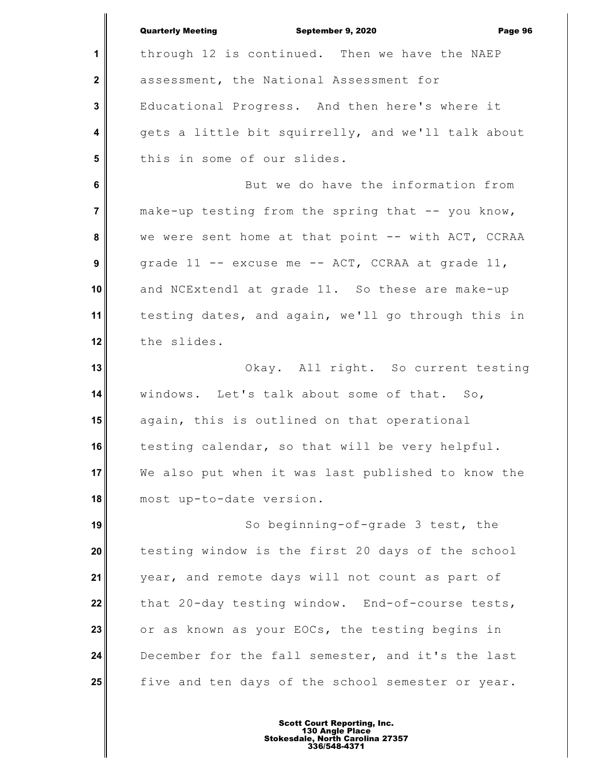**1 2 3 4 5 6 7 8 9 10 11 12 13 14 15 16 17 18 19 20 21 22 23 24 25** Quarterly Meeting September 9, 2020 Page 96 through 12 is continued. Then we have the NAEP assessment, the National Assessment for Educational Progress. And then here's where it gets a little bit squirrelly, and we'll talk about this in some of our slides. But we do have the information from make-up testing from the spring that -- you know, we were sent home at that point -- with ACT, CCRAA grade 11 -- excuse me -- ACT, CCRAA at grade 11, and NCExtend1 at grade 11. So these are make-up testing dates, and again, we'll go through this in the slides. Okay. All right. So current testing windows. Let's talk about some of that. So, again, this is outlined on that operational testing calendar, so that will be very helpful. We also put when it was last published to know the most up-to-date version. So beginning-of-grade 3 test, the testing window is the first 20 days of the school year, and remote days will not count as part of that 20-day testing window. End-of-course tests, or as known as your EOCs, the testing begins in December for the fall semester, and it's the last five and ten days of the school semester or year.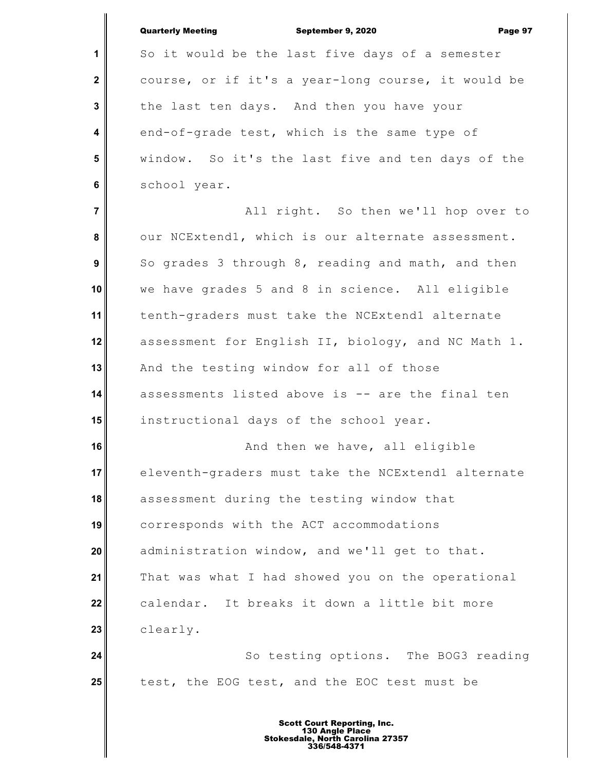**1 2 3 4 5 6 7 8 9 10 11 12 13 14 15 16 17 18 19 20 21 22 23 24 25** Quarterly Meeting September 9, 2020 Page 97 So it would be the last five days of a semester course, or if it's a year-long course, it would be the last ten days. And then you have your end-of-grade test, which is the same type of window. So it's the last five and ten days of the school year. All right. So then we'll hop over to our NCExtend1, which is our alternate assessment. So grades 3 through 8, reading and math, and then we have grades 5 and 8 in science. All eligible tenth-graders must take the NCExtend1 alternate assessment for English II, biology, and NC Math 1. And the testing window for all of those assessments listed above is -- are the final ten instructional days of the school year. And then we have, all eligible eleventh-graders must take the NCExtend1 alternate assessment during the testing window that corresponds with the ACT accommodations administration window, and we'll get to that. That was what I had showed you on the operational calendar. It breaks it down a little bit more clearly. So testing options. The BOG3 reading test, the EOG test, and the EOC test must be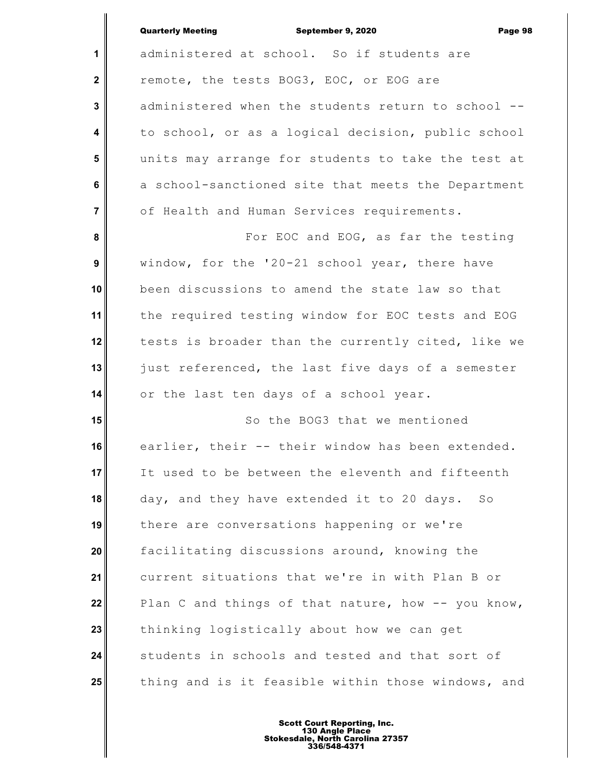| <b>Quarterly Meeting</b> | September 9, 2020 | Page 98 |
|--------------------------|-------------------|---------|

|                  | <b>Quarterly Meeting</b><br>September 9, 2020<br>Page 9 |
|------------------|---------------------------------------------------------|
| 1                | administered at school. So if students are              |
| $\mathbf{2}$     | remote, the tests BOG3, EOC, or EOG are                 |
| 3                | administered when the students return to school --      |
| 4                | to school, or as a logical decision, public school      |
| 5                | units may arrange for students to take the test at      |
| 6                | a school-sanctioned site that meets the Department      |
| $\overline{7}$   | of Health and Human Services requirements.              |
| 8                | For EOC and EOG, as far the testing                     |
| $\boldsymbol{9}$ | window, for the '20-21 school year, there have          |
| 10               | been discussions to amend the state law so that         |
| 11               | the required testing window for EOC tests and EOG       |
| 12               | tests is broader than the currently cited, like we      |
| 13               | just referenced, the last five days of a semester       |
| 14               | or the last ten days of a school year.                  |
| 15               | So the BOG3 that we mentioned                           |
| 16               | earlier, their -- their window has been extended.       |
| 17               | It used to be between the eleventh and fifteenth        |
| 18               | day, and they have extended it to 20 days.<br>So        |
| 19               | there are conversations happening or we're              |
| 20               | facilitating discussions around, knowing the            |
| 21               | current situations that we're in with Plan B or         |
| 22               | Plan C and things of that nature, how -- you know,      |
| 23               | thinking logistically about how we can get              |
| 24               | students in schools and tested and that sort of         |
| 25               | thing and is it feasible within those windows, and      |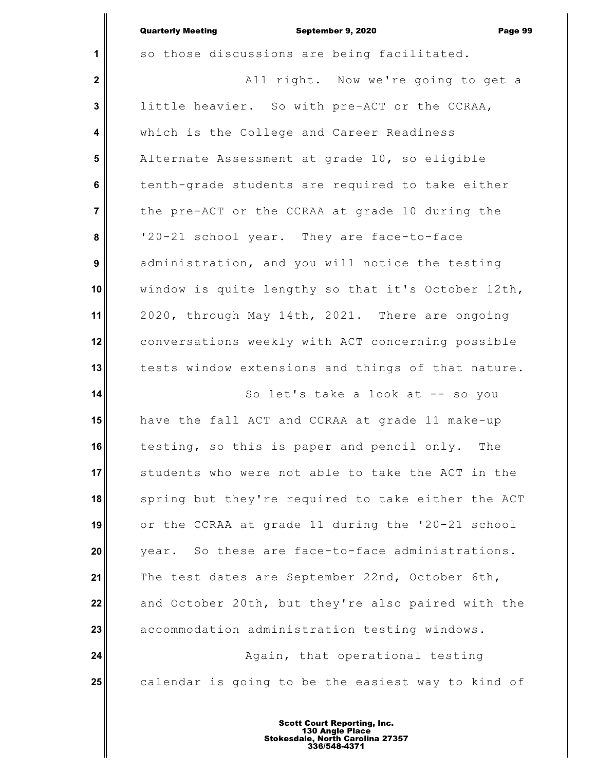$\parallel$ 

|                         | <b>Quarterly Meeting</b><br>September 9, 2020<br>Page 99 |
|-------------------------|----------------------------------------------------------|
| 1                       | so those discussions are being facilitated.              |
| $\mathbf{2}$            | All right. Now we're going to get a                      |
| $\mathbf{3}$            | little heavier. So with pre-ACT or the CCRAA,            |
| $\overline{\mathbf{4}}$ | which is the College and Career Readiness                |
| 5                       | Alternate Assessment at grade 10, so eligible            |
| $6\phantom{1}$          | tenth-grade students are required to take either         |
| $\overline{7}$          | the pre-ACT or the CCRAA at grade 10 during the          |
| 8                       | '20-21 school year. They are face-to-face                |
| $\boldsymbol{9}$        | administration, and you will notice the testing          |
| 10                      | window is quite lengthy so that it's October 12th,       |
| 11                      | 2020, through May 14th, 2021. There are ongoing          |
| 12                      | conversations weekly with ACT concerning possible        |
| 13                      | tests window extensions and things of that nature.       |
| 14                      | So let's take a look at -- so you                        |
| 15                      | have the fall ACT and CCRAA at grade 11 make-up          |
| 16                      | testing, so this is paper and pencil only.<br>The        |
| 17                      | students who were not able to take the ACT in the        |
| 18                      | spring but they're required to take either the ACT       |
| 19                      | or the CCRAA at grade 11 during the '20-21 school        |
| 20                      | year. So these are face-to-face administrations.         |
| 21                      | The test dates are September 22nd, October 6th,          |
| 22                      | and October 20th, but they're also paired with the       |
| 23                      | accommodation administration testing windows.            |
| 24                      | Again, that operational testing                          |
| 25                      | calendar is going to be the easiest way to kind of       |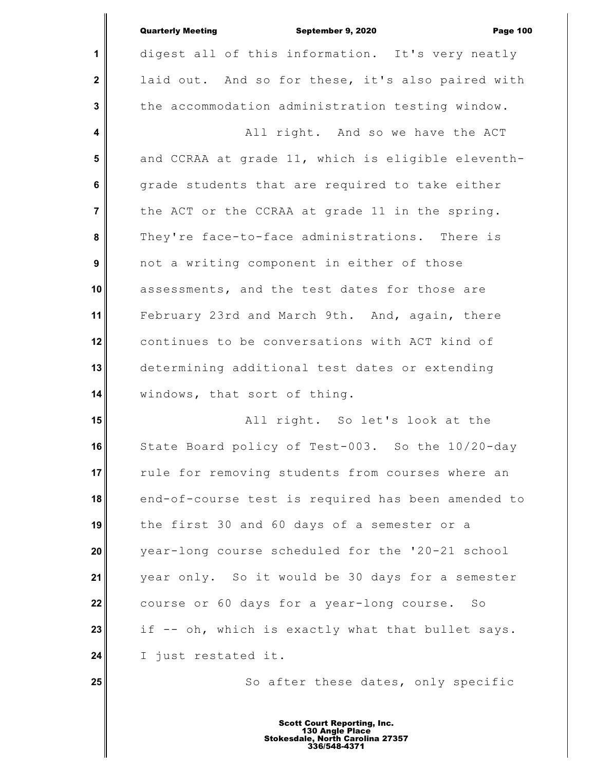|                         | <b>Quarterly Meeting</b><br>September 9, 2020<br><b>Page 100</b> |
|-------------------------|------------------------------------------------------------------|
| 1                       | digest all of this information. It's very neatly                 |
| $\mathbf{2}$            | laid out. And so for these, it's also paired with                |
| 3                       | the accommodation administration testing window.                 |
| $\overline{\mathbf{4}}$ | All right. And so we have the ACT                                |
| 5                       | and CCRAA at grade 11, which is eligible eleventh-               |
| $6\phantom{a}$          | grade students that are required to take either                  |
| $\overline{7}$          | the ACT or the CCRAA at grade 11 in the spring.                  |
| 8                       | They're face-to-face administrations. There is                   |
| $\boldsymbol{9}$        | not a writing component in either of those                       |
| 10                      | assessments, and the test dates for those are                    |
| 11                      | February 23rd and March 9th. And, again, there                   |
| 12                      | continues to be conversations with ACT kind of                   |
| 13                      | determining additional test dates or extending                   |
| 14                      | windows, that sort of thing.                                     |
| 15                      | All right. So let's look at the                                  |
| 16                      | State Board policy of Test-003. So the 10/20-day                 |
| 17                      | rule for removing students from courses where an                 |
| 18                      | end-of-course test is required has been amended to               |
| 19                      | the first 30 and 60 days of a semester or a                      |
| 20                      | year-long course scheduled for the '20-21 school                 |
| 21                      | year only. So it would be 30 days for a semester                 |
| 22                      | course or 60 days for a year-long course. So                     |
| 23                      | if -- oh, which is exactly what that bullet says.                |
| 24                      | I just restated it.                                              |
| 25                      | So after these dates, only specific                              |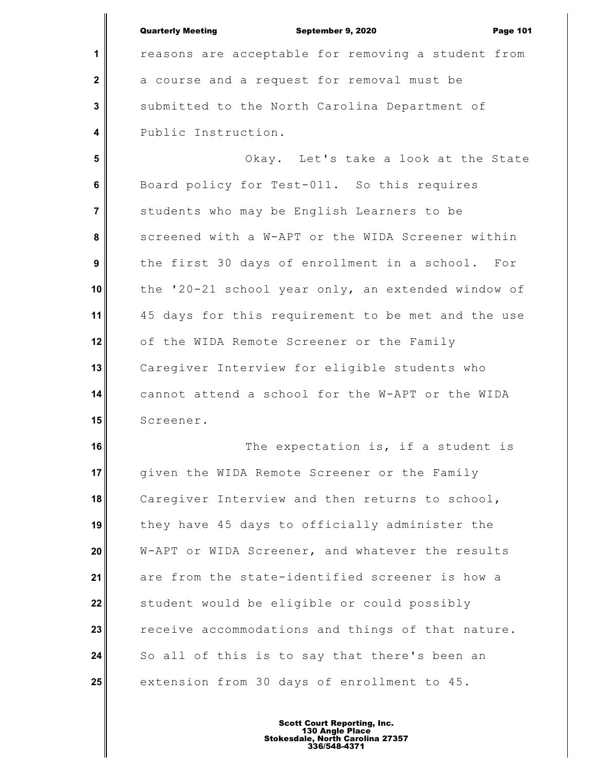|                         | <b>Quarterly Meeting</b><br>September 9, 2020<br><b>Page 101</b> |
|-------------------------|------------------------------------------------------------------|
| 1                       | reasons are acceptable for removing a student from               |
| $\mathbf{2}$            | a course and a request for removal must be                       |
| $\overline{\mathbf{3}}$ | submitted to the North Carolina Department of                    |
| $\overline{\mathbf{4}}$ | Public Instruction.                                              |
| 5                       | Okay. Let's take a look at the State                             |
| 6                       | Board policy for Test-011. So this requires                      |
| $\overline{7}$          | students who may be English Learners to be                       |
| 8                       | screened with a W-APT or the WIDA Screener within                |
| $\boldsymbol{9}$        | the first 30 days of enrollment in a school. For                 |
| 10                      | the '20-21 school year only, an extended window of               |
| 11                      | 45 days for this requirement to be met and the use               |
| 12                      | of the WIDA Remote Screener or the Family                        |
| 13                      | Caregiver Interview for eligible students who                    |
| 14                      | cannot attend a school for the W-APT or the WIDA                 |
| 15                      | Screener.                                                        |
| 16                      | The expectation is, if a student is                              |
| 17                      | given the WIDA Remote Screener or the Family                     |
| 18                      | Caregiver Interview and then returns to school,                  |
| 19                      | they have 45 days to officially administer the                   |
| 20                      | W-APT or WIDA Screener, and whatever the results                 |
| 21                      | are from the state-identified screener is how a                  |
| 22                      | student would be eligible or could possibly                      |
| 23                      | receive accommodations and things of that nature.                |
| 24                      | So all of this is to say that there's been an                    |
| 25                      | extension from 30 days of enrollment to 45.                      |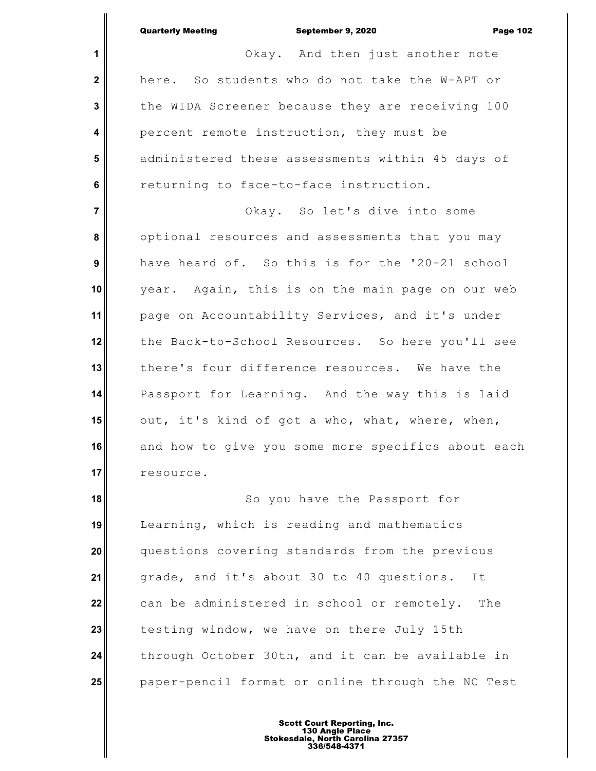**1 2 3 4 5 6 7 8 9 10 11 12 13 14 15 16 17 18** Quarterly Meeting **September 9, 2020 Page 102** Okay. And then just another note here. So students who do not take the W-APT or the WIDA Screener because they are receiving 100 percent remote instruction, they must be administered these assessments within 45 days of returning to face-to-face instruction. Okay. So let's dive into some optional resources and assessments that you may have heard of. So this is for the '20-21 school year. Again, this is on the main page on our web page on Accountability Services, and it's under the Back-to-School Resources. So here you'll see there's four difference resources. We have the Passport for Learning. And the way this is laid out, it's kind of got a who, what, where, when, and how to give you some more specifics about each resource. So you have the Passport for

**19 20 21 22 23 24 25** Learning, which is reading and mathematics questions covering standards from the previous grade, and it's about 30 to 40 questions. It can be administered in school or remotely. The testing window, we have on there July 15th through October 30th, and it can be available in paper-pencil format or online through the NC Test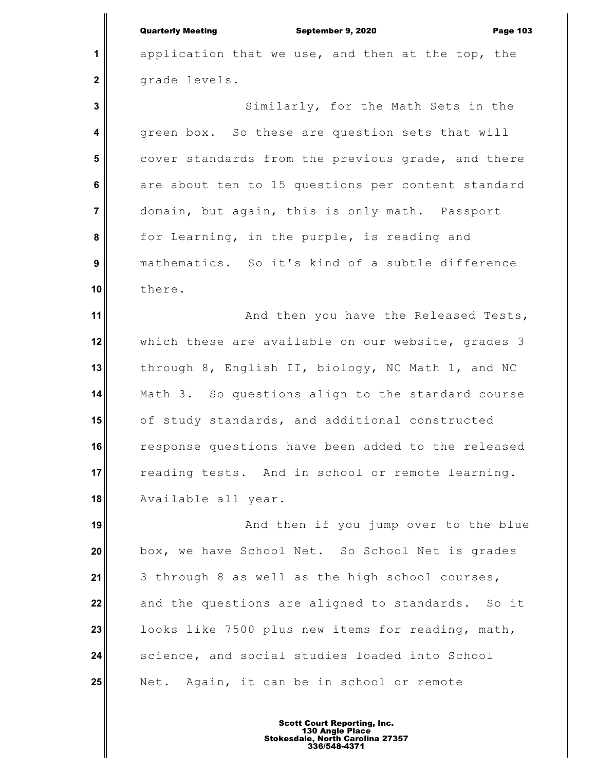**1**

 **2**

 **3**

 **4**

 **5**

 **6**

 **7**

 **8**

 **9**

**10**

application that we use, and then at the top, the grade levels.

Similarly, for the Math Sets in the green box. So these are question sets that will cover standards from the previous grade, and there are about ten to 15 questions per content standard domain, but again, this is only math. Passport for Learning, in the purple, is reading and mathematics. So it's kind of a subtle difference there.

**11 12 13 14 15 16 17 18** And then you have the Released Tests, which these are available on our website, grades 3 through 8, English II, biology, NC Math 1, and NC Math 3. So questions align to the standard course of study standards, and additional constructed response questions have been added to the released reading tests. And in school or remote learning. Available all year.

**19 20 21 22 23 24 25** And then if you jump over to the blue box, we have School Net. So School Net is grades 3 through 8 as well as the high school courses, and the questions are aligned to standards. So it looks like 7500 plus new items for reading, math, science, and social studies loaded into School Net. Again, it can be in school or remote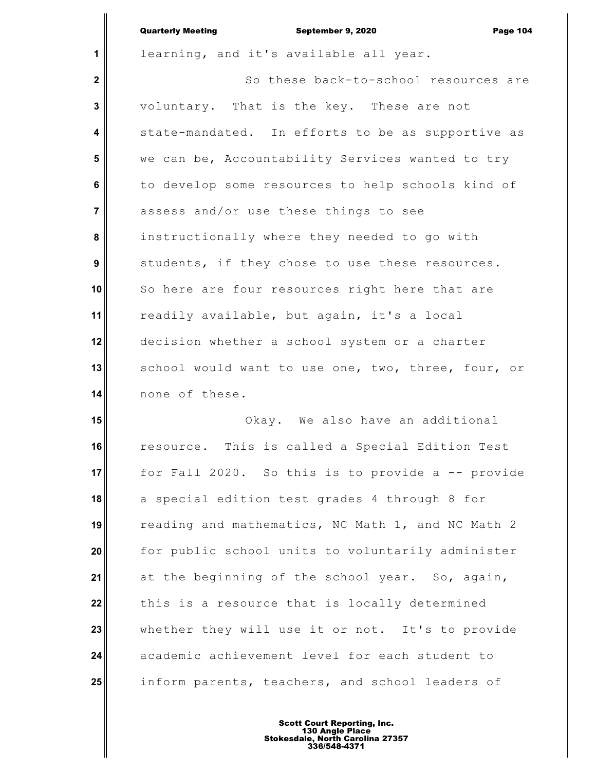|                  | <b>Quarterly Meeting</b><br>September 9, 2020<br><b>Page 104</b> |
|------------------|------------------------------------------------------------------|
| $\mathbf{1}$     | learning, and it's available all year.                           |
| $\mathbf{2}$     | So these back-to-school resources are                            |
| $\mathbf 3$      | voluntary. That is the key. These are not                        |
| 4                | state-mandated. In efforts to be as supportive as                |
| 5                | we can be, Accountability Services wanted to try                 |
| 6                | to develop some resources to help schools kind of                |
| $\overline{7}$   | assess and/or use these things to see                            |
| 8                | instructionally where they needed to go with                     |
| $\boldsymbol{9}$ | students, if they chose to use these resources.                  |
| 10               | So here are four resources right here that are                   |
| 11               | readily available, but again, it's a local                       |
| 12               | decision whether a school system or a charter                    |
| 13               | school would want to use one, two, three, four, or               |
| 14               | none of these.                                                   |
|                  |                                                                  |

 $\mathbf{I}$ 

**15 16 17 18 19 20 21 22 23 24 25** Okay. We also have an additional resource. This is called a Special Edition Test for Fall 2020. So this is to provide a -- provide a special edition test grades 4 through 8 for reading and mathematics, NC Math 1, and NC Math 2 for public school units to voluntarily administer at the beginning of the school year. So, again, this is a resource that is locally determined whether they will use it or not. It's to provide academic achievement level for each student to inform parents, teachers, and school leaders of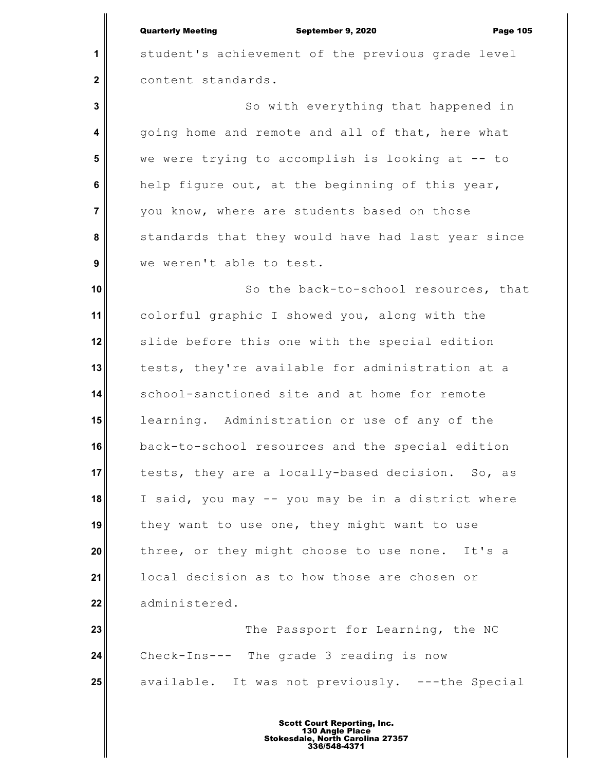**1**

 **2**

 **3**

 **4**

 **5**

 **6**

 **7**

 **8**

 **9**

student's achievement of the previous grade level content standards.

So with everything that happened in going home and remote and all of that, here what we were trying to accomplish is looking at -- to help figure out, at the beginning of this year, you know, where are students based on those standards that they would have had last year since we weren't able to test.

**10 11 12 13 14 15 16 17 18 19 20 21 22** So the back-to-school resources, that colorful graphic I showed you, along with the slide before this one with the special edition tests, they're available for administration at a school-sanctioned site and at home for remote learning. Administration or use of any of the back-to-school resources and the special edition tests, they are a locally-based decision. So, as I said, you may -- you may be in a district where they want to use one, they might want to use three, or they might choose to use none. It's a local decision as to how those are chosen or administered.

**23 24 25** The Passport for Learning, the NC Check-Ins--- The grade 3 reading is now available. It was not previously. ---the Special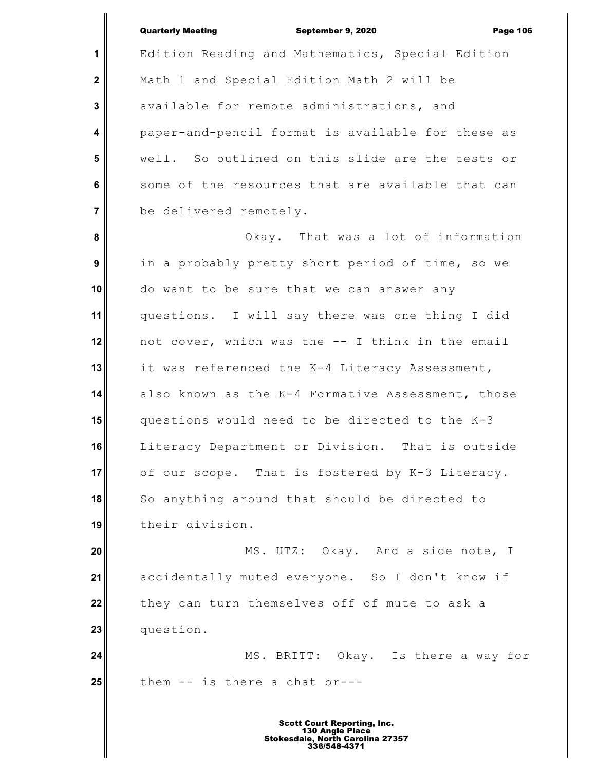|                         | <b>Quarterly Meeting</b><br>September 9, 2020<br><b>Page 106</b> |
|-------------------------|------------------------------------------------------------------|
| 1                       | Edition Reading and Mathematics, Special Edition                 |
| $\mathbf{2}$            | Math 1 and Special Edition Math 2 will be                        |
| 3                       | available for remote administrations, and                        |
| $\overline{\mathbf{4}}$ | paper-and-pencil format is available for these as                |
| 5                       | well. So outlined on this slide are the tests or                 |
| $6\phantom{a}$          | some of the resources that are available that can                |
| $\overline{7}$          | be delivered remotely.                                           |
| 8                       | Okay. That was a lot of information                              |
| $\boldsymbol{9}$        | in a probably pretty short period of time, so we                 |
| 10                      | do want to be sure that we can answer any                        |
| 11                      | questions. I will say there was one thing I did                  |
| 12                      | not cover, which was the -- I think in the email                 |
| 13                      | it was referenced the K-4 Literacy Assessment,                   |
| 14                      | also known as the K-4 Formative Assessment, those                |
| 15                      | questions would need to be directed to the K-3                   |
| 16                      | Literacy Department or Division. That is outside                 |
| 17                      | of our scope. That is fostered by K-3 Literacy.                  |
| 18                      | So anything around that should be directed to                    |
| 19                      | their division.                                                  |
| 20                      | MS. UTZ: Okay. And a side note, I                                |
| 21                      | accidentally muted everyone. So I don't know if                  |
| 22                      | they can turn themselves off of mute to ask a                    |
| 23                      | question.                                                        |
| 24                      | MS. BRITT: Okay. Is there a way for                              |
| 25                      | them -- is there a chat or---                                    |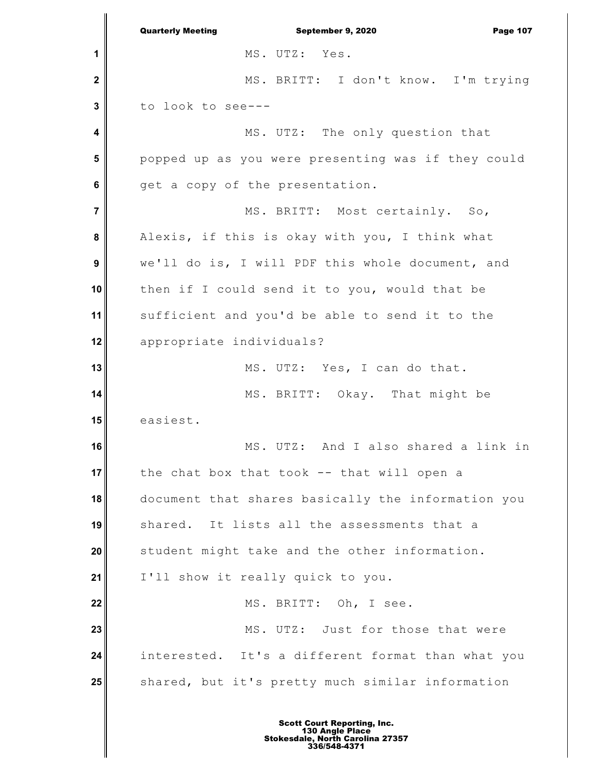**1 2 3 4 5 6 7 8 9 10 11 12 13 14 15 16 17 18 19 20 21 22 23 24 25** Quarterly Meeting **September 9, 2020 Page 107** MS. UTZ: Yes. MS. BRITT: I don't know. I'm trying to look to see--- MS. UTZ: The only question that popped up as you were presenting was if they could get a copy of the presentation. MS. BRITT: Most certainly. So, Alexis, if this is okay with you, I think what we'll do is, I will PDF this whole document, and then if I could send it to you, would that be sufficient and you'd be able to send it to the appropriate individuals? MS. UTZ: Yes, I can do that. MS. BRITT: Okay. That might be easiest. MS. UTZ: And I also shared a link in the chat box that took -- that will open a document that shares basically the information you shared. It lists all the assessments that a student might take and the other information. I'll show it really quick to you. MS. BRITT: Oh, I see. MS. UTZ: Just for those that were interested. It's a different format than what you shared, but it's pretty much similar information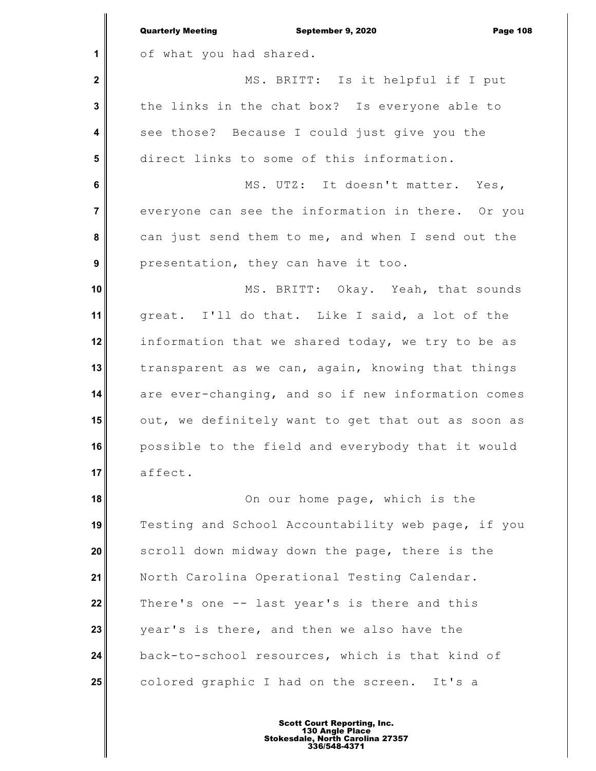|                         | <b>Quarterly Meeting</b><br>September 9, 2020<br><b>Page 108</b> |
|-------------------------|------------------------------------------------------------------|
| 1                       | of what you had shared.                                          |
| $\mathbf 2$             | MS. BRITT: Is it helpful if I put                                |
| $\mathbf 3$             | the links in the chat box? Is everyone able to                   |
| $\overline{\mathbf{4}}$ | see those? Because I could just give you the                     |
| 5                       | direct links to some of this information.                        |
| 6                       | MS. UTZ: It doesn't matter. Yes,                                 |
| $\overline{7}$          | everyone can see the information in there. Or you                |
| 8                       | can just send them to me, and when I send out the                |
| $\boldsymbol{9}$        | presentation, they can have it too.                              |
| 10                      | MS. BRITT: Okay. Yeah, that sounds                               |
| 11                      | great. I'll do that. Like I said, a lot of the                   |
| 12                      | information that we shared today, we try to be as                |
| 13                      | transparent as we can, again, knowing that things                |
| 14                      | are ever-changing, and so if new information comes               |
| 15                      | out, we definitely want to get that out as soon as               |
| 16                      | possible to the field and everybody that it would                |
| 17                      | affect.                                                          |
| 18                      | On our home page, which is the                                   |
| 19                      | Testing and School Accountability web page, if you               |
| 20                      | scroll down midway down the page, there is the                   |
| 21                      | North Carolina Operational Testing Calendar.                     |
| 22                      | There's one -- last year's is there and this                     |
| 23                      | year's is there, and then we also have the                       |
| 24                      | back-to-school resources, which is that kind of                  |
| 25                      | colored graphic I had on the screen. It's a                      |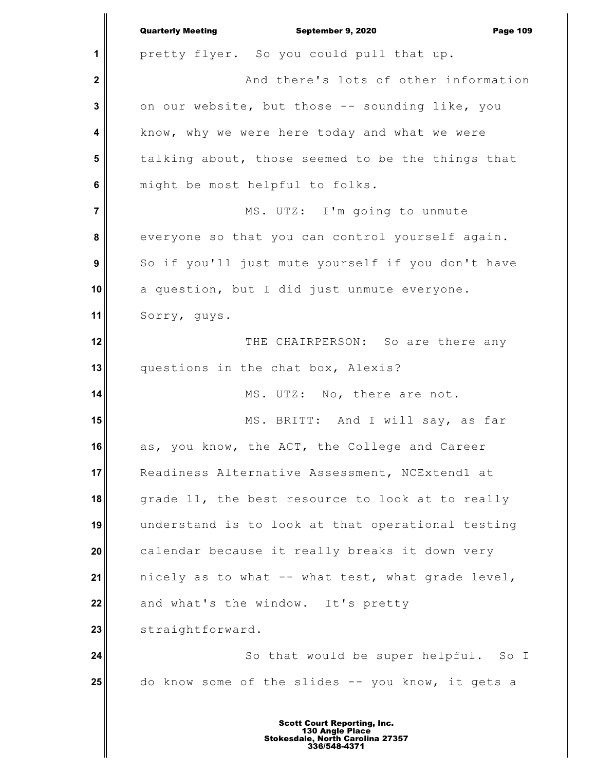**1 2 3 4 5 6 7 8 9 10 11 12 13 14 15 16 17 18 19 20 21 22 23 24 25** Quarterly Meeting September 9, 2020 Page 109 pretty flyer. So you could pull that up. And there's lots of other information on our website, but those -- sounding like, you know, why we were here today and what we were talking about, those seemed to be the things that might be most helpful to folks. MS. UTZ: I'm going to unmute everyone so that you can control yourself again. So if you'll just mute yourself if you don't have a question, but I did just unmute everyone. Sorry, guys. THE CHAIRPERSON: So are there any questions in the chat box, Alexis? MS. UTZ: No, there are not. MS. BRITT: And I will say, as far as, you know, the ACT, the College and Career Readiness Alternative Assessment, NCExtend1 at grade 11, the best resource to look at to really understand is to look at that operational testing calendar because it really breaks it down very nicely as to what -- what test, what grade level, and what's the window. It's pretty straightforward. So that would be super helpful. So I do know some of the slides -- you know, it gets a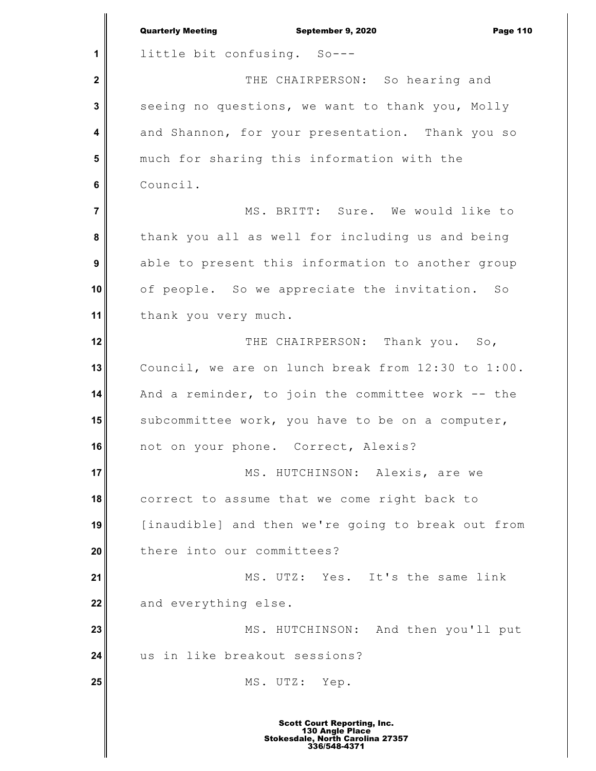|                | <b>Quarterly Meeting</b><br>September 9, 2020<br><b>Page 110</b> |
|----------------|------------------------------------------------------------------|
| 1              | little bit confusing. So---                                      |
| $\mathbf{2}$   | THE CHAIRPERSON: So hearing and                                  |
| 3              | seeing no questions, we want to thank you, Molly                 |
| 4              | and Shannon, for your presentation. Thank you so                 |
| 5              | much for sharing this information with the                       |
| 6              | Council.                                                         |
| $\overline{7}$ | MS. BRITT: Sure. We would like to                                |
| 8              | thank you all as well for including us and being                 |
| 9              | able to present this information to another group                |
| 10             | of people. So we appreciate the invitation. So                   |
| 11             | thank you very much.                                             |
| 12             | THE CHAIRPERSON: Thank you. So,                                  |
| 13             | Council, we are on lunch break from 12:30 to 1:00.               |
| 14             | And a reminder, to join the committee work -- the                |
| 15             | subcommittee work, you have to be on a computer,                 |
| 16             | not on your phone. Correct, Alexis?                              |
| 17             | MS. HUTCHINSON: Alexis, are we                                   |
| 18             | correct to assume that we come right back to                     |
| 19             | [inaudible] and then we're going to break out from               |
| 20             | there into our committees?                                       |
| 21             | MS. UTZ: Yes. It's the same link                                 |
| 22             | and everything else.                                             |
| 23             | MS. HUTCHINSON: And then you'll put                              |
| 24             | us in like breakout sessions?                                    |
| 25             | MS. UTZ:<br>Yep.                                                 |
|                |                                                                  |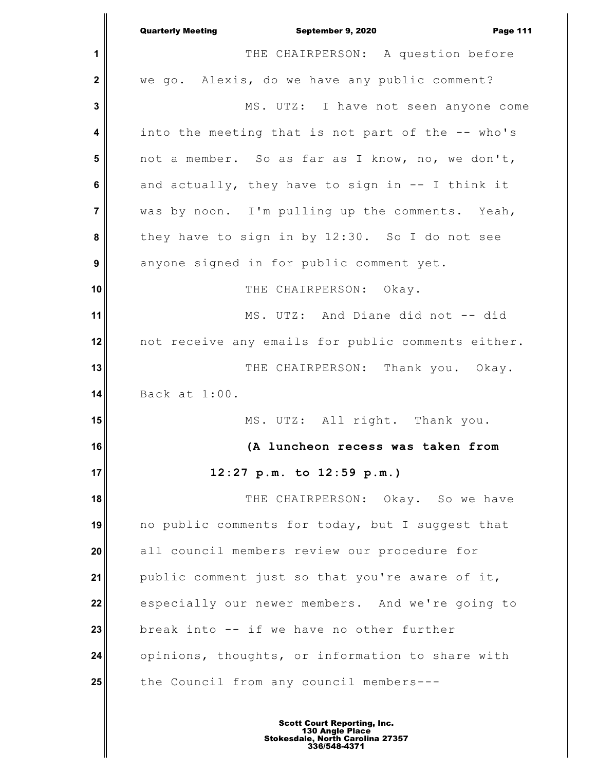|                  | <b>Quarterly Meeting</b><br>September 9, 2020<br><b>Page 111</b> |
|------------------|------------------------------------------------------------------|
| 1                | THE CHAIRPERSON: A question before                               |
| $\mathbf{2}$     | we go. Alexis, do we have any public comment?                    |
| 3                | MS. UTZ: I have not seen anyone come                             |
| 4                | into the meeting that is not part of the -- who's                |
| 5                | not a member. So as far as I know, no, we don't,                 |
| 6                | and actually, they have to sign in -- I think it                 |
| $\overline{7}$   | was by noon. I'm pulling up the comments. Yeah,                  |
| 8                | they have to sign in by 12:30. So I do not see                   |
| $\boldsymbol{9}$ | anyone signed in for public comment yet.                         |
| 10               | THE CHAIRPERSON: Okay.                                           |
| 11               | MS. UTZ: And Diane did not -- did                                |
| 12               | not receive any emails for public comments either.               |
| 13               | THE CHAIRPERSON: Thank you. Okay.                                |
| 14               | Back at 1:00.                                                    |
| 15               | MS. UTZ: All right. Thank you.                                   |
| 16               | (A luncheon recess was taken from                                |
| 17               | 12:27 p.m. to 12:59 p.m.)                                        |
| 18               | THE CHAIRPERSON: Okay. So we have                                |
| 19               | no public comments for today, but I suggest that                 |
| 20               | all council members review our procedure for                     |
| 21               | public comment just so that you're aware of it,                  |
| 22               | especially our newer members. And we're going to                 |
| 23               | break into -- if we have no other further                        |
| 24               | opinions, thoughts, or information to share with                 |
| 25               | the Council from any council members ---                         |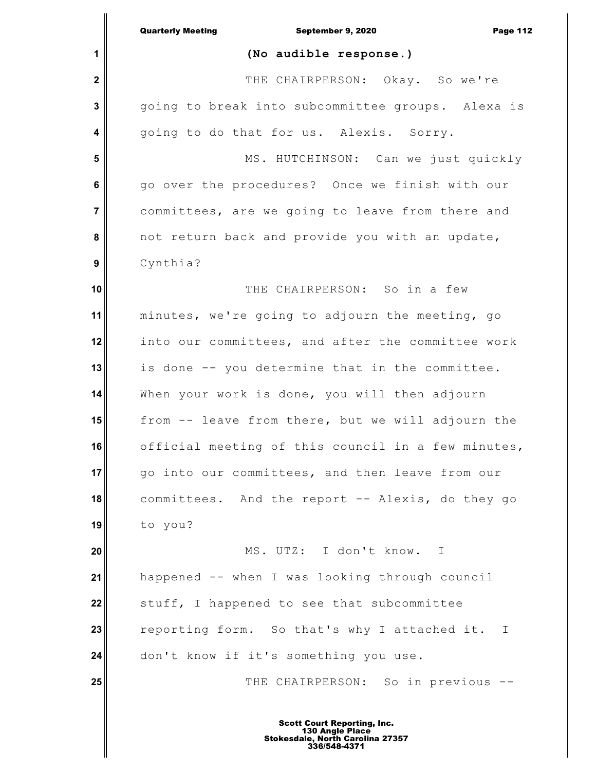|                | <b>Quarterly Meeting</b><br>September 9, 2020<br><b>Page 112</b> |
|----------------|------------------------------------------------------------------|
| 1              | (No audible response.)                                           |
| $\mathbf 2$    | THE CHAIRPERSON: Okay. So we're                                  |
| 3              | going to break into subcommittee groups. Alexa is                |
| 4              | going to do that for us. Alexis. Sorry.                          |
| 5              | MS. HUTCHINSON: Can we just quickly                              |
| 6              | go over the procedures? Once we finish with our                  |
| $\overline{7}$ | committees, are we going to leave from there and                 |
| 8              | not return back and provide you with an update,                  |
| 9              | Cynthia?                                                         |
| 10             | THE CHAIRPERSON: So in a few                                     |
| 11             | minutes, we're going to adjourn the meeting, go                  |
| 12             | into our committees, and after the committee work                |
| 13             | is done -- you determine that in the committee.                  |
| 14             | When your work is done, you will then adjourn                    |
| 15             | from -- leave from there, but we will adjourn the                |
| 16             | official meeting of this council in a few minutes,               |
| 17             | go into our committees, and then leave from our                  |
| 18             | committees. And the report -- Alexis, do they go                 |
| 19             | to you?                                                          |
| 20             | MS. UTZ: I don't know. I                                         |
| 21             | happened -- when I was looking through council                   |
| 22             | stuff, I happened to see that subcommittee                       |
| 23             | reporting form. So that's why I attached it. I                   |
| 24             | don't know if it's something you use.                            |
| 25             | THE CHAIRPERSON: So in previous --                               |
|                |                                                                  |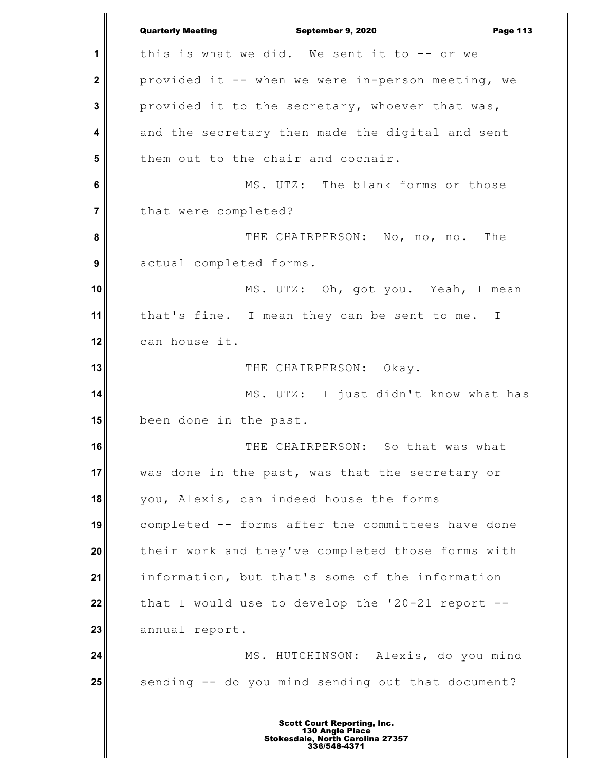**1 2 3 4 5 6 7 8 9 10 11 12 13 14 15 16 17 18 19 20 21 22 23 24 25** Quarterly Meeting **September 9, 2020 Page 113** this is what we did. We sent it to  $--$  or we provided it -- when we were in-person meeting, we provided it to the secretary, whoever that was, and the secretary then made the digital and sent them out to the chair and cochair. MS. UTZ: The blank forms or those that were completed? THE CHAIRPERSON: No, no, no. The actual completed forms. MS. UTZ: Oh, got you. Yeah, I mean that's fine. I mean they can be sent to me. I can house it. THE CHAIRPERSON: Okay. MS. UTZ: I just didn't know what has been done in the past. THE CHAIRPERSON: So that was what was done in the past, was that the secretary or you, Alexis, can indeed house the forms completed -- forms after the committees have done their work and they've completed those forms with information, but that's some of the information that I would use to develop the '20-21 report - annual report. MS. HUTCHINSON: Alexis, do you mind sending -- do you mind sending out that document?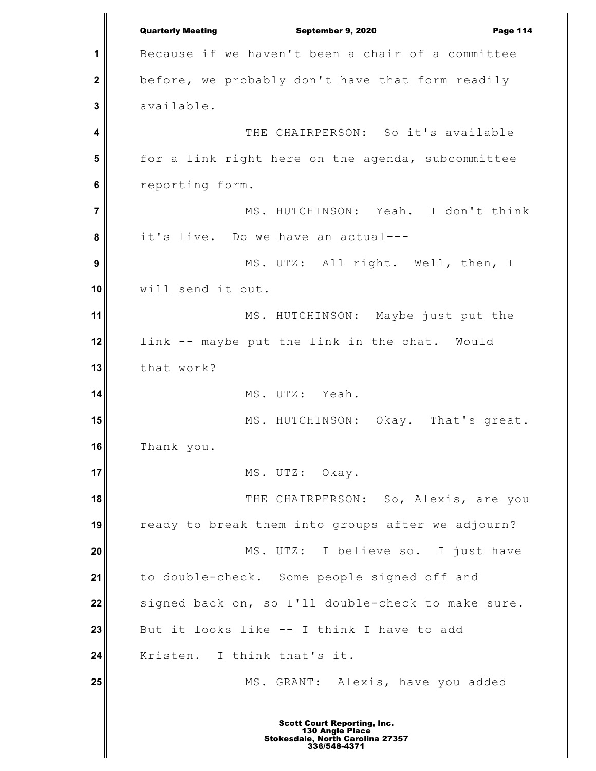**1 2 3 4 5 6 7 8 9 10 11 12 13 14 15 16 17 18 19 20 21 22 23 24 25** Quarterly Meeting **September 9, 2020 Page 114** Because if we haven't been a chair of a committee before, we probably don't have that form readily available. THE CHAIRPERSON: So it's available for a link right here on the agenda, subcommittee reporting form. MS. HUTCHINSON: Yeah. I don't think it's live. Do we have an actual--- MS. UTZ: All right. Well, then, I will send it out. MS. HUTCHINSON: Maybe just put the link -- maybe put the link in the chat. Would that work? MS. UTZ: Yeah. MS. HUTCHINSON: Okay. That's great. Thank you. MS. UTZ: Okay. THE CHAIRPERSON: So, Alexis, are you ready to break them into groups after we adjourn? MS. UTZ: I believe so. I just have to double-check. Some people signed off and signed back on, so I'll double-check to make sure. But it looks like -- I think I have to add Kristen. I think that's it. MS. GRANT: Alexis, have you added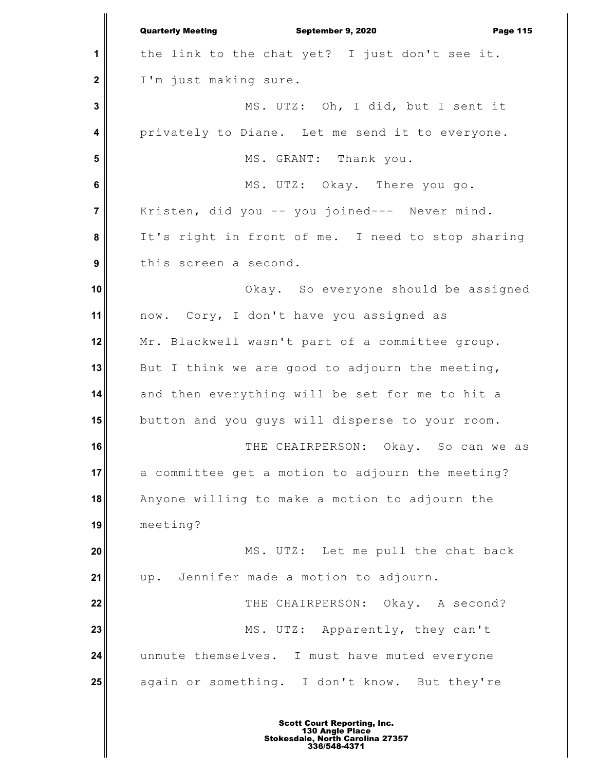**1 2 3 4 5 6 7 8 9 10 11 12 13 14 15 16 17 18 19 20 21 22 23 24 25** Quarterly Meeting **September 9, 2020 Page 115** the link to the chat yet? I just don't see it. I'm just making sure. MS. UTZ: Oh, I did, but I sent it privately to Diane. Let me send it to everyone. MS. GRANT: Thank you. MS. UTZ: Okay. There you go. Kristen, did you -- you joined--- Never mind. It's right in front of me. I need to stop sharing this screen a second. Okay. So everyone should be assigned now. Cory, I don't have you assigned as Mr. Blackwell wasn't part of a committee group. But I think we are good to adjourn the meeting, and then everything will be set for me to hit a button and you guys will disperse to your room. THE CHAIRPERSON: Okay. So can we as a committee get a motion to adjourn the meeting? Anyone willing to make a motion to adjourn the meeting? MS. UTZ: Let me pull the chat back up. Jennifer made a motion to adjourn. THE CHAIRPERSON: Okay. A second? MS. UTZ: Apparently, they can't unmute themselves. I must have muted everyone again or something. I don't know. But they're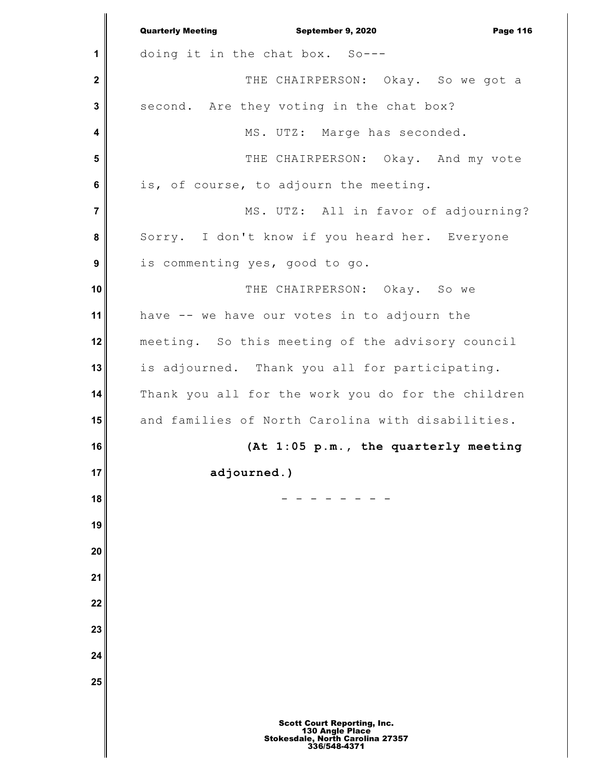**1 2 3 4 5 6 7 8 9 10 11 12 13 14 15 16 17 18 19 20 21 22 23 24 25** Quarterly Meeting **September 9, 2020 Page 116** doing it in the chat box. So--- THE CHAIRPERSON: Okay. So we got a second. Are they voting in the chat box? MS. UTZ: Marge has seconded. THE CHAIRPERSON: Okay. And my vote is, of course, to adjourn the meeting. MS. UTZ: All in favor of adjourning? Sorry. I don't know if you heard her. Everyone is commenting yes, good to go. THE CHAIRPERSON: Okay. So we have -- we have our votes in to adjourn the meeting. So this meeting of the advisory council is adjourned. Thank you all for participating. Thank you all for the work you do for the children and families of North Carolina with disabilities. **(At 1:05 p.m., the quarterly meeting adjourned.)** - - - - - - - -